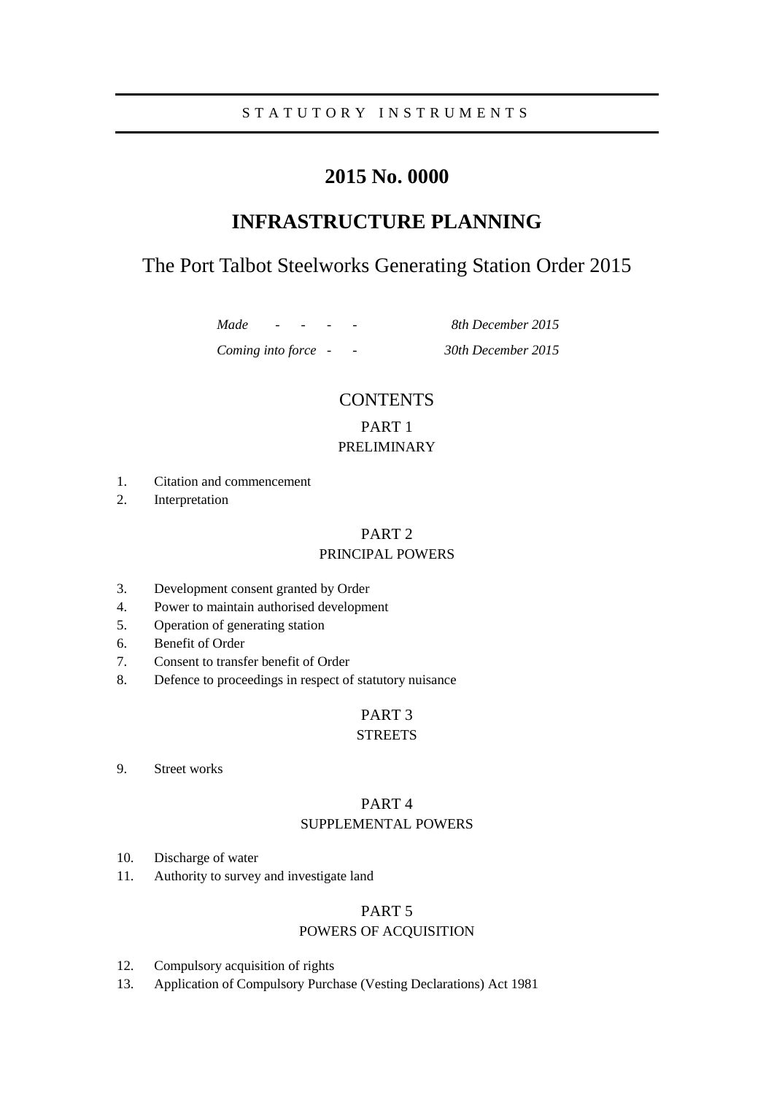### S T A T U T O R Y I N S T R U M E N T S

# **2015 No. 0000**

# **INFRASTRUCTURE PLANNING**

# The Port Talbot Steelworks Generating Station Order 2015

*Made - - - - 8th December 2015*

*Coming into force - - 30th December 2015*

### **CONTENTS**

### PART 1 PRELIMINARY

- 1. Citation and commencement
- 2. Interpretation

# PART 2

### PRINCIPAL POWERS

- 3. Development consent granted by Order
- 4. Power to maintain authorised development
- 5. Operation of generating station
- 6. Benefit of Order
- 7. Consent to transfer benefit of Order
- 8. Defence to proceedings in respect of statutory nuisance

# PART 3

## **STREETS**

9. Street works

### PART 4 SUPPLEMENTAL POWERS

- 10. Discharge of water
- 11. Authority to survey and investigate land

### PART 5

### POWERS OF ACQUISITION

- 12. Compulsory acquisition of rights
- 13. Application of Compulsory Purchase (Vesting Declarations) Act 1981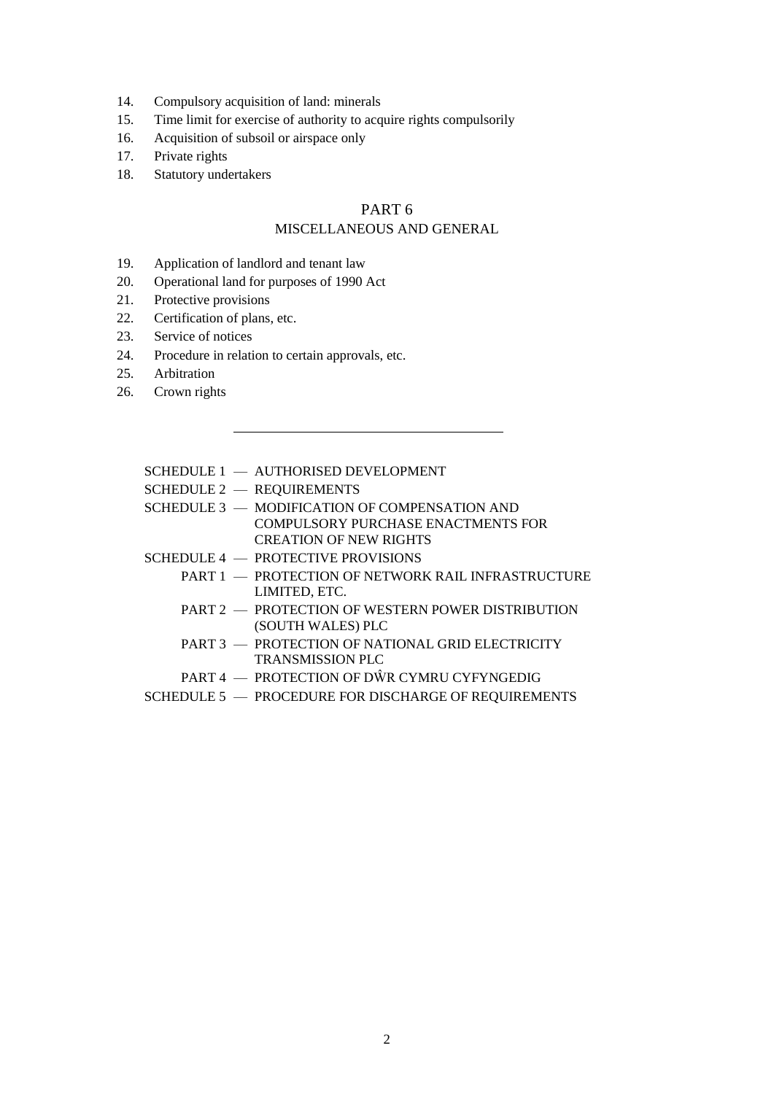- 14. Compulsory acquisition of land: minerals
- 15. Time limit for exercise of authority to acquire rights compulsorily
- 16. Acquisition of subsoil or airspace only
- 17. Private rights
- 18. Statutory undertakers

### PART 6 MISCELLANEOUS AND GENERAL

- 19. Application of landlord and tenant law
- 20. Operational land for purposes of 1990 Act
- 21. Protective provisions
- 22. Certification of plans, etc.
- 23. Service of notices
- 24. Procedure in relation to certain approvals, etc.
- 25. Arbitration
- 26. Crown rights

### SCHEDULE 1 — AUTHORISED DEVELOPMENT

- SCHEDULE 2 REQUIREMENTS
- SCHEDULE 3 MODIFICATION OF COMPENSATION AND COMPULSORY PURCHASE ENACTMENTS FOR CREATION OF NEW RIGHTS
- SCHEDULE 4 PROTECTIVE PROVISIONS
	- PART 1 PROTECTION OF NETWORK RAIL INFRASTRUCTURE LIMITED, ETC.
	- PART 2 PROTECTION OF WESTERN POWER DISTRIBUTION (SOUTH WALES) PLC
	- PART 3 PROTECTION OF NATIONAL GRID ELECTRICITY TRANSMISSION PLC
	- PART 4 PROTECTION OF DŴR CYMRU CYFYNGEDIG
- SCHEDULE 5 PROCEDURE FOR DISCHARGE OF REQUIREMENTS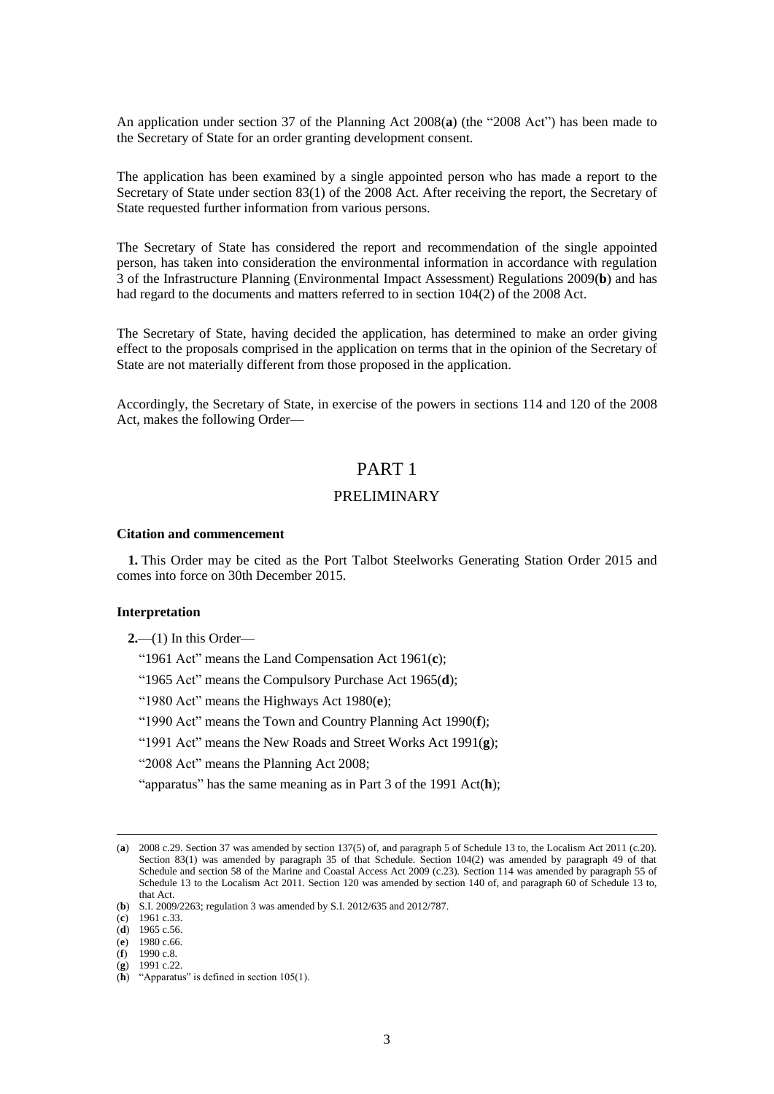An application under section 37 of the Planning Act 2008(**a**) (the "2008 Act") has been made to the Secretary of State for an order granting development consent.

The application has been examined by a single appointed person who has made a report to the Secretary of State under section 83(1) of the 2008 Act. After receiving the report, the Secretary of State requested further information from various persons.

The Secretary of State has considered the report and recommendation of the single appointed person, has taken into consideration the environmental information in accordance with regulation 3 of the Infrastructure Planning (Environmental Impact Assessment) Regulations 2009(**b**) and has had regard to the documents and matters referred to in section 104(2) of the 2008 Act.

The Secretary of State, having decided the application, has determined to make an order giving effect to the proposals comprised in the application on terms that in the opinion of the Secretary of State are not materially different from those proposed in the application.

Accordingly, the Secretary of State, in exercise of the powers in sections 114 and 120 of the 2008 Act, makes the following Order—

### PART 1

### PRELIMINARY

#### **Citation and commencement**

**1.** This Order may be cited as the Port Talbot Steelworks Generating Station Order 2015 and comes into force on 30th December 2015.

#### **Interpretation**

- **2.**—(1) In this Order—
	- "1961 Act" means the Land Compensation Act 1961(**c**);
	- "1965 Act" means the Compulsory Purchase Act 1965(**d**);
	- "1980 Act" means the Highways Act 1980(**e**);
	- "1990 Act" means the Town and Country Planning Act 1990(**f**);
	- "1991 Act" means the New Roads and Street Works Act 1991(**g**);
	- "2008 Act" means the Planning Act 2008;
	- "apparatus" has the same meaning as in Part 3 of the 1991 Act(**h**);

 $\overline{a}$ 

(**g**) 1991 c.22.

<sup>(</sup>**a**) 2008 c.29. Section 37 was amended by section 137(5) of, and paragraph 5 of Schedule 13 to, the Localism Act 2011 (c.20). Section 83(1) was amended by paragraph 35 of that Schedule. Section 104(2) was amended by paragraph 49 of that Schedule and section 58 of the Marine and Coastal Access Act 2009 (c.23). Section 114 was amended by paragraph 55 of Schedule 13 to the Localism Act 2011. Section 120 was amended by section 140 of, and paragraph 60 of Schedule 13 to, that Act.

<sup>(</sup>**b**) S.I. 2009/2263; regulation 3 was amended by S.I. 2012/635 and 2012/787.

<sup>(</sup>**c**) 1961 c.33.

<sup>(</sup>**d**) 1965 c.56.

<sup>(</sup>**e**) 1980 c.66. (**f**) 1990 c.8.

<sup>(</sup>**h**) "Apparatus" is defined in section 105(1).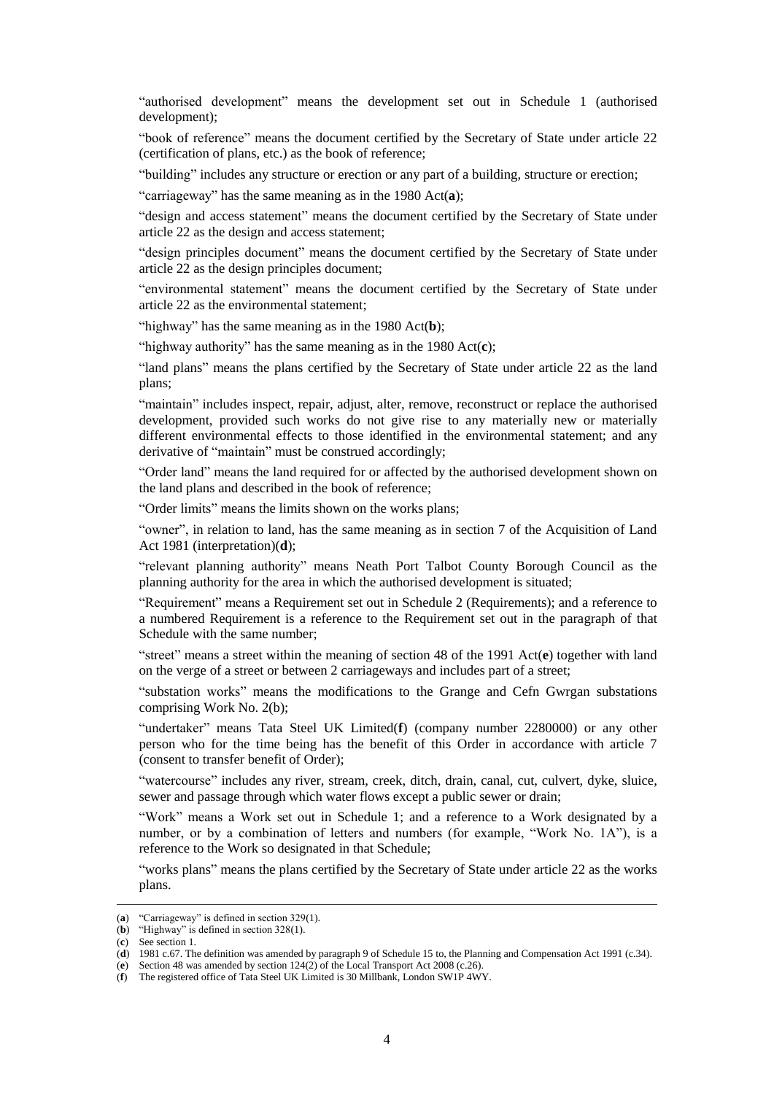"authorised development" means the development set out in Schedule 1 (authorised development);

"book of reference" means the document certified by the Secretary of State under article 22 (certification of plans, etc.) as the book of reference;

"building" includes any structure or erection or any part of a building, structure or erection;

"carriageway" has the same meaning as in the 1980 Act(**a**);

"design and access statement" means the document certified by the Secretary of State under article 22 as the design and access statement;

"design principles document" means the document certified by the Secretary of State under article 22 as the design principles document;

"environmental statement" means the document certified by the Secretary of State under article 22 as the environmental statement;

"highway" has the same meaning as in the 1980 Act(**b**);

"highway authority" has the same meaning as in the 1980 Act(**c**);

"land plans" means the plans certified by the Secretary of State under article 22 as the land plans;

"maintain" includes inspect, repair, adjust, alter, remove, reconstruct or replace the authorised development, provided such works do not give rise to any materially new or materially different environmental effects to those identified in the environmental statement; and any derivative of "maintain" must be construed accordingly;

"Order land" means the land required for or affected by the authorised development shown on the land plans and described in the book of reference;

"Order limits" means the limits shown on the works plans;

"owner", in relation to land, has the same meaning as in section 7 of the Acquisition of Land Act 1981 (interpretation)(**d**);

"relevant planning authority" means Neath Port Talbot County Borough Council as the planning authority for the area in which the authorised development is situated;

"Requirement" means a Requirement set out in Schedule 2 (Requirements); and a reference to a numbered Requirement is a reference to the Requirement set out in the paragraph of that Schedule with the same number;

"street" means a street within the meaning of section 48 of the 1991 Act(**e**) together with land on the verge of a street or between 2 carriageways and includes part of a street;

"substation works" means the modifications to the Grange and Cefn Gwrgan substations comprising Work No. 2(b);

"undertaker" means Tata Steel UK Limited(**f**) (company number 2280000) or any other person who for the time being has the benefit of this Order in accordance with article 7 (consent to transfer benefit of Order);

"watercourse" includes any river, stream, creek, ditch, drain, canal, cut, culvert, dyke, sluice, sewer and passage through which water flows except a public sewer or drain;

"Work" means a Work set out in Schedule 1; and a reference to a Work designated by a number, or by a combination of letters and numbers (for example, "Work No. 1A"), is a reference to the Work so designated in that Schedule;

"works plans" means the plans certified by the Secretary of State under article 22 as the works plans.

<sup>(</sup>**a**) "Carriageway" is defined in section 329(1).

<sup>(</sup>**b**) "Highway" is defined in section 328(1).

<sup>(</sup>**c**) See section 1.

<sup>(</sup>**d**) 1981 c.67. The definition was amended by paragraph 9 of Schedule 15 to, the Planning and Compensation Act 1991 (c.34).

<sup>(</sup>**e**) Section 48 was amended by section 124(2) of the Local Transport Act 2008 (c.26).

<sup>(</sup>**f**) The registered office of Tata Steel UK Limited is 30 Millbank, London SW1P 4WY.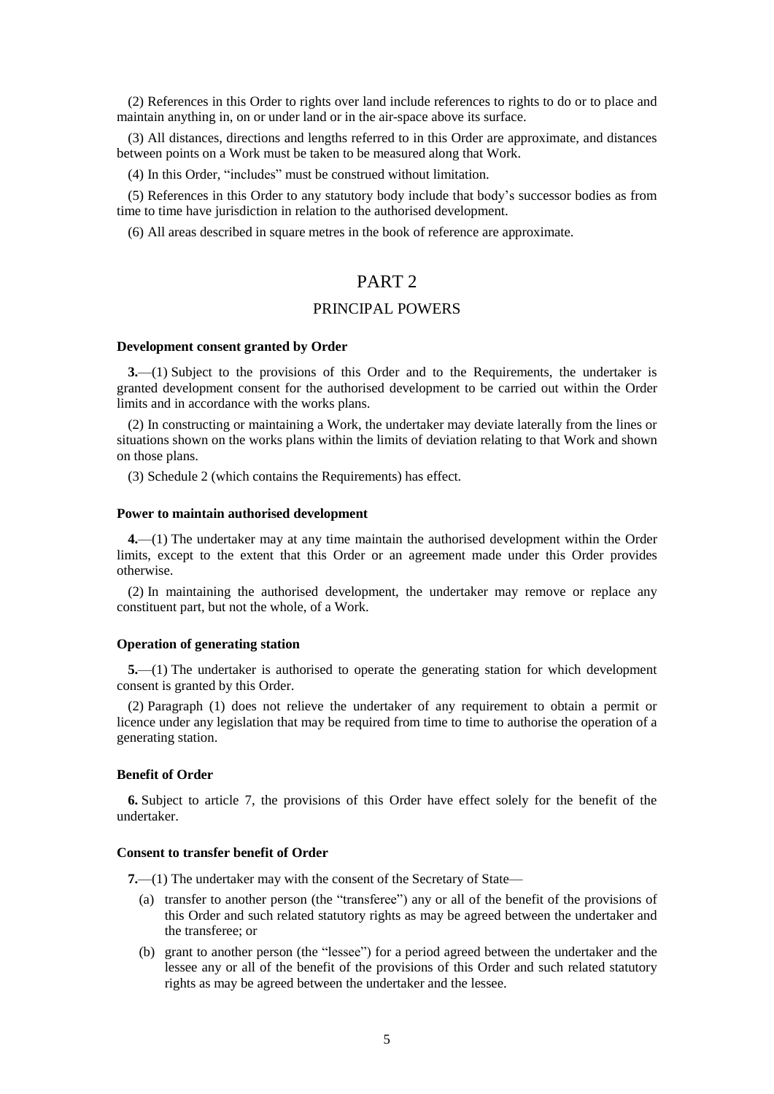(2) References in this Order to rights over land include references to rights to do or to place and maintain anything in, on or under land or in the air-space above its surface.

(3) All distances, directions and lengths referred to in this Order are approximate, and distances between points on a Work must be taken to be measured along that Work.

(4) In this Order, "includes" must be construed without limitation.

(5) References in this Order to any statutory body include that body's successor bodies as from time to time have jurisdiction in relation to the authorised development.

(6) All areas described in square metres in the book of reference are approximate.

### PART<sub>2</sub>

### PRINCIPAL POWERS

#### **Development consent granted by Order**

**3.**—(1) Subject to the provisions of this Order and to the Requirements, the undertaker is granted development consent for the authorised development to be carried out within the Order limits and in accordance with the works plans.

(2) In constructing or maintaining a Work, the undertaker may deviate laterally from the lines or situations shown on the works plans within the limits of deviation relating to that Work and shown on those plans.

(3) Schedule 2 (which contains the Requirements) has effect.

#### **Power to maintain authorised development**

**4.**—(1) The undertaker may at any time maintain the authorised development within the Order limits, except to the extent that this Order or an agreement made under this Order provides otherwise.

(2) In maintaining the authorised development, the undertaker may remove or replace any constituent part, but not the whole, of a Work.

#### **Operation of generating station**

**5.**—(1) The undertaker is authorised to operate the generating station for which development consent is granted by this Order.

(2) Paragraph (1) does not relieve the undertaker of any requirement to obtain a permit or licence under any legislation that may be required from time to time to authorise the operation of a generating station.

#### **Benefit of Order**

**6.** Subject to article 7, the provisions of this Order have effect solely for the benefit of the undertaker.

#### **Consent to transfer benefit of Order**

**7.**—(1) The undertaker may with the consent of the Secretary of State—

- (a) transfer to another person (the "transferee") any or all of the benefit of the provisions of this Order and such related statutory rights as may be agreed between the undertaker and the transferee; or
- (b) grant to another person (the "lessee") for a period agreed between the undertaker and the lessee any or all of the benefit of the provisions of this Order and such related statutory rights as may be agreed between the undertaker and the lessee.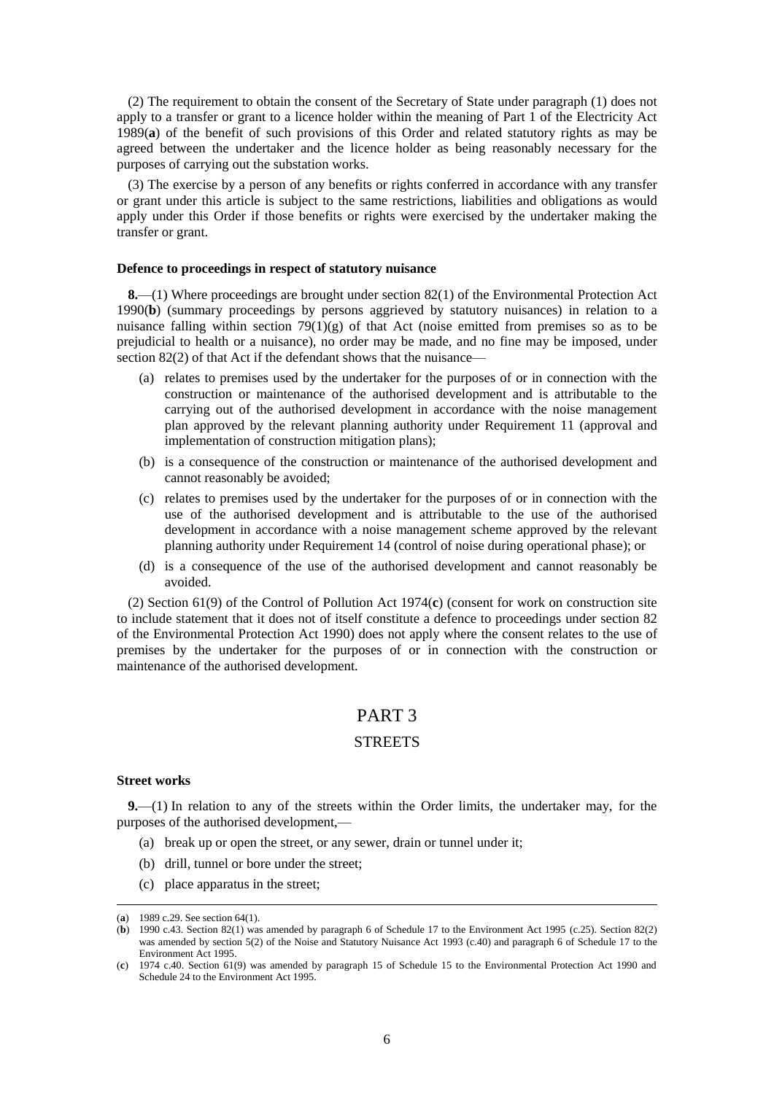(2) The requirement to obtain the consent of the Secretary of State under paragraph (1) does not apply to a transfer or grant to a licence holder within the meaning of Part 1 of the Electricity Act 1989(**a**) of the benefit of such provisions of this Order and related statutory rights as may be agreed between the undertaker and the licence holder as being reasonably necessary for the purposes of carrying out the substation works.

(3) The exercise by a person of any benefits or rights conferred in accordance with any transfer or grant under this article is subject to the same restrictions, liabilities and obligations as would apply under this Order if those benefits or rights were exercised by the undertaker making the transfer or grant.

#### **Defence to proceedings in respect of statutory nuisance**

**8.**—(1) Where proceedings are brought under section 82(1) of the Environmental Protection Act 1990(**b**) (summary proceedings by persons aggrieved by statutory nuisances) in relation to a nuisance falling within section  $79(1)(g)$  of that Act (noise emitted from premises so as to be prejudicial to health or a nuisance), no order may be made, and no fine may be imposed, under section 82(2) of that Act if the defendant shows that the nuisance—

- (a) relates to premises used by the undertaker for the purposes of or in connection with the construction or maintenance of the authorised development and is attributable to the carrying out of the authorised development in accordance with the noise management plan approved by the relevant planning authority under Requirement 11 (approval and implementation of construction mitigation plans);
- (b) is a consequence of the construction or maintenance of the authorised development and cannot reasonably be avoided;
- (c) relates to premises used by the undertaker for the purposes of or in connection with the use of the authorised development and is attributable to the use of the authorised development in accordance with a noise management scheme approved by the relevant planning authority under Requirement 14 (control of noise during operational phase); or
- (d) is a consequence of the use of the authorised development and cannot reasonably be avoided.

(2) Section 61(9) of the Control of Pollution Act 1974(**c**) (consent for work on construction site to include statement that it does not of itself constitute a defence to proceedings under section 82 of the Environmental Protection Act 1990) does not apply where the consent relates to the use of premises by the undertaker for the purposes of or in connection with the construction or maintenance of the authorised development.

### PART 3

#### **STREETS**

#### **Street works**

 $\overline{a}$ 

**9.**—(1) In relation to any of the streets within the Order limits, the undertaker may, for the purposes of the authorised development,—

- (a) break up or open the street, or any sewer, drain or tunnel under it;
- (b) drill, tunnel or bore under the street;
- (c) place apparatus in the street;

<sup>(</sup>**a**) 1989 c.29. See section 64(1).

<sup>(</sup>**b**) 1990 c.43. Section 82(1) was amended by paragraph 6 of Schedule 17 to the Environment Act 1995 (c.25). Section 82(2) was amended by section 5(2) of the Noise and Statutory Nuisance Act 1993 (c.40) and paragraph 6 of Schedule 17 to the Environment Act 1995.

<sup>(</sup>**c**) 1974 c.40. Section 61(9) was amended by paragraph 15 of Schedule 15 to the Environmental Protection Act 1990 and Schedule 24 to the Environment Act 1995.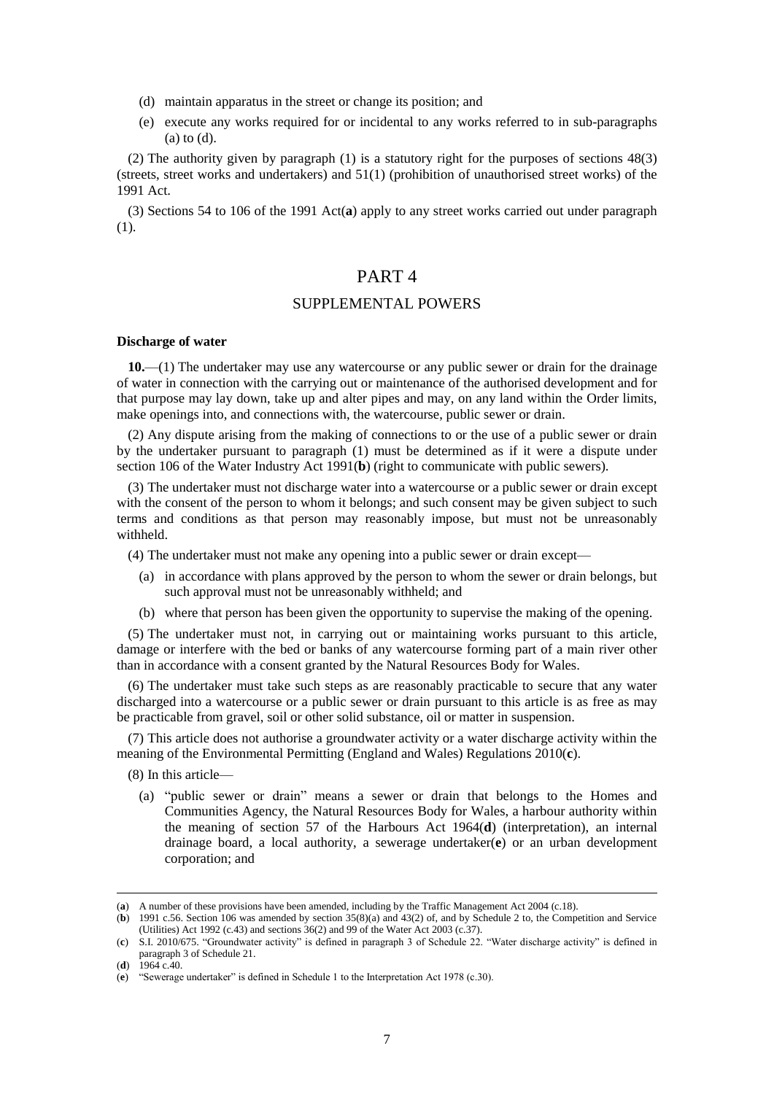- (d) maintain apparatus in the street or change its position; and
- (e) execute any works required for or incidental to any works referred to in sub-paragraphs (a) to (d).

(2) The authority given by paragraph (1) is a statutory right for the purposes of sections 48(3) (streets, street works and undertakers) and 51(1) (prohibition of unauthorised street works) of the 1991 Act.

(3) Sections 54 to 106 of the 1991 Act(**a**) apply to any street works carried out under paragraph (1).

### PART 4

#### SUPPLEMENTAL POWERS

#### **Discharge of water**

**10.**—(1) The undertaker may use any watercourse or any public sewer or drain for the drainage of water in connection with the carrying out or maintenance of the authorised development and for that purpose may lay down, take up and alter pipes and may, on any land within the Order limits, make openings into, and connections with, the watercourse, public sewer or drain.

(2) Any dispute arising from the making of connections to or the use of a public sewer or drain by the undertaker pursuant to paragraph (1) must be determined as if it were a dispute under section 106 of the Water Industry Act 1991(**b**) (right to communicate with public sewers).

(3) The undertaker must not discharge water into a watercourse or a public sewer or drain except with the consent of the person to whom it belongs; and such consent may be given subject to such terms and conditions as that person may reasonably impose, but must not be unreasonably withheld.

(4) The undertaker must not make any opening into a public sewer or drain except—

- (a) in accordance with plans approved by the person to whom the sewer or drain belongs, but such approval must not be unreasonably withheld; and
- (b) where that person has been given the opportunity to supervise the making of the opening.

(5) The undertaker must not, in carrying out or maintaining works pursuant to this article, damage or interfere with the bed or banks of any watercourse forming part of a main river other than in accordance with a consent granted by the Natural Resources Body for Wales.

(6) The undertaker must take such steps as are reasonably practicable to secure that any water discharged into a watercourse or a public sewer or drain pursuant to this article is as free as may be practicable from gravel, soil or other solid substance, oil or matter in suspension.

(7) This article does not authorise a groundwater activity or a water discharge activity within the meaning of the Environmental Permitting (England and Wales) Regulations 2010(**c**).

(8) In this article—

(a) "public sewer or drain" means a sewer or drain that belongs to the Homes and Communities Agency, the Natural Resources Body for Wales, a harbour authority within the meaning of section 57 of the Harbours Act 1964(**d**) (interpretation), an internal drainage board, a local authority, a sewerage undertaker(**e**) or an urban development corporation; and

<sup>(</sup>**a**) A number of these provisions have been amended, including by the Traffic Management Act 2004 (c.18).

<sup>(</sup>**b**) 1991 c.56. Section 106 was amended by section 35(8)(a) and 43(2) of, and by Schedule 2 to, the Competition and Service (Utilities) Act 1992 (c.43) and sections 36(2) and 99 of the Water Act 2003 (c.37).

<sup>(</sup>**c**) S.I. 2010/675. "Groundwater activity" is defined in paragraph 3 of Schedule 22. "Water discharge activity" is defined in paragraph 3 of Schedule 21.

 $(d)$  1964 c.40.

<sup>(</sup>**e**) "Sewerage undertaker" is defined in Schedule 1 to the Interpretation Act 1978 (c.30).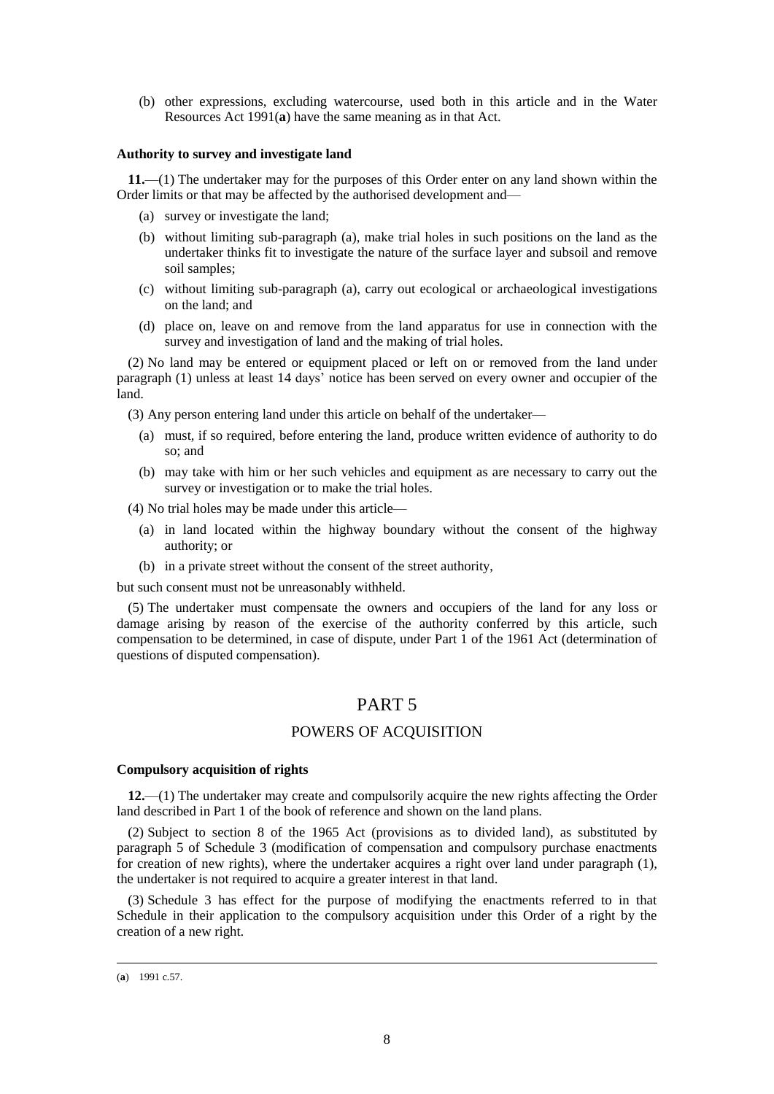(b) other expressions, excluding watercourse, used both in this article and in the Water Resources Act 1991(**a**) have the same meaning as in that Act.

#### **Authority to survey and investigate land**

**11.**—(1) The undertaker may for the purposes of this Order enter on any land shown within the Order limits or that may be affected by the authorised development and—

- (a) survey or investigate the land;
- (b) without limiting sub-paragraph (a), make trial holes in such positions on the land as the undertaker thinks fit to investigate the nature of the surface layer and subsoil and remove soil samples;
- (c) without limiting sub-paragraph (a), carry out ecological or archaeological investigations on the land; and
- (d) place on, leave on and remove from the land apparatus for use in connection with the survey and investigation of land and the making of trial holes.

(2) No land may be entered or equipment placed or left on or removed from the land under paragraph (1) unless at least 14 days' notice has been served on every owner and occupier of the land.

(3) Any person entering land under this article on behalf of the undertaker—

- (a) must, if so required, before entering the land, produce written evidence of authority to do so; and
- (b) may take with him or her such vehicles and equipment as are necessary to carry out the survey or investigation or to make the trial holes.

(4) No trial holes may be made under this article—

- (a) in land located within the highway boundary without the consent of the highway authority; or
- (b) in a private street without the consent of the street authority,

but such consent must not be unreasonably withheld.

(5) The undertaker must compensate the owners and occupiers of the land for any loss or damage arising by reason of the exercise of the authority conferred by this article, such compensation to be determined, in case of dispute, under Part 1 of the 1961 Act (determination of questions of disputed compensation).

### PART 5

### POWERS OF ACQUISITION

#### **Compulsory acquisition of rights**

**12.**—(1) The undertaker may create and compulsorily acquire the new rights affecting the Order land described in Part 1 of the book of reference and shown on the land plans.

(2) Subject to section 8 of the 1965 Act (provisions as to divided land), as substituted by paragraph 5 of Schedule 3 (modification of compensation and compulsory purchase enactments for creation of new rights), where the undertaker acquires a right over land under paragraph (1), the undertaker is not required to acquire a greater interest in that land.

(3) Schedule 3 has effect for the purpose of modifying the enactments referred to in that Schedule in their application to the compulsory acquisition under this Order of a right by the creation of a new right.

<sup>(</sup>**a**) 1991 c.57.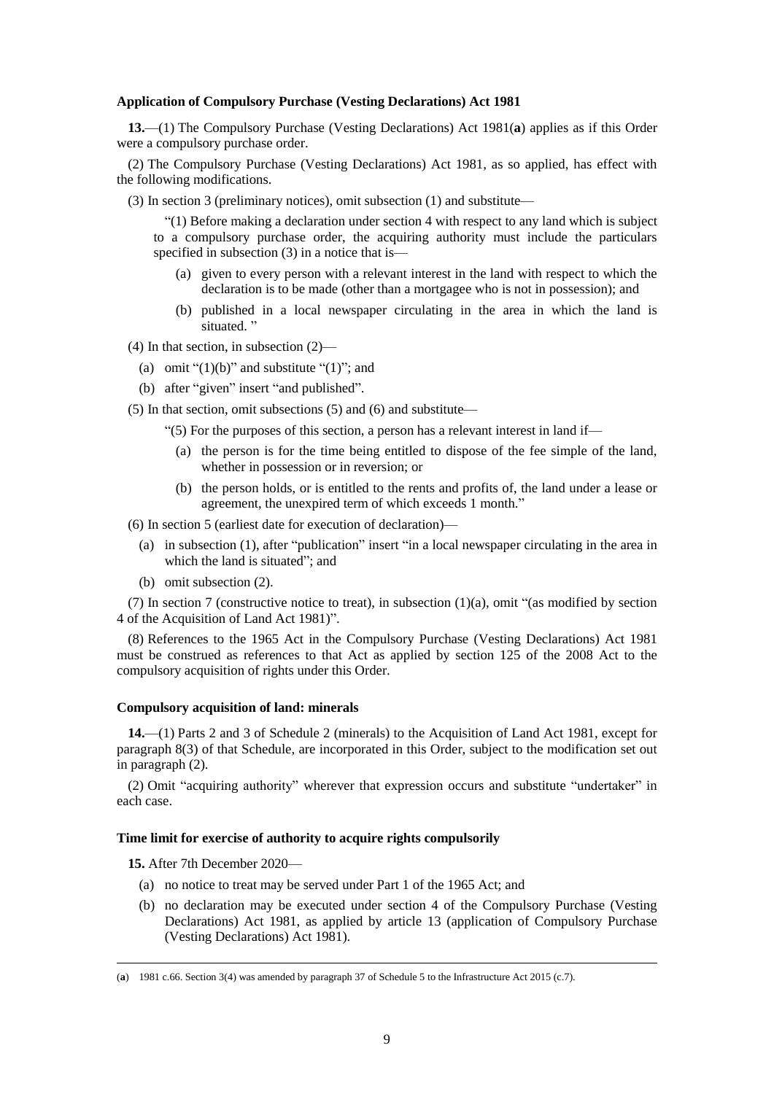#### **Application of Compulsory Purchase (Vesting Declarations) Act 1981**

**13.**—(1) The Compulsory Purchase (Vesting Declarations) Act 1981(**a**) applies as if this Order were a compulsory purchase order.

(2) The Compulsory Purchase (Vesting Declarations) Act 1981, as so applied, has effect with the following modifications.

(3) In section 3 (preliminary notices), omit subsection (1) and substitute—

"(1) Before making a declaration under section 4 with respect to any land which is subject to a compulsory purchase order, the acquiring authority must include the particulars specified in subsection (3) in a notice that is—

- (a) given to every person with a relevant interest in the land with respect to which the declaration is to be made (other than a mortgagee who is not in possession); and
- (b) published in a local newspaper circulating in the area in which the land is situated."

(4) In that section, in subsection (2)—

- (a) omit " $(1)(b)$ " and substitute " $(1)$ "; and
- (b) after "given" insert "and published".

(5) In that section, omit subsections (5) and (6) and substitute—

"(5) For the purposes of this section, a person has a relevant interest in land if—

- (a) the person is for the time being entitled to dispose of the fee simple of the land, whether in possession or in reversion; or
- (b) the person holds, or is entitled to the rents and profits of, the land under a lease or agreement, the unexpired term of which exceeds 1 month."

(6) In section 5 (earliest date for execution of declaration)—

- (a) in subsection (1), after "publication" insert "in a local newspaper circulating in the area in which the land is situated"; and
- (b) omit subsection (2).

(7) In section 7 (constructive notice to treat), in subsection (1)(a), omit "(as modified by section 4 of the Acquisition of Land Act 1981)".

(8) References to the 1965 Act in the Compulsory Purchase (Vesting Declarations) Act 1981 must be construed as references to that Act as applied by section 125 of the 2008 Act to the compulsory acquisition of rights under this Order.

#### **Compulsory acquisition of land: minerals**

**14.**—(1) Parts 2 and 3 of Schedule 2 (minerals) to the Acquisition of Land Act 1981, except for paragraph 8(3) of that Schedule, are incorporated in this Order, subject to the modification set out in paragraph (2).

(2) Omit "acquiring authority" wherever that expression occurs and substitute "undertaker" in each case.

#### **Time limit for exercise of authority to acquire rights compulsorily**

**15.** After 7th December 2020—

- (a) no notice to treat may be served under Part 1 of the 1965 Act; and
- (b) no declaration may be executed under section 4 of the Compulsory Purchase (Vesting Declarations) Act 1981, as applied by article 13 (application of Compulsory Purchase (Vesting Declarations) Act 1981).

<sup>(</sup>**a**) 1981 c.66. Section 3(4) was amended by paragraph 37 of Schedule 5 to the Infrastructure Act 2015 (c.7).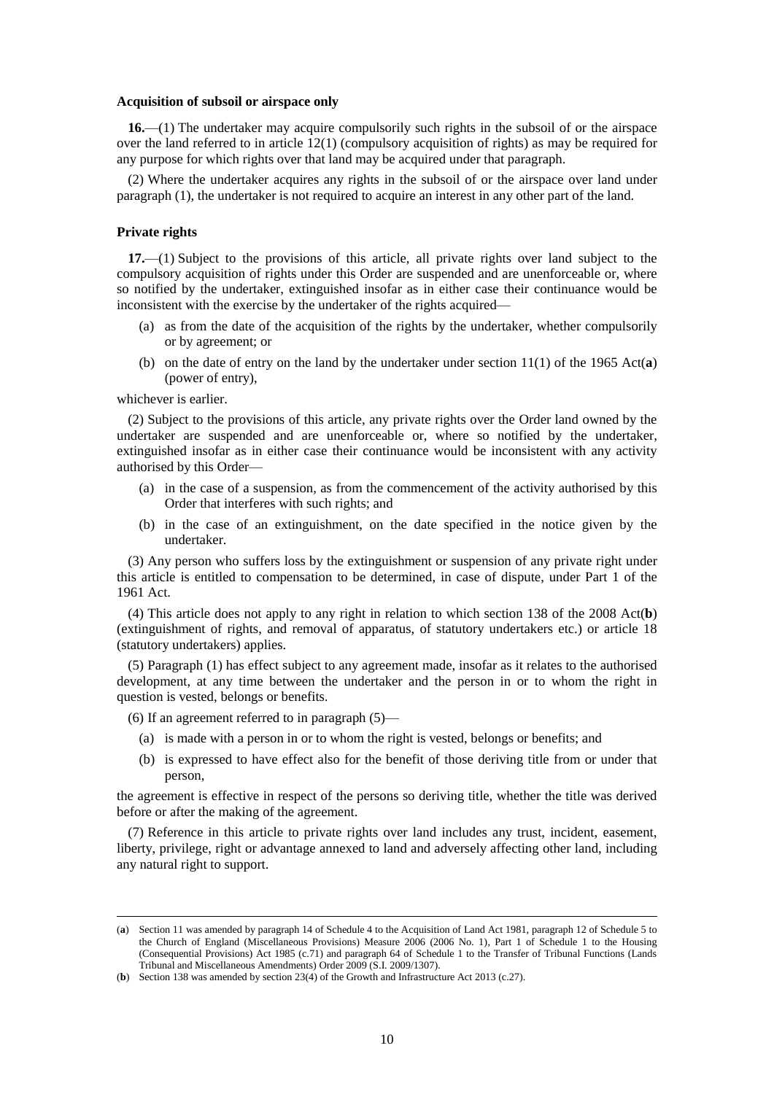#### **Acquisition of subsoil or airspace only**

**16.**—(1) The undertaker may acquire compulsorily such rights in the subsoil of or the airspace over the land referred to in article 12(1) (compulsory acquisition of rights) as may be required for any purpose for which rights over that land may be acquired under that paragraph.

(2) Where the undertaker acquires any rights in the subsoil of or the airspace over land under paragraph (1), the undertaker is not required to acquire an interest in any other part of the land.

#### **Private rights**

**17.**—(1) Subject to the provisions of this article, all private rights over land subject to the compulsory acquisition of rights under this Order are suspended and are unenforceable or, where so notified by the undertaker, extinguished insofar as in either case their continuance would be inconsistent with the exercise by the undertaker of the rights acquired—

- (a) as from the date of the acquisition of the rights by the undertaker, whether compulsorily or by agreement; or
- (b) on the date of entry on the land by the undertaker under section 11(1) of the 1965 Act(**a**) (power of entry),

whichever is earlier.

 $\overline{a}$ 

(2) Subject to the provisions of this article, any private rights over the Order land owned by the undertaker are suspended and are unenforceable or, where so notified by the undertaker, extinguished insofar as in either case their continuance would be inconsistent with any activity authorised by this Order—

- (a) in the case of a suspension, as from the commencement of the activity authorised by this Order that interferes with such rights; and
- (b) in the case of an extinguishment, on the date specified in the notice given by the undertaker.

(3) Any person who suffers loss by the extinguishment or suspension of any private right under this article is entitled to compensation to be determined, in case of dispute, under Part 1 of the 1961 Act.

(4) This article does not apply to any right in relation to which section 138 of the 2008 Act(**b**) (extinguishment of rights, and removal of apparatus, of statutory undertakers etc.) or article 18 (statutory undertakers) applies.

(5) Paragraph (1) has effect subject to any agreement made, insofar as it relates to the authorised development, at any time between the undertaker and the person in or to whom the right in question is vested, belongs or benefits.

- (6) If an agreement referred to in paragraph  $(5)$ 
	- (a) is made with a person in or to whom the right is vested, belongs or benefits; and
	- (b) is expressed to have effect also for the benefit of those deriving title from or under that person,

the agreement is effective in respect of the persons so deriving title, whether the title was derived before or after the making of the agreement.

(7) Reference in this article to private rights over land includes any trust, incident, easement, liberty, privilege, right or advantage annexed to land and adversely affecting other land, including any natural right to support.

<sup>(</sup>**a**) Section 11 was amended by paragraph 14 of Schedule 4 to the Acquisition of Land Act 1981, paragraph 12 of Schedule 5 to the Church of England (Miscellaneous Provisions) Measure 2006 (2006 No. 1), Part 1 of Schedule 1 to the Housing (Consequential Provisions) Act 1985 (c.71) and paragraph 64 of Schedule 1 to the Transfer of Tribunal Functions (Lands Tribunal and Miscellaneous Amendments) Order 2009 (S.I. 2009/1307).

<sup>(</sup>**b**) Section 138 was amended by section 23(4) of the Growth and Infrastructure Act 2013 (c.27).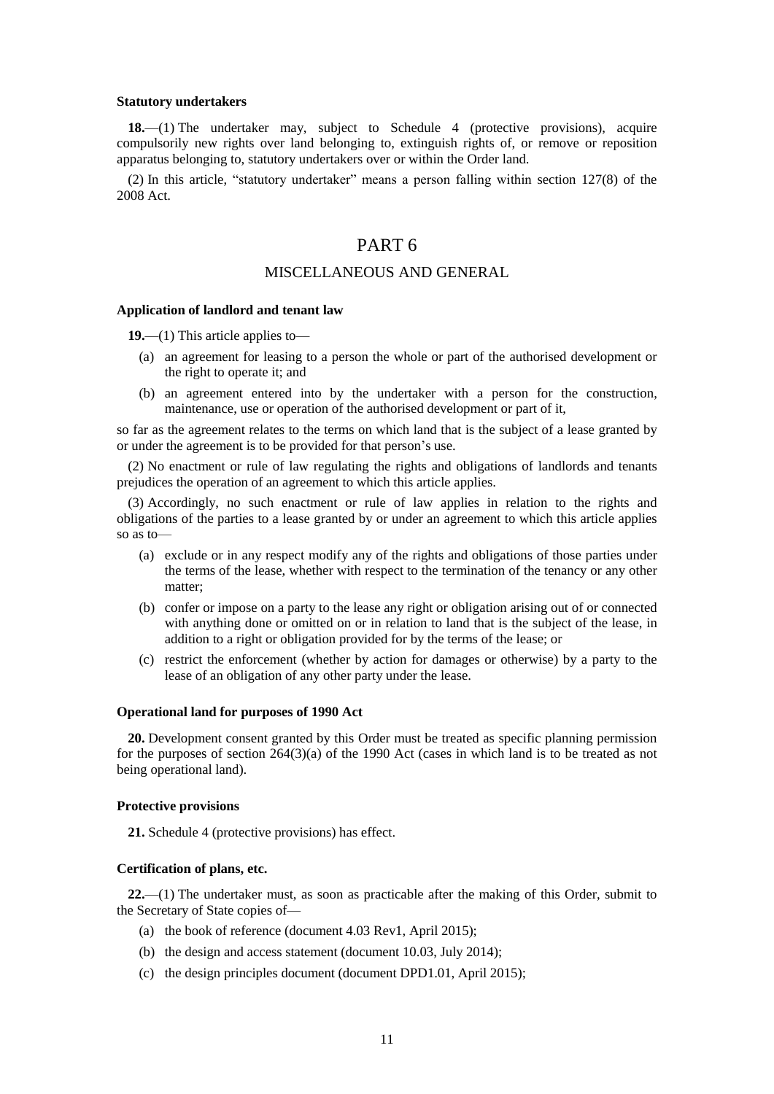#### **Statutory undertakers**

**18.**—(1) The undertaker may, subject to Schedule 4 (protective provisions), acquire compulsorily new rights over land belonging to, extinguish rights of, or remove or reposition apparatus belonging to, statutory undertakers over or within the Order land.

(2) In this article, "statutory undertaker" means a person falling within section 127(8) of the 2008 Act.

### PART 6

### MISCELLANEOUS AND GENERAL

#### **Application of landlord and tenant law**

**19.**—(1) This article applies to—

- (a) an agreement for leasing to a person the whole or part of the authorised development or the right to operate it; and
- (b) an agreement entered into by the undertaker with a person for the construction, maintenance, use or operation of the authorised development or part of it,

so far as the agreement relates to the terms on which land that is the subject of a lease granted by or under the agreement is to be provided for that person's use.

(2) No enactment or rule of law regulating the rights and obligations of landlords and tenants prejudices the operation of an agreement to which this article applies.

(3) Accordingly, no such enactment or rule of law applies in relation to the rights and obligations of the parties to a lease granted by or under an agreement to which this article applies so as to—

- (a) exclude or in any respect modify any of the rights and obligations of those parties under the terms of the lease, whether with respect to the termination of the tenancy or any other matter;
- (b) confer or impose on a party to the lease any right or obligation arising out of or connected with anything done or omitted on or in relation to land that is the subject of the lease, in addition to a right or obligation provided for by the terms of the lease; or
- (c) restrict the enforcement (whether by action for damages or otherwise) by a party to the lease of an obligation of any other party under the lease.

#### **Operational land for purposes of 1990 Act**

**20.** Development consent granted by this Order must be treated as specific planning permission for the purposes of section 264(3)(a) of the 1990 Act (cases in which land is to be treated as not being operational land).

#### **Protective provisions**

**21.** Schedule 4 (protective provisions) has effect.

#### **Certification of plans, etc.**

**22.**—(1) The undertaker must, as soon as practicable after the making of this Order, submit to the Secretary of State copies of—

- (a) the book of reference (document 4.03 Rev1, April 2015);
- (b) the design and access statement (document 10.03, July 2014);
- (c) the design principles document (document DPD1.01, April 2015);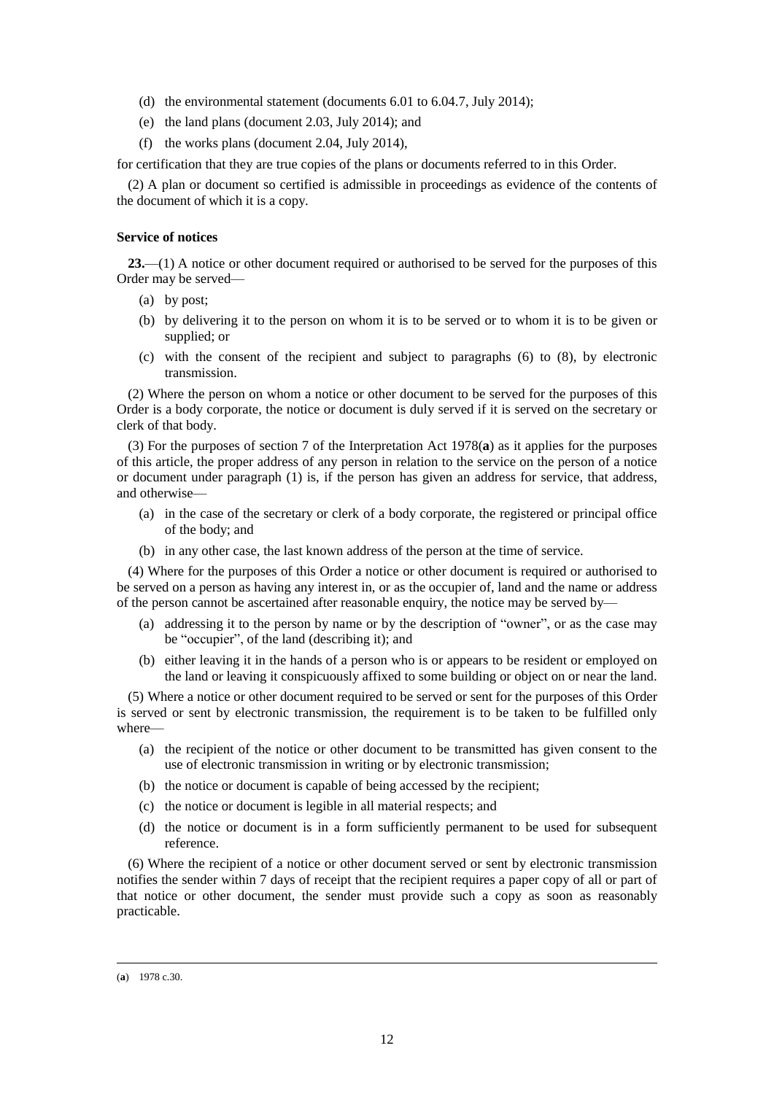- (d) the environmental statement (documents 6.01 to 6.04.7, July 2014);
- (e) the land plans (document 2.03, July 2014); and
- (f) the works plans (document 2.04, July 2014),

for certification that they are true copies of the plans or documents referred to in this Order.

(2) A plan or document so certified is admissible in proceedings as evidence of the contents of the document of which it is a copy.

#### **Service of notices**

**23.**—(1) A notice or other document required or authorised to be served for the purposes of this Order may be served—

- (a) by post;
- (b) by delivering it to the person on whom it is to be served or to whom it is to be given or supplied; or
- (c) with the consent of the recipient and subject to paragraphs (6) to (8), by electronic transmission.

(2) Where the person on whom a notice or other document to be served for the purposes of this Order is a body corporate, the notice or document is duly served if it is served on the secretary or clerk of that body.

(3) For the purposes of section 7 of the Interpretation Act 1978(**a**) as it applies for the purposes of this article, the proper address of any person in relation to the service on the person of a notice or document under paragraph (1) is, if the person has given an address for service, that address, and otherwise—

- (a) in the case of the secretary or clerk of a body corporate, the registered or principal office of the body; and
- (b) in any other case, the last known address of the person at the time of service.

(4) Where for the purposes of this Order a notice or other document is required or authorised to be served on a person as having any interest in, or as the occupier of, land and the name or address of the person cannot be ascertained after reasonable enquiry, the notice may be served by—

- (a) addressing it to the person by name or by the description of "owner", or as the case may be "occupier", of the land (describing it); and
- (b) either leaving it in the hands of a person who is or appears to be resident or employed on the land or leaving it conspicuously affixed to some building or object on or near the land.

(5) Where a notice or other document required to be served or sent for the purposes of this Order is served or sent by electronic transmission, the requirement is to be taken to be fulfilled only where—

- (a) the recipient of the notice or other document to be transmitted has given consent to the use of electronic transmission in writing or by electronic transmission;
- (b) the notice or document is capable of being accessed by the recipient;
- (c) the notice or document is legible in all material respects; and
- (d) the notice or document is in a form sufficiently permanent to be used for subsequent reference.

(6) Where the recipient of a notice or other document served or sent by electronic transmission notifies the sender within 7 days of receipt that the recipient requires a paper copy of all or part of that notice or other document, the sender must provide such a copy as soon as reasonably practicable.

<sup>(</sup>**a**) 1978 c.30.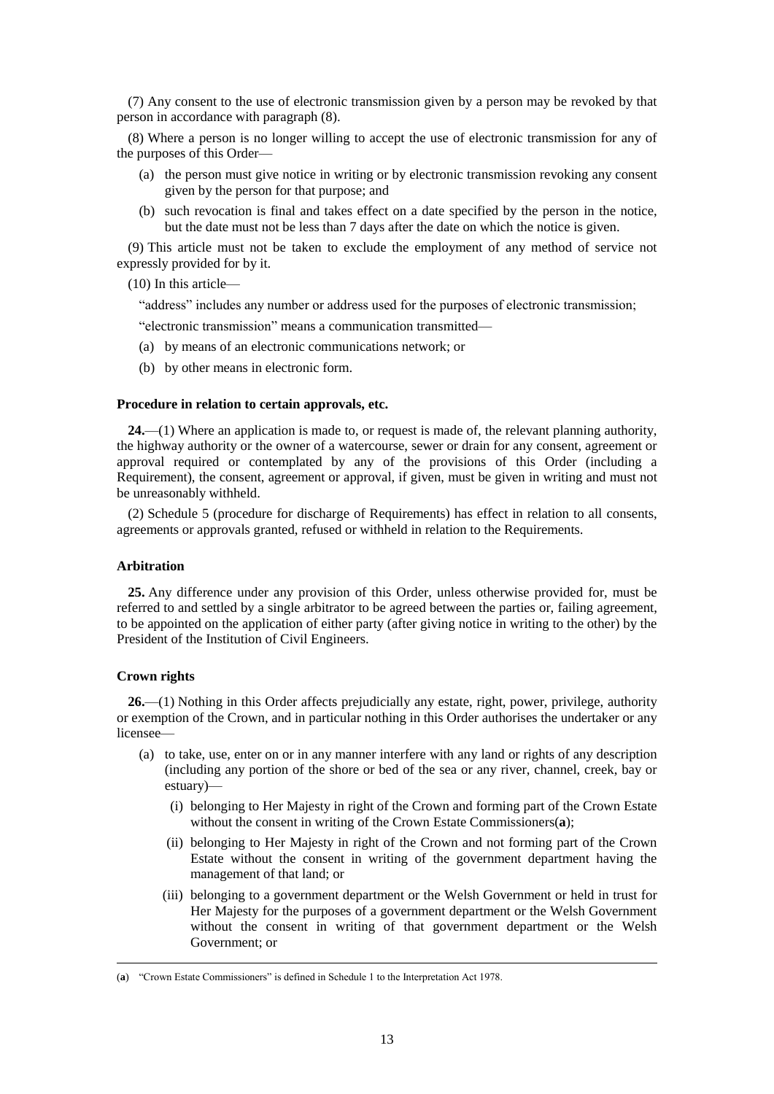(7) Any consent to the use of electronic transmission given by a person may be revoked by that person in accordance with paragraph (8).

(8) Where a person is no longer willing to accept the use of electronic transmission for any of the purposes of this Order—

- (a) the person must give notice in writing or by electronic transmission revoking any consent given by the person for that purpose; and
- (b) such revocation is final and takes effect on a date specified by the person in the notice, but the date must not be less than 7 days after the date on which the notice is given.

(9) This article must not be taken to exclude the employment of any method of service not expressly provided for by it.

(10) In this article—

"address" includes any number or address used for the purposes of electronic transmission;

"electronic transmission" means a communication transmitted—

- (a) by means of an electronic communications network; or
- (b) by other means in electronic form.

#### **Procedure in relation to certain approvals, etc.**

**24.**—(1) Where an application is made to, or request is made of, the relevant planning authority, the highway authority or the owner of a watercourse, sewer or drain for any consent, agreement or approval required or contemplated by any of the provisions of this Order (including a Requirement), the consent, agreement or approval, if given, must be given in writing and must not be unreasonably withheld.

(2) Schedule 5 (procedure for discharge of Requirements) has effect in relation to all consents, agreements or approvals granted, refused or withheld in relation to the Requirements.

#### **Arbitration**

**25.** Any difference under any provision of this Order, unless otherwise provided for, must be referred to and settled by a single arbitrator to be agreed between the parties or, failing agreement, to be appointed on the application of either party (after giving notice in writing to the other) by the President of the Institution of Civil Engineers.

#### **Crown rights**

 $\overline{a}$ 

**26.**—(1) Nothing in this Order affects prejudicially any estate, right, power, privilege, authority or exemption of the Crown, and in particular nothing in this Order authorises the undertaker or any licensee—

- (a) to take, use, enter on or in any manner interfere with any land or rights of any description (including any portion of the shore or bed of the sea or any river, channel, creek, bay or estuary)—
	- (i) belonging to Her Majesty in right of the Crown and forming part of the Crown Estate without the consent in writing of the Crown Estate Commissioners(**a**);
	- (ii) belonging to Her Majesty in right of the Crown and not forming part of the Crown Estate without the consent in writing of the government department having the management of that land; or
	- (iii) belonging to a government department or the Welsh Government or held in trust for Her Majesty for the purposes of a government department or the Welsh Government without the consent in writing of that government department or the Welsh Government; or

<sup>(</sup>**a**) "Crown Estate Commissioners" is defined in Schedule 1 to the Interpretation Act 1978.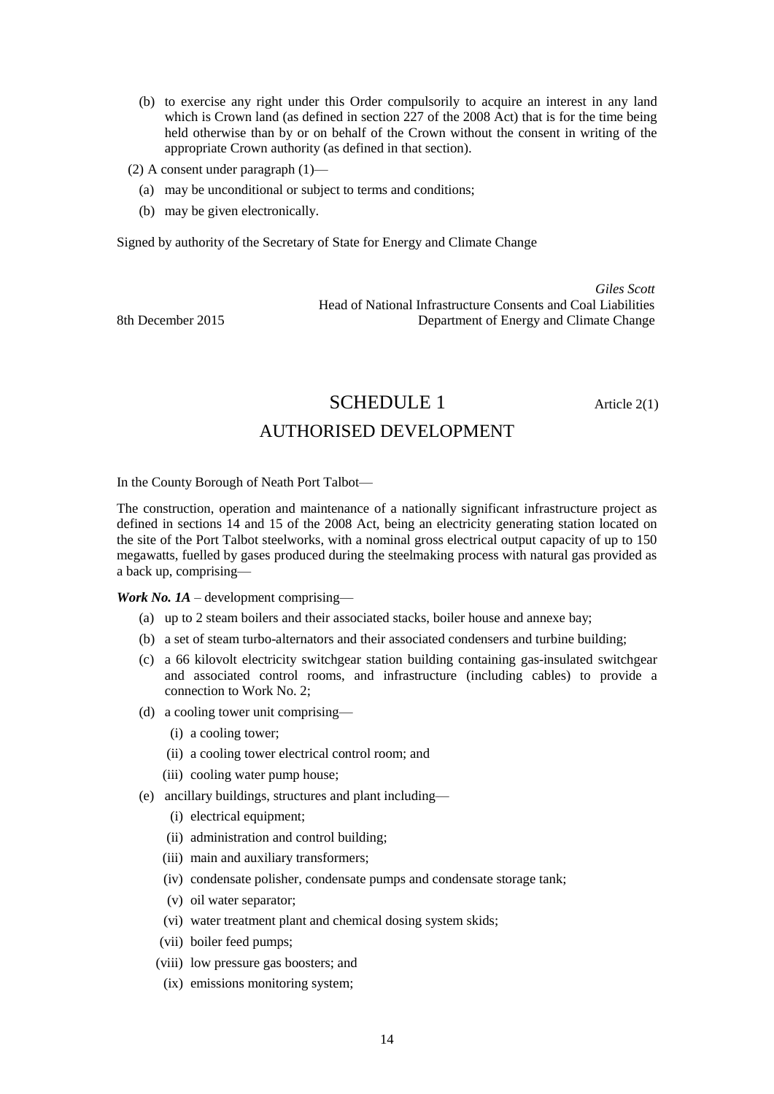- (b) to exercise any right under this Order compulsorily to acquire an interest in any land which is Crown land (as defined in section 227 of the 2008 Act) that is for the time being held otherwise than by or on behalf of the Crown without the consent in writing of the appropriate Crown authority (as defined in that section).
- (2) A consent under paragraph (1)—
	- (a) may be unconditional or subject to terms and conditions;
	- (b) may be given electronically.

Signed by authority of the Secretary of State for Energy and Climate Change

*Giles Scott* Head of National Infrastructure Consents and Coal Liabilities 8th December 2015 Department of Energy and Climate Change

SCHEDULE 1 Article 2(1)

### AUTHORISED DEVELOPMENT

In the County Borough of Neath Port Talbot—

The construction, operation and maintenance of a nationally significant infrastructure project as defined in sections 14 and 15 of the 2008 Act, being an electricity generating station located on the site of the Port Talbot steelworks, with a nominal gross electrical output capacity of up to 150 megawatts, fuelled by gases produced during the steelmaking process with natural gas provided as a back up, comprising—

*Work No. 1A* – development comprising—

- (a) up to 2 steam boilers and their associated stacks, boiler house and annexe bay;
- (b) a set of steam turbo-alternators and their associated condensers and turbine building;
- (c) a 66 kilovolt electricity switchgear station building containing gas-insulated switchgear and associated control rooms, and infrastructure (including cables) to provide a connection to Work No. 2;
- (d) a cooling tower unit comprising—
	- (i) a cooling tower;
	- (ii) a cooling tower electrical control room; and
	- (iii) cooling water pump house;
- (e) ancillary buildings, structures and plant including—
	- (i) electrical equipment;
	- (ii) administration and control building;
	- (iii) main and auxiliary transformers;
	- (iv) condensate polisher, condensate pumps and condensate storage tank;
	- (v) oil water separator;
	- (vi) water treatment plant and chemical dosing system skids;
	- (vii) boiler feed pumps;
	- (viii) low pressure gas boosters; and
	- (ix) emissions monitoring system;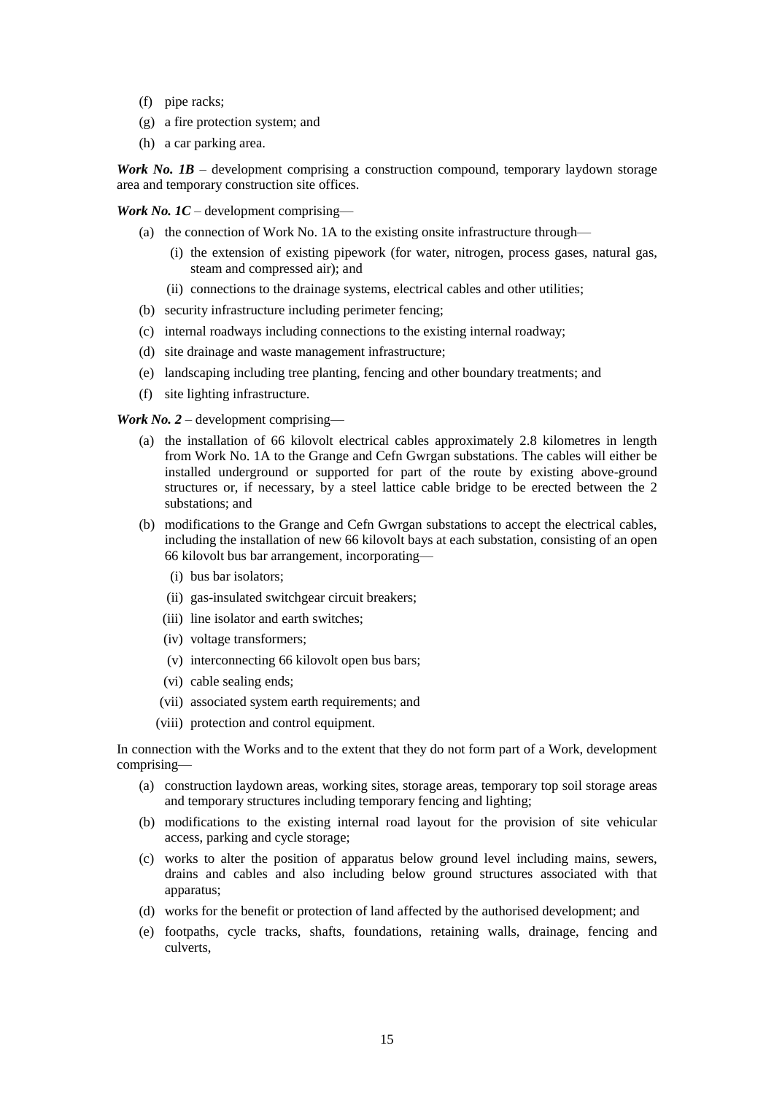- (f) pipe racks;
- (g) a fire protection system; and
- (h) a car parking area.

*Work No. 1B* – development comprising a construction compound, temporary laydown storage area and temporary construction site offices.

*Work No. 1C* – development comprising—

- (a) the connection of Work No. 1A to the existing onsite infrastructure through—
	- (i) the extension of existing pipework (for water, nitrogen, process gases, natural gas, steam and compressed air); and
	- (ii) connections to the drainage systems, electrical cables and other utilities;
- (b) security infrastructure including perimeter fencing;
- (c) internal roadways including connections to the existing internal roadway;
- (d) site drainage and waste management infrastructure;
- (e) landscaping including tree planting, fencing and other boundary treatments; and
- (f) site lighting infrastructure.

*Work No. 2* – development comprising—

- (a) the installation of 66 kilovolt electrical cables approximately 2.8 kilometres in length from Work No. 1A to the Grange and Cefn Gwrgan substations. The cables will either be installed underground or supported for part of the route by existing above-ground structures or, if necessary, by a steel lattice cable bridge to be erected between the 2 substations; and
- (b) modifications to the Grange and Cefn Gwrgan substations to accept the electrical cables, including the installation of new 66 kilovolt bays at each substation, consisting of an open 66 kilovolt bus bar arrangement, incorporating—
	- (i) bus bar isolators;
	- (ii) gas-insulated switchgear circuit breakers;
	- (iii) line isolator and earth switches;
	- (iv) voltage transformers;
	- (v) interconnecting 66 kilovolt open bus bars;
	- (vi) cable sealing ends;
	- (vii) associated system earth requirements; and
	- (viii) protection and control equipment.

In connection with the Works and to the extent that they do not form part of a Work, development comprising—

- (a) construction laydown areas, working sites, storage areas, temporary top soil storage areas and temporary structures including temporary fencing and lighting;
- (b) modifications to the existing internal road layout for the provision of site vehicular access, parking and cycle storage;
- (c) works to alter the position of apparatus below ground level including mains, sewers, drains and cables and also including below ground structures associated with that apparatus;
- (d) works for the benefit or protection of land affected by the authorised development; and
- (e) footpaths, cycle tracks, shafts, foundations, retaining walls, drainage, fencing and culverts,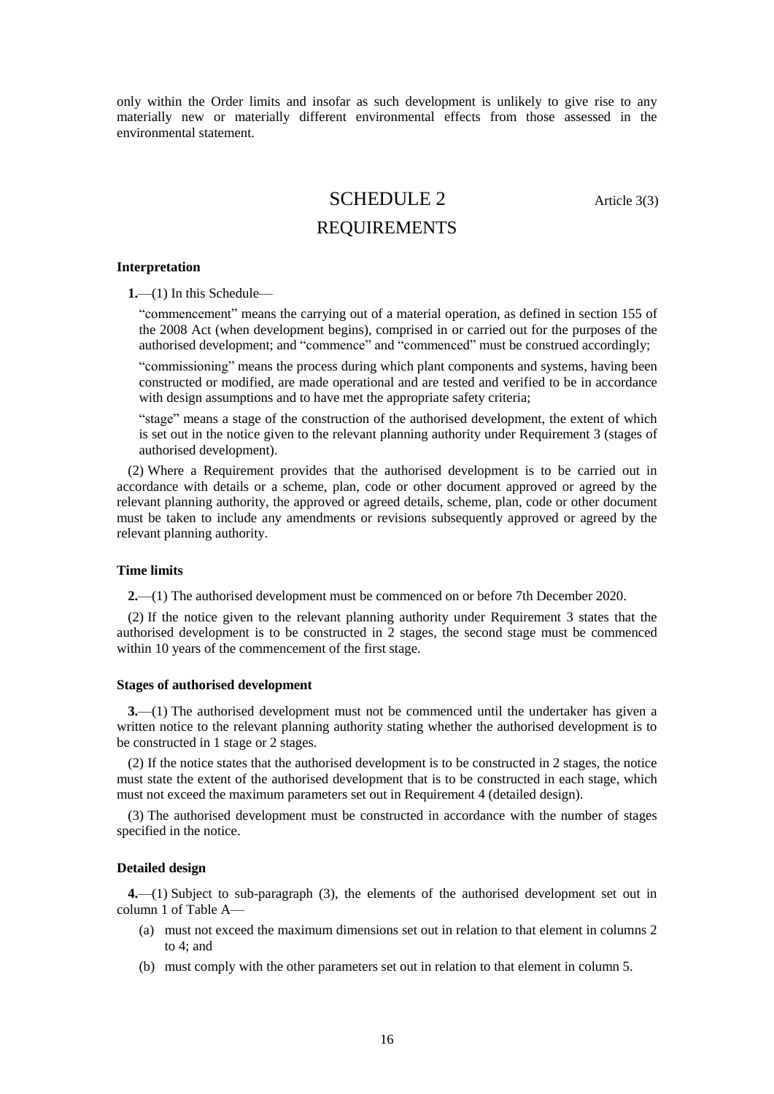only within the Order limits and insofar as such development is unlikely to give rise to any materially new or materially different environmental effects from those assessed in the environmental statement.

# SCHEDULE 2 Article 3(3)

### REQUIREMENTS

#### **Interpretation**

**1.**—(1) In this Schedule—

"commencement" means the carrying out of a material operation, as defined in section 155 of the 2008 Act (when development begins), comprised in or carried out for the purposes of the authorised development; and "commence" and "commenced" must be construed accordingly;

"commissioning" means the process during which plant components and systems, having been constructed or modified, are made operational and are tested and verified to be in accordance with design assumptions and to have met the appropriate safety criteria;

"stage" means a stage of the construction of the authorised development, the extent of which is set out in the notice given to the relevant planning authority under Requirement 3 (stages of authorised development).

(2) Where a Requirement provides that the authorised development is to be carried out in accordance with details or a scheme, plan, code or other document approved or agreed by the relevant planning authority, the approved or agreed details, scheme, plan, code or other document must be taken to include any amendments or revisions subsequently approved or agreed by the relevant planning authority.

#### **Time limits**

**2.**—(1) The authorised development must be commenced on or before 7th December 2020.

(2) If the notice given to the relevant planning authority under Requirement 3 states that the authorised development is to be constructed in 2 stages, the second stage must be commenced within 10 years of the commencement of the first stage.

#### **Stages of authorised development**

**3.**—(1) The authorised development must not be commenced until the undertaker has given a written notice to the relevant planning authority stating whether the authorised development is to be constructed in 1 stage or 2 stages.

(2) If the notice states that the authorised development is to be constructed in 2 stages, the notice must state the extent of the authorised development that is to be constructed in each stage, which must not exceed the maximum parameters set out in Requirement 4 (detailed design).

(3) The authorised development must be constructed in accordance with the number of stages specified in the notice.

#### **Detailed design**

**4.**—(1) Subject to sub-paragraph (3), the elements of the authorised development set out in column 1 of Table A—

- (a) must not exceed the maximum dimensions set out in relation to that element in columns 2 to 4; and
- (b) must comply with the other parameters set out in relation to that element in column 5.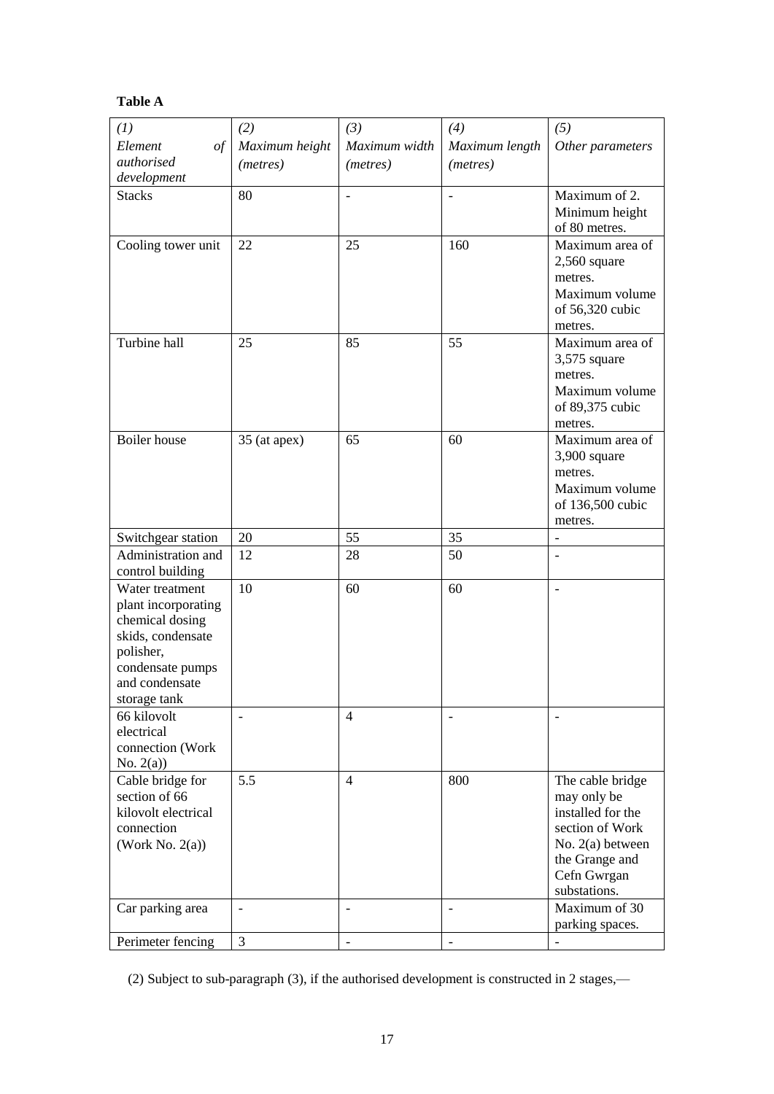### **Table A**

| (1)                 | (2)               | (3)                      | (4)               | (5)                       |
|---------------------|-------------------|--------------------------|-------------------|---------------------------|
| Element<br>$\iota$  | Maximum height    | Maximum width            | Maximum length    | Other parameters          |
| authorised          | ( <i>metres</i> ) | (metres)                 | (metres)          |                           |
| development         |                   |                          |                   |                           |
| <b>Stacks</b>       | 80                | $\qquad \qquad -$        | $\overline{a}$    | Maximum of 2.             |
|                     |                   |                          |                   | Minimum height            |
|                     |                   |                          |                   | of 80 metres.             |
|                     | 22                | 25                       | 160               | Maximum area of           |
| Cooling tower unit  |                   |                          |                   |                           |
|                     |                   |                          |                   | $2,560$ square<br>metres. |
|                     |                   |                          |                   |                           |
|                     |                   |                          |                   | Maximum volume            |
|                     |                   |                          |                   | of 56,320 cubic           |
|                     |                   |                          |                   | metres.                   |
| Turbine hall        | 25                | 85                       | 55                | Maximum area of           |
|                     |                   |                          |                   | $3,575$ square            |
|                     |                   |                          |                   | metres.                   |
|                     |                   |                          |                   | Maximum volume            |
|                     |                   |                          |                   | of 89,375 cubic           |
|                     |                   |                          |                   | metres.                   |
| Boiler house        | 35 (at apex)      | 65                       | 60                | Maximum area of           |
|                     |                   |                          |                   | 3,900 square              |
|                     |                   |                          |                   | metres.                   |
|                     |                   |                          |                   | Maximum volume            |
|                     |                   |                          |                   | of 136,500 cubic          |
|                     |                   |                          |                   | metres.                   |
| Switchgear station  | 20                | 55                       | 35                | $\overline{\phantom{a}}$  |
| Administration and  | 12                | 28                       | 50                | $\overline{a}$            |
| control building    |                   |                          |                   |                           |
| Water treatment     | 10                | 60                       | 60                | $\overline{\phantom{0}}$  |
| plant incorporating |                   |                          |                   |                           |
| chemical dosing     |                   |                          |                   |                           |
| skids, condensate   |                   |                          |                   |                           |
| polisher,           |                   |                          |                   |                           |
| condensate pumps    |                   |                          |                   |                           |
| and condensate      |                   |                          |                   |                           |
| storage tank        |                   |                          |                   |                           |
| 66 kilovolt         |                   | 4                        |                   |                           |
| electrical          |                   |                          |                   |                           |
| connection (Work    |                   |                          |                   |                           |
| No. $2(a)$          |                   |                          |                   |                           |
| Cable bridge for    | 5.5               | 4                        | 800               | The cable bridge          |
| section of 66       |                   |                          |                   | may only be               |
| kilovolt electrical |                   |                          |                   | installed for the         |
| connection          |                   |                          |                   | section of Work           |
|                     |                   |                          |                   |                           |
| (Work No. $2(a)$ )  |                   |                          |                   | No. $2(a)$ between        |
|                     |                   |                          |                   | the Grange and            |
|                     |                   |                          |                   | Cefn Gwrgan               |
|                     |                   |                          |                   | substations.              |
| Car parking area    |                   | $\overline{\phantom{0}}$ |                   | Maximum of 30             |
|                     |                   |                          |                   | parking spaces.           |
| Perimeter fencing   | 3                 | $\qquad \qquad -$        | $\qquad \qquad -$ |                           |

(2) Subject to sub-paragraph (3), if the authorised development is constructed in 2 stages,—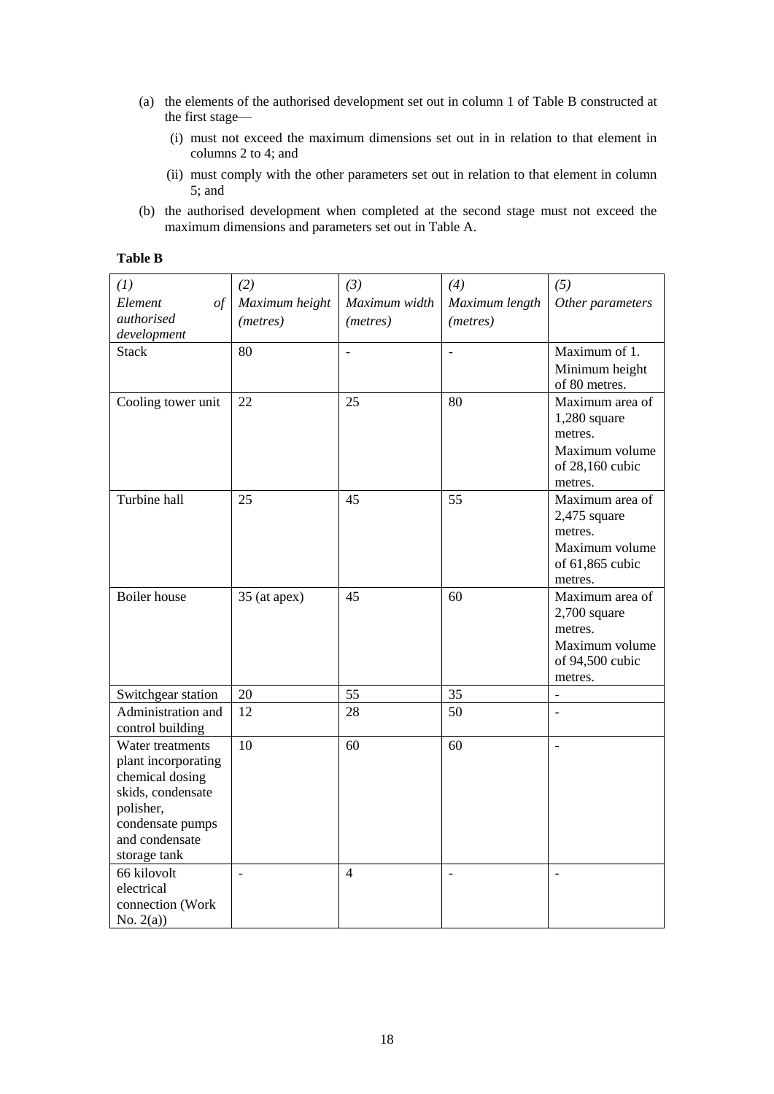- (a) the elements of the authorised development set out in column 1 of Table B constructed at the first stage—
	- (i) must not exceed the maximum dimensions set out in in relation to that element in columns 2 to 4; and
	- (ii) must comply with the other parameters set out in relation to that element in column 5; and
- (b) the authorised development when completed at the second stage must not exceed the maximum dimensions and parameters set out in Table A.

| (1)                                        | (2)                      | (3)               | (4)            | (5)              |
|--------------------------------------------|--------------------------|-------------------|----------------|------------------|
| Element<br>$\frac{\partial f}{\partial x}$ | Maximum height           | Maximum width     | Maximum length | Other parameters |
| authorised                                 | (metres)                 | ( <i>metres</i> ) | (metres)       |                  |
| development                                |                          |                   |                |                  |
| <b>Stack</b>                               | 80                       | $\overline{a}$    |                | Maximum of 1.    |
|                                            |                          |                   |                | Minimum height   |
|                                            |                          |                   |                | of 80 metres.    |
| Cooling tower unit                         | 22                       | 25                | 80             | Maximum area of  |
|                                            |                          |                   |                | $1,280$ square   |
|                                            |                          |                   |                | metres.          |
|                                            |                          |                   |                | Maximum volume   |
|                                            |                          |                   |                | of 28,160 cubic  |
|                                            |                          |                   |                | metres.          |
| Turbine hall                               | 25                       | 45                | 55             | Maximum area of  |
|                                            |                          |                   |                | $2,475$ square   |
|                                            |                          |                   |                | metres.          |
|                                            |                          |                   |                | Maximum volume   |
|                                            |                          |                   |                | of 61,865 cubic  |
|                                            |                          |                   |                | metres.          |
| <b>Boiler</b> house                        | 35 (at apex)             | 45                | 60             | Maximum area of  |
|                                            |                          |                   |                | $2,700$ square   |
|                                            |                          |                   |                | metres.          |
|                                            |                          |                   |                | Maximum volume   |
|                                            |                          |                   |                | of 94,500 cubic  |
|                                            |                          |                   |                | metres.          |
| Switchgear station                         | 20                       | 55                | 35             | $\overline{a}$   |
| Administration and                         | 12                       | 28                | 50             | $\overline{a}$   |
| control building                           |                          |                   |                |                  |
| Water treatments                           | 10                       | 60                | 60             | $\overline{a}$   |
| plant incorporating                        |                          |                   |                |                  |
| chemical dosing                            |                          |                   |                |                  |
| skids, condensate                          |                          |                   |                |                  |
| polisher,                                  |                          |                   |                |                  |
| condensate pumps                           |                          |                   |                |                  |
| and condensate                             |                          |                   |                |                  |
| storage tank                               |                          |                   |                |                  |
| 66 kilovolt                                | $\overline{\phantom{a}}$ | $\overline{4}$    | $\overline{a}$ | $\overline{a}$   |
| electrical                                 |                          |                   |                |                  |
| connection (Work                           |                          |                   |                |                  |
| No. $2(a)$ )                               |                          |                   |                |                  |

### **Table B**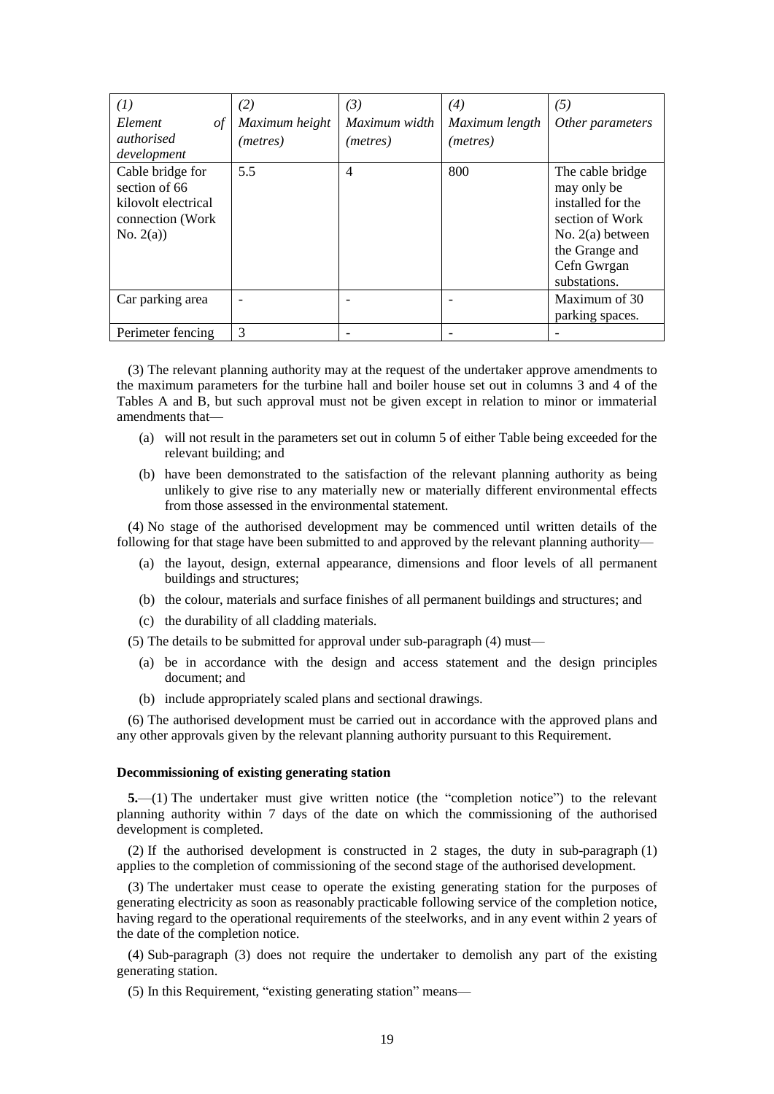| (1)                                                                                         | (2)               | (3)           | (4)               | (5)                                                                                                                                            |
|---------------------------------------------------------------------------------------------|-------------------|---------------|-------------------|------------------------------------------------------------------------------------------------------------------------------------------------|
| Element<br>οf                                                                               | Maximum height    | Maximum width | Maximum length    | Other parameters                                                                                                                               |
| <i>authorised</i><br>development                                                            | ( <i>metres</i> ) | (metres)      | ( <i>metres</i> ) |                                                                                                                                                |
| Cable bridge for<br>section of 66<br>kilovolt electrical<br>connection (Work)<br>No. $2(a)$ | 5.5               | 4             | 800               | The cable bridge<br>may only be<br>installed for the<br>section of Work<br>No. $2(a)$ between<br>the Grange and<br>Cefn Gwrgan<br>substations. |
| Car parking area                                                                            |                   |               |                   | Maximum of 30<br>parking spaces.                                                                                                               |
| Perimeter fencing                                                                           | 3                 |               |                   |                                                                                                                                                |

(3) The relevant planning authority may at the request of the undertaker approve amendments to the maximum parameters for the turbine hall and boiler house set out in columns 3 and 4 of the Tables A and B, but such approval must not be given except in relation to minor or immaterial amendments that—

- (a) will not result in the parameters set out in column 5 of either Table being exceeded for the relevant building; and
- (b) have been demonstrated to the satisfaction of the relevant planning authority as being unlikely to give rise to any materially new or materially different environmental effects from those assessed in the environmental statement.

(4) No stage of the authorised development may be commenced until written details of the following for that stage have been submitted to and approved by the relevant planning authority—

- (a) the layout, design, external appearance, dimensions and floor levels of all permanent buildings and structures;
- (b) the colour, materials and surface finishes of all permanent buildings and structures; and
- (c) the durability of all cladding materials.

(5) The details to be submitted for approval under sub-paragraph (4) must—

- (a) be in accordance with the design and access statement and the design principles document; and
- (b) include appropriately scaled plans and sectional drawings.

(6) The authorised development must be carried out in accordance with the approved plans and any other approvals given by the relevant planning authority pursuant to this Requirement.

#### **Decommissioning of existing generating station**

**5.**—(1) The undertaker must give written notice (the "completion notice") to the relevant planning authority within 7 days of the date on which the commissioning of the authorised development is completed.

(2) If the authorised development is constructed in 2 stages, the duty in sub-paragraph (1) applies to the completion of commissioning of the second stage of the authorised development.

(3) The undertaker must cease to operate the existing generating station for the purposes of generating electricity as soon as reasonably practicable following service of the completion notice, having regard to the operational requirements of the steelworks, and in any event within 2 years of the date of the completion notice.

(4) Sub-paragraph (3) does not require the undertaker to demolish any part of the existing generating station.

(5) In this Requirement, "existing generating station" means—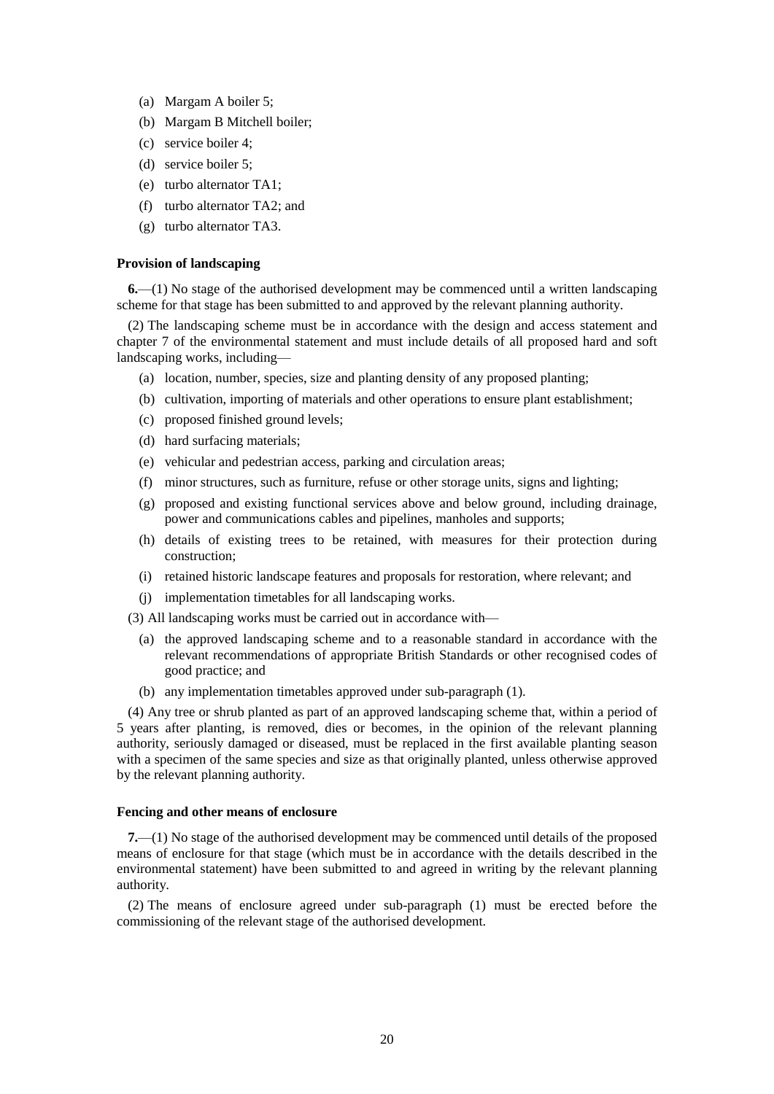- (a) Margam A boiler 5;
- (b) Margam B Mitchell boiler;
- (c) service boiler 4;
- (d) service boiler 5;
- (e) turbo alternator TA1;
- (f) turbo alternator TA2; and
- (g) turbo alternator TA3.

#### **Provision of landscaping**

**6.**—(1) No stage of the authorised development may be commenced until a written landscaping scheme for that stage has been submitted to and approved by the relevant planning authority.

(2) The landscaping scheme must be in accordance with the design and access statement and chapter 7 of the environmental statement and must include details of all proposed hard and soft landscaping works, including—

- (a) location, number, species, size and planting density of any proposed planting;
- (b) cultivation, importing of materials and other operations to ensure plant establishment;
- (c) proposed finished ground levels;
- (d) hard surfacing materials;
- (e) vehicular and pedestrian access, parking and circulation areas;
- (f) minor structures, such as furniture, refuse or other storage units, signs and lighting;
- (g) proposed and existing functional services above and below ground, including drainage, power and communications cables and pipelines, manholes and supports;
- (h) details of existing trees to be retained, with measures for their protection during construction;
- (i) retained historic landscape features and proposals for restoration, where relevant; and
- (j) implementation timetables for all landscaping works.

(3) All landscaping works must be carried out in accordance with—

- (a) the approved landscaping scheme and to a reasonable standard in accordance with the relevant recommendations of appropriate British Standards or other recognised codes of good practice; and
- (b) any implementation timetables approved under sub-paragraph (1).

(4) Any tree or shrub planted as part of an approved landscaping scheme that, within a period of 5 years after planting, is removed, dies or becomes, in the opinion of the relevant planning authority, seriously damaged or diseased, must be replaced in the first available planting season with a specimen of the same species and size as that originally planted, unless otherwise approved by the relevant planning authority.

#### **Fencing and other means of enclosure**

**7.**—(1) No stage of the authorised development may be commenced until details of the proposed means of enclosure for that stage (which must be in accordance with the details described in the environmental statement) have been submitted to and agreed in writing by the relevant planning authority.

(2) The means of enclosure agreed under sub-paragraph (1) must be erected before the commissioning of the relevant stage of the authorised development.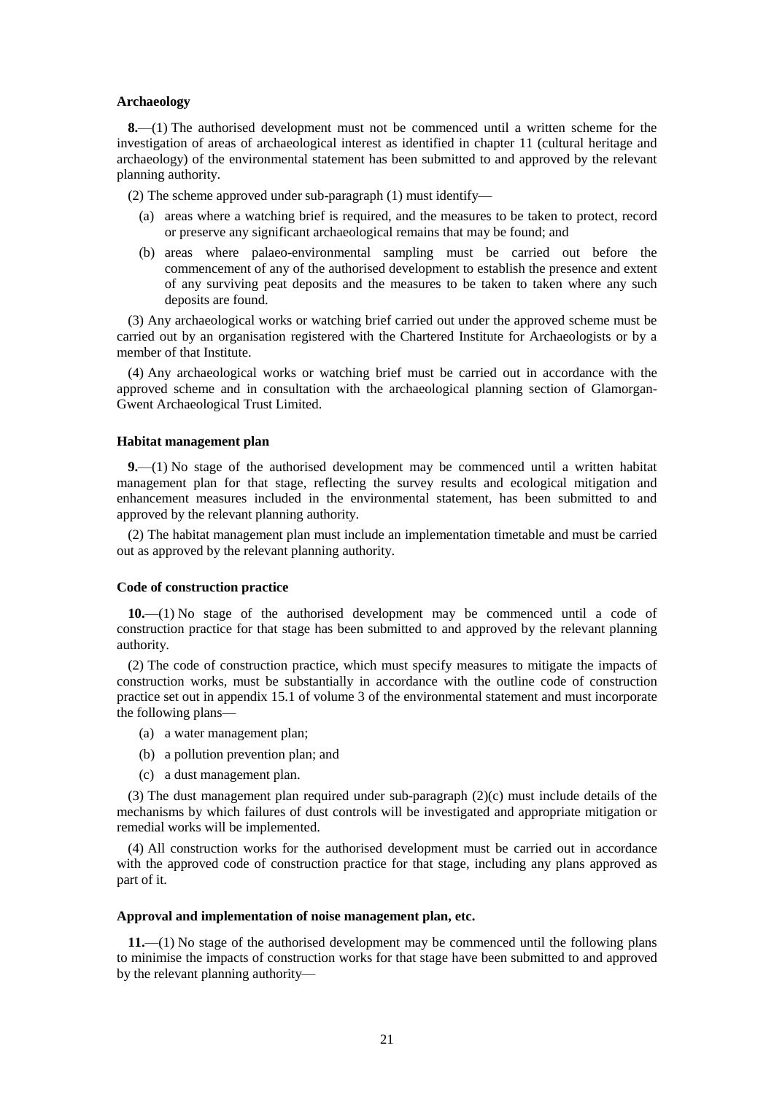#### **Archaeology**

**8.**—(1) The authorised development must not be commenced until a written scheme for the investigation of areas of archaeological interest as identified in chapter 11 (cultural heritage and archaeology) of the environmental statement has been submitted to and approved by the relevant planning authority.

(2) The scheme approved under sub-paragraph (1) must identify—

- (a) areas where a watching brief is required, and the measures to be taken to protect, record or preserve any significant archaeological remains that may be found; and
- (b) areas where palaeo-environmental sampling must be carried out before the commencement of any of the authorised development to establish the presence and extent of any surviving peat deposits and the measures to be taken to taken where any such deposits are found.

(3) Any archaeological works or watching brief carried out under the approved scheme must be carried out by an organisation registered with the Chartered Institute for Archaeologists or by a member of that Institute.

(4) Any archaeological works or watching brief must be carried out in accordance with the approved scheme and in consultation with the archaeological planning section of Glamorgan-Gwent Archaeological Trust Limited.

#### **Habitat management plan**

**9.**—(1) No stage of the authorised development may be commenced until a written habitat management plan for that stage, reflecting the survey results and ecological mitigation and enhancement measures included in the environmental statement, has been submitted to and approved by the relevant planning authority.

(2) The habitat management plan must include an implementation timetable and must be carried out as approved by the relevant planning authority.

#### **Code of construction practice**

**10.**—(1) No stage of the authorised development may be commenced until a code of construction practice for that stage has been submitted to and approved by the relevant planning authority.

(2) The code of construction practice, which must specify measures to mitigate the impacts of construction works, must be substantially in accordance with the outline code of construction practice set out in appendix 15.1 of volume 3 of the environmental statement and must incorporate the following plans—

- (a) a water management plan;
- (b) a pollution prevention plan; and
- (c) a dust management plan.

(3) The dust management plan required under sub-paragraph (2)(c) must include details of the mechanisms by which failures of dust controls will be investigated and appropriate mitigation or remedial works will be implemented.

(4) All construction works for the authorised development must be carried out in accordance with the approved code of construction practice for that stage, including any plans approved as part of it.

#### **Approval and implementation of noise management plan, etc.**

**11.**—(1) No stage of the authorised development may be commenced until the following plans to minimise the impacts of construction works for that stage have been submitted to and approved by the relevant planning authority—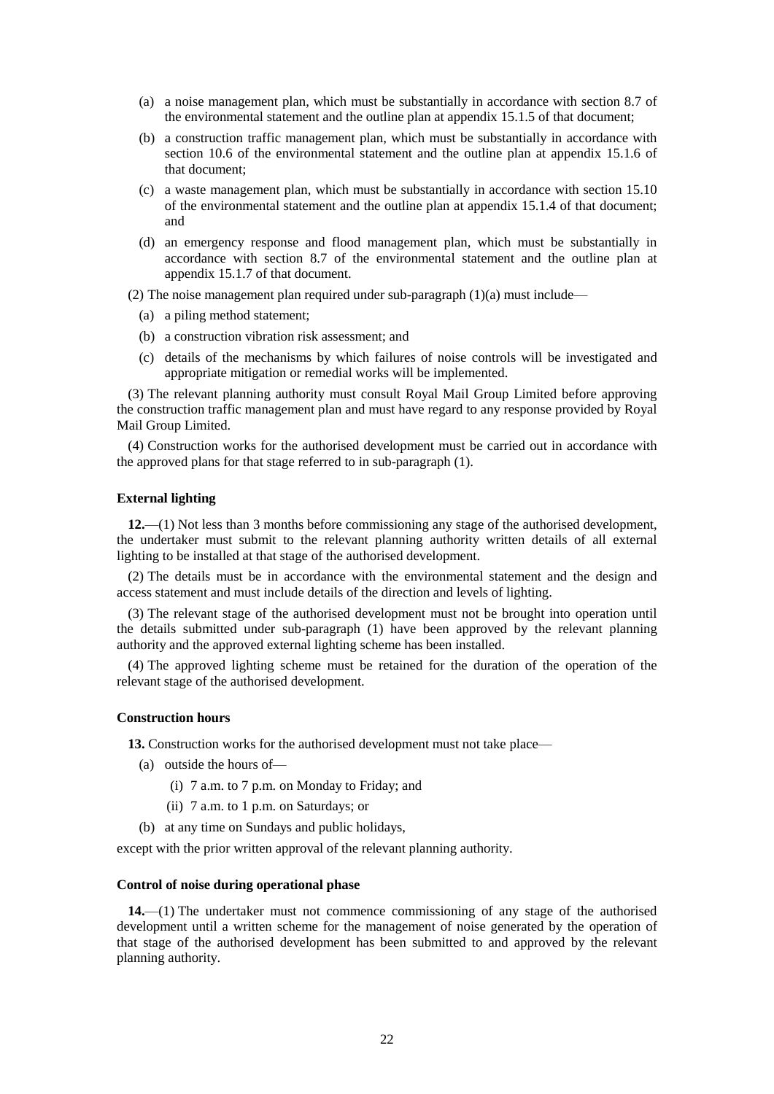- (a) a noise management plan, which must be substantially in accordance with section 8.7 of the environmental statement and the outline plan at appendix 15.1.5 of that document;
- (b) a construction traffic management plan, which must be substantially in accordance with section 10.6 of the environmental statement and the outline plan at appendix 15.1.6 of that document;
- (c) a waste management plan, which must be substantially in accordance with section 15.10 of the environmental statement and the outline plan at appendix 15.1.4 of that document; and
- (d) an emergency response and flood management plan, which must be substantially in accordance with section 8.7 of the environmental statement and the outline plan at appendix 15.1.7 of that document.

(2) The noise management plan required under sub-paragraph  $(1)(a)$  must include—

- (a) a piling method statement;
- (b) a construction vibration risk assessment; and
- (c) details of the mechanisms by which failures of noise controls will be investigated and appropriate mitigation or remedial works will be implemented.

(3) The relevant planning authority must consult Royal Mail Group Limited before approving the construction traffic management plan and must have regard to any response provided by Royal Mail Group Limited.

(4) Construction works for the authorised development must be carried out in accordance with the approved plans for that stage referred to in sub-paragraph (1).

#### **External lighting**

**12.**—(1) Not less than 3 months before commissioning any stage of the authorised development, the undertaker must submit to the relevant planning authority written details of all external lighting to be installed at that stage of the authorised development.

(2) The details must be in accordance with the environmental statement and the design and access statement and must include details of the direction and levels of lighting.

(3) The relevant stage of the authorised development must not be brought into operation until the details submitted under sub-paragraph (1) have been approved by the relevant planning authority and the approved external lighting scheme has been installed.

(4) The approved lighting scheme must be retained for the duration of the operation of the relevant stage of the authorised development.

#### **Construction hours**

**13.** Construction works for the authorised development must not take place—

- (a) outside the hours of—
	- (i) 7 a.m. to 7 p.m. on Monday to Friday; and
	- (ii) 7 a.m. to 1 p.m. on Saturdays; or
- (b) at any time on Sundays and public holidays,

except with the prior written approval of the relevant planning authority.

#### **Control of noise during operational phase**

**14.**—(1) The undertaker must not commence commissioning of any stage of the authorised development until a written scheme for the management of noise generated by the operation of that stage of the authorised development has been submitted to and approved by the relevant planning authority.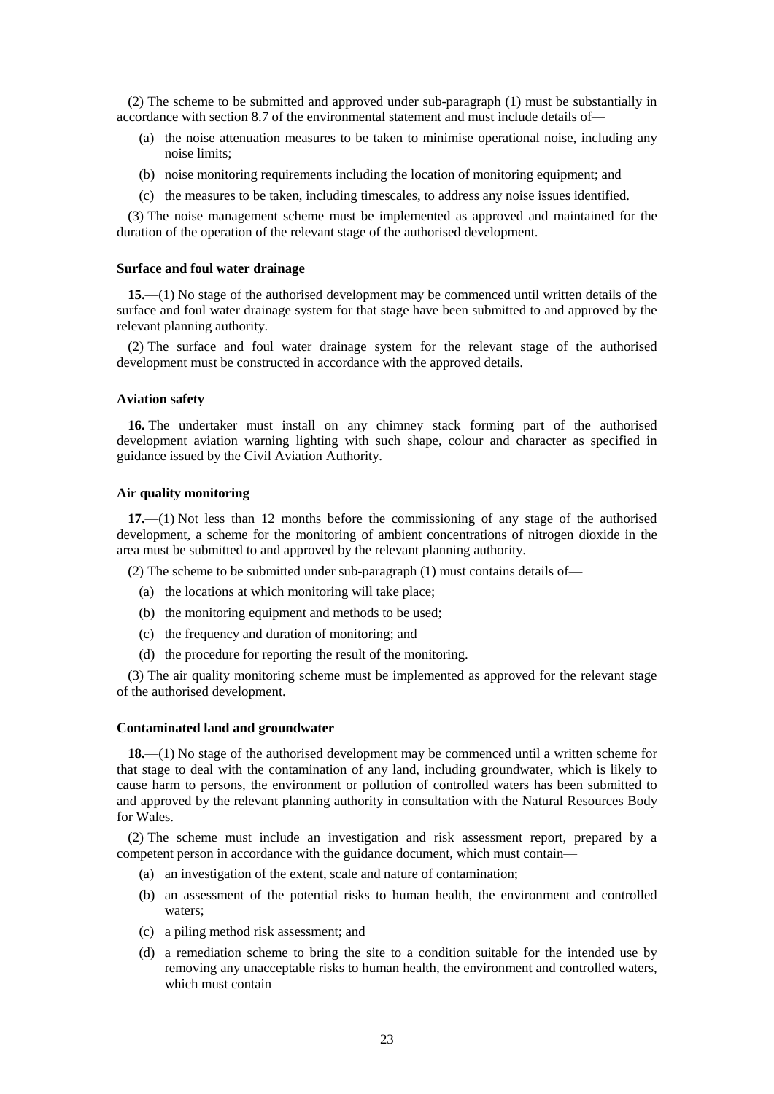(2) The scheme to be submitted and approved under sub-paragraph (1) must be substantially in accordance with section 8.7 of the environmental statement and must include details of—

- (a) the noise attenuation measures to be taken to minimise operational noise, including any noise limits;
- (b) noise monitoring requirements including the location of monitoring equipment; and
- (c) the measures to be taken, including timescales, to address any noise issues identified.

(3) The noise management scheme must be implemented as approved and maintained for the duration of the operation of the relevant stage of the authorised development.

#### **Surface and foul water drainage**

**15.**—(1) No stage of the authorised development may be commenced until written details of the surface and foul water drainage system for that stage have been submitted to and approved by the relevant planning authority.

(2) The surface and foul water drainage system for the relevant stage of the authorised development must be constructed in accordance with the approved details.

#### **Aviation safety**

**16.** The undertaker must install on any chimney stack forming part of the authorised development aviation warning lighting with such shape, colour and character as specified in guidance issued by the Civil Aviation Authority.

#### **Air quality monitoring**

**17.**—(1) Not less than 12 months before the commissioning of any stage of the authorised development, a scheme for the monitoring of ambient concentrations of nitrogen dioxide in the area must be submitted to and approved by the relevant planning authority.

(2) The scheme to be submitted under sub-paragraph (1) must contains details of—

- (a) the locations at which monitoring will take place;
- (b) the monitoring equipment and methods to be used;
- (c) the frequency and duration of monitoring; and
- (d) the procedure for reporting the result of the monitoring.

(3) The air quality monitoring scheme must be implemented as approved for the relevant stage of the authorised development.

#### **Contaminated land and groundwater**

**18.**—(1) No stage of the authorised development may be commenced until a written scheme for that stage to deal with the contamination of any land, including groundwater, which is likely to cause harm to persons, the environment or pollution of controlled waters has been submitted to and approved by the relevant planning authority in consultation with the Natural Resources Body for Wales.

(2) The scheme must include an investigation and risk assessment report, prepared by a competent person in accordance with the guidance document, which must contain—

- (a) an investigation of the extent, scale and nature of contamination;
- (b) an assessment of the potential risks to human health, the environment and controlled waters;
- (c) a piling method risk assessment; and
- (d) a remediation scheme to bring the site to a condition suitable for the intended use by removing any unacceptable risks to human health, the environment and controlled waters, which must contain—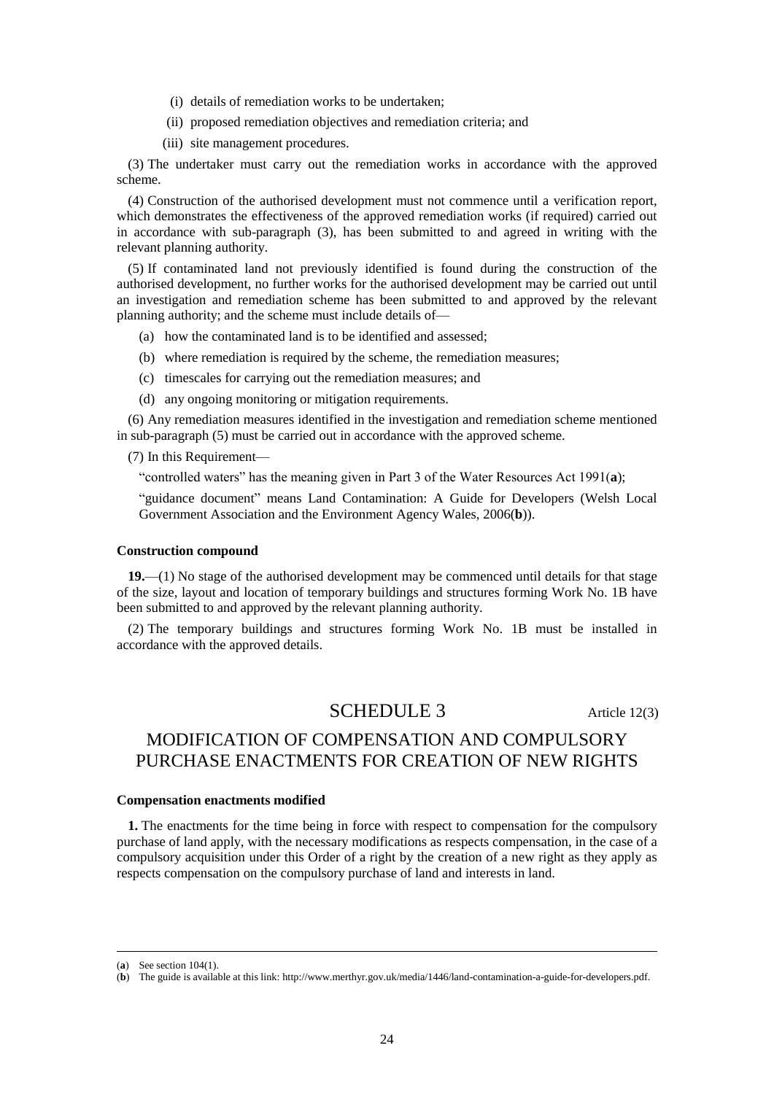- (i) details of remediation works to be undertaken;
- (ii) proposed remediation objectives and remediation criteria; and
- (iii) site management procedures.

(3) The undertaker must carry out the remediation works in accordance with the approved scheme.

(4) Construction of the authorised development must not commence until a verification report, which demonstrates the effectiveness of the approved remediation works (if required) carried out in accordance with sub-paragraph (3), has been submitted to and agreed in writing with the relevant planning authority.

(5) If contaminated land not previously identified is found during the construction of the authorised development, no further works for the authorised development may be carried out until an investigation and remediation scheme has been submitted to and approved by the relevant planning authority; and the scheme must include details of—

- (a) how the contaminated land is to be identified and assessed;
- (b) where remediation is required by the scheme, the remediation measures;
- (c) timescales for carrying out the remediation measures; and
- (d) any ongoing monitoring or mitigation requirements.

(6) Any remediation measures identified in the investigation and remediation scheme mentioned in sub-paragraph (5) must be carried out in accordance with the approved scheme.

(7) In this Requirement—

"controlled waters" has the meaning given in Part 3 of the Water Resources Act 1991(**a**);

"guidance document" means Land Contamination: A Guide for Developers (Welsh Local Government Association and the Environment Agency Wales, 2006(**b**)).

#### **Construction compound**

**19.**—(1) No stage of the authorised development may be commenced until details for that stage of the size, layout and location of temporary buildings and structures forming Work No. 1B have been submitted to and approved by the relevant planning authority.

(2) The temporary buildings and structures forming Work No. 1B must be installed in accordance with the approved details.

### SCHEDULE 3 Article 12(3)

# MODIFICATION OF COMPENSATION AND COMPULSORY PURCHASE ENACTMENTS FOR CREATION OF NEW RIGHTS

#### **Compensation enactments modified**

**1.** The enactments for the time being in force with respect to compensation for the compulsory purchase of land apply, with the necessary modifications as respects compensation, in the case of a compulsory acquisition under this Order of a right by the creation of a new right as they apply as respects compensation on the compulsory purchase of land and interests in land.

<sup>(</sup>**a**) See section 104(1).

<sup>(</sup>**b**) The guide is available at this link: http://www.merthyr.gov.uk/media/1446/land-contamination-a-guide-for-developers.pdf.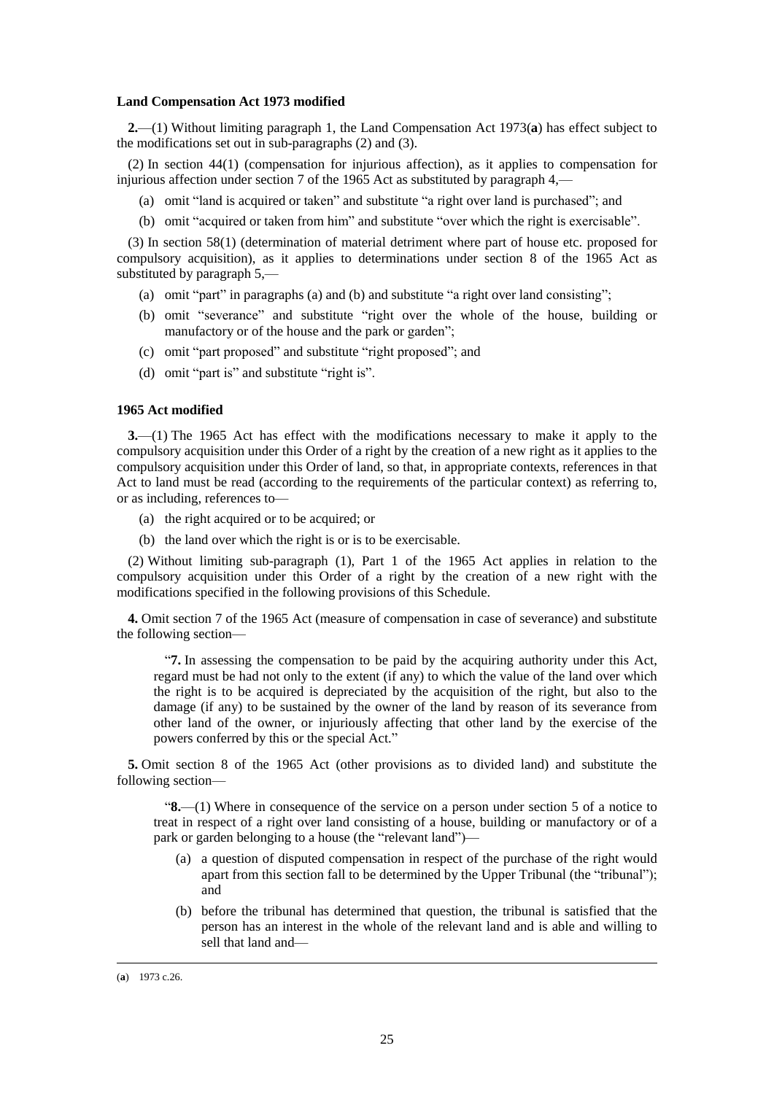#### **Land Compensation Act 1973 modified**

**2.**—(1) Without limiting paragraph 1, the Land Compensation Act 1973(**a**) has effect subject to the modifications set out in sub-paragraphs (2) and (3).

(2) In section 44(1) (compensation for injurious affection), as it applies to compensation for injurious affection under section 7 of the 1965 Act as substituted by paragraph 4,—

- (a) omit "land is acquired or taken" and substitute "a right over land is purchased"; and
- (b) omit "acquired or taken from him" and substitute "over which the right is exercisable".

(3) In section 58(1) (determination of material detriment where part of house etc. proposed for compulsory acquisition), as it applies to determinations under section 8 of the 1965 Act as substituted by paragraph 5,—

- (a) omit "part" in paragraphs (a) and (b) and substitute "a right over land consisting";
- (b) omit "severance" and substitute "right over the whole of the house, building or manufactory or of the house and the park or garden";
- (c) omit "part proposed" and substitute "right proposed"; and
- (d) omit "part is" and substitute "right is".

#### **1965 Act modified**

**3.**—(1) The 1965 Act has effect with the modifications necessary to make it apply to the compulsory acquisition under this Order of a right by the creation of a new right as it applies to the compulsory acquisition under this Order of land, so that, in appropriate contexts, references in that Act to land must be read (according to the requirements of the particular context) as referring to, or as including, references to—

- (a) the right acquired or to be acquired; or
- (b) the land over which the right is or is to be exercisable.

(2) Without limiting sub-paragraph (1), Part 1 of the 1965 Act applies in relation to the compulsory acquisition under this Order of a right by the creation of a new right with the modifications specified in the following provisions of this Schedule.

**4.** Omit section 7 of the 1965 Act (measure of compensation in case of severance) and substitute the following section—

"**7.** In assessing the compensation to be paid by the acquiring authority under this Act, regard must be had not only to the extent (if any) to which the value of the land over which the right is to be acquired is depreciated by the acquisition of the right, but also to the damage (if any) to be sustained by the owner of the land by reason of its severance from other land of the owner, or injuriously affecting that other land by the exercise of the powers conferred by this or the special Act."

**5.** Omit section 8 of the 1965 Act (other provisions as to divided land) and substitute the following section—

"**8.**—(1) Where in consequence of the service on a person under section 5 of a notice to treat in respect of a right over land consisting of a house, building or manufactory or of a park or garden belonging to a house (the "relevant land")—

- (a) a question of disputed compensation in respect of the purchase of the right would apart from this section fall to be determined by the Upper Tribunal (the "tribunal"); and
- (b) before the tribunal has determined that question, the tribunal is satisfied that the person has an interest in the whole of the relevant land and is able and willing to sell that land and—

<sup>(</sup>**a**) 1973 c.26.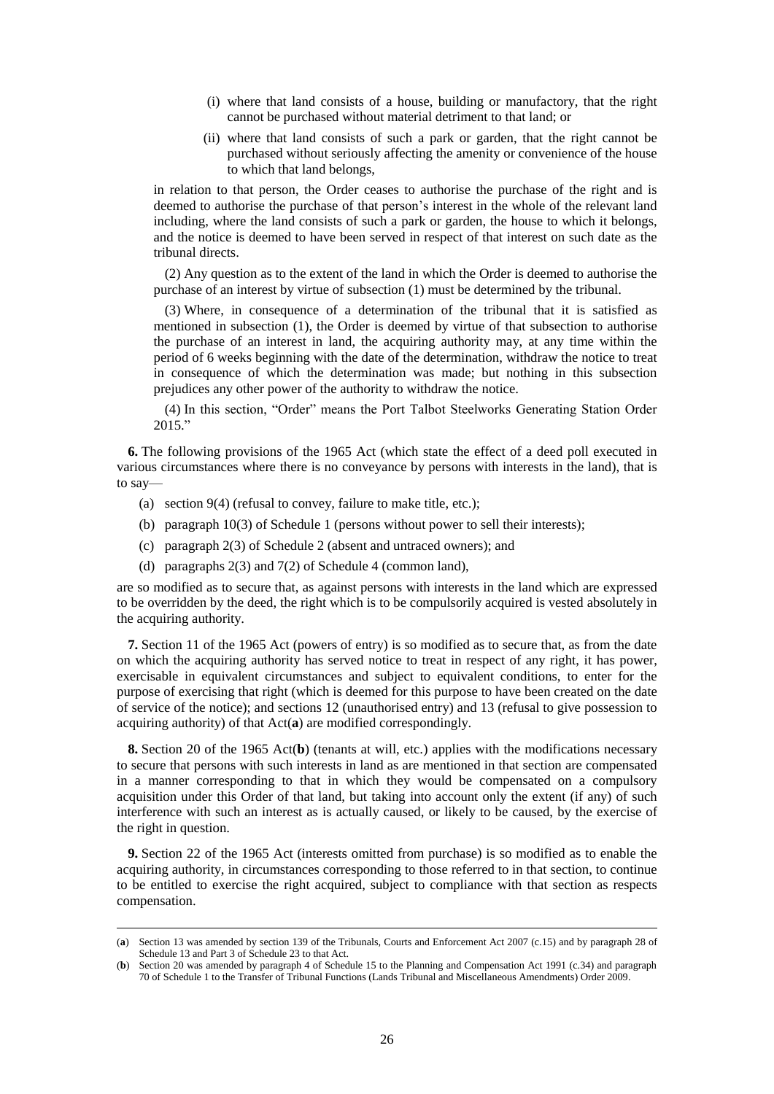- (i) where that land consists of a house, building or manufactory, that the right cannot be purchased without material detriment to that land; or
- (ii) where that land consists of such a park or garden, that the right cannot be purchased without seriously affecting the amenity or convenience of the house to which that land belongs,

in relation to that person, the Order ceases to authorise the purchase of the right and is deemed to authorise the purchase of that person's interest in the whole of the relevant land including, where the land consists of such a park or garden, the house to which it belongs, and the notice is deemed to have been served in respect of that interest on such date as the tribunal directs.

(2) Any question as to the extent of the land in which the Order is deemed to authorise the purchase of an interest by virtue of subsection (1) must be determined by the tribunal.

(3) Where, in consequence of a determination of the tribunal that it is satisfied as mentioned in subsection (1), the Order is deemed by virtue of that subsection to authorise the purchase of an interest in land, the acquiring authority may, at any time within the period of 6 weeks beginning with the date of the determination, withdraw the notice to treat in consequence of which the determination was made; but nothing in this subsection prejudices any other power of the authority to withdraw the notice.

(4) In this section, "Order" means the Port Talbot Steelworks Generating Station Order 2015."

**6.** The following provisions of the 1965 Act (which state the effect of a deed poll executed in various circumstances where there is no conveyance by persons with interests in the land), that is to say—

- (a) section 9(4) (refusal to convey, failure to make title, etc.);
- (b) paragraph 10(3) of Schedule 1 (persons without power to sell their interests);
- (c) paragraph 2(3) of Schedule 2 (absent and untraced owners); and
- (d) paragraphs 2(3) and 7(2) of Schedule 4 (common land),

 $\overline{a}$ 

are so modified as to secure that, as against persons with interests in the land which are expressed to be overridden by the deed, the right which is to be compulsorily acquired is vested absolutely in the acquiring authority.

**7.** Section 11 of the 1965 Act (powers of entry) is so modified as to secure that, as from the date on which the acquiring authority has served notice to treat in respect of any right, it has power, exercisable in equivalent circumstances and subject to equivalent conditions, to enter for the purpose of exercising that right (which is deemed for this purpose to have been created on the date of service of the notice); and sections 12 (unauthorised entry) and 13 (refusal to give possession to acquiring authority) of that Act(**a**) are modified correspondingly.

**8.** Section 20 of the 1965 Act(**b**) (tenants at will, etc.) applies with the modifications necessary to secure that persons with such interests in land as are mentioned in that section are compensated in a manner corresponding to that in which they would be compensated on a compulsory acquisition under this Order of that land, but taking into account only the extent (if any) of such interference with such an interest as is actually caused, or likely to be caused, by the exercise of the right in question.

**9.** Section 22 of the 1965 Act (interests omitted from purchase) is so modified as to enable the acquiring authority, in circumstances corresponding to those referred to in that section, to continue to be entitled to exercise the right acquired, subject to compliance with that section as respects compensation.

<sup>(</sup>**a**) Section 13 was amended by section 139 of the Tribunals, Courts and Enforcement Act 2007 (c.15) and by paragraph 28 of Schedule 13 and Part 3 of Schedule 23 to that Act.

<sup>(</sup>**b**) Section 20 was amended by paragraph 4 of Schedule 15 to the Planning and Compensation Act 1991 (c.34) and paragraph 70 of Schedule 1 to the Transfer of Tribunal Functions (Lands Tribunal and Miscellaneous Amendments) Order 2009.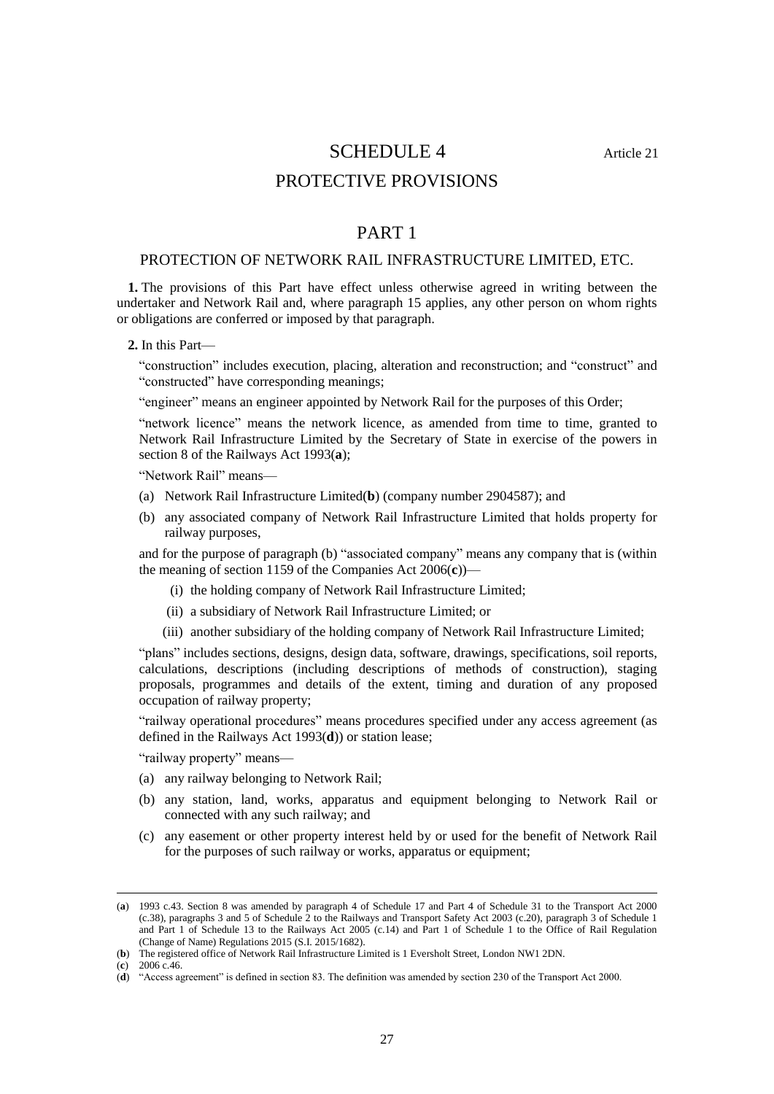# SCHEDULE 4 Article 21

### PROTECTIVE PROVISIONS

### PART 1

### PROTECTION OF NETWORK RAIL INFRASTRUCTURE LIMITED, ETC.

**1.** The provisions of this Part have effect unless otherwise agreed in writing between the undertaker and Network Rail and, where paragraph 15 applies, any other person on whom rights or obligations are conferred or imposed by that paragraph.

**2.** In this Part—

"construction" includes execution, placing, alteration and reconstruction; and "construct" and "constructed" have corresponding meanings;

"engineer" means an engineer appointed by Network Rail for the purposes of this Order;

"network licence" means the network licence, as amended from time to time, granted to Network Rail Infrastructure Limited by the Secretary of State in exercise of the powers in section 8 of the Railways Act 1993(**a**);

"Network Rail" means—

- (a) Network Rail Infrastructure Limited(**b**) (company number 2904587); and
- (b) any associated company of Network Rail Infrastructure Limited that holds property for railway purposes,

and for the purpose of paragraph (b) "associated company" means any company that is (within the meaning of section 1159 of the Companies Act 2006(**c**))—

- (i) the holding company of Network Rail Infrastructure Limited;
- (ii) a subsidiary of Network Rail Infrastructure Limited; or
- (iii) another subsidiary of the holding company of Network Rail Infrastructure Limited;

"plans" includes sections, designs, design data, software, drawings, specifications, soil reports, calculations, descriptions (including descriptions of methods of construction), staging proposals, programmes and details of the extent, timing and duration of any proposed occupation of railway property;

"railway operational procedures" means procedures specified under any access agreement (as defined in the Railways Act 1993(**d**)) or station lease;

"railway property" means—

- (a) any railway belonging to Network Rail;
- (b) any station, land, works, apparatus and equipment belonging to Network Rail or connected with any such railway; and
- (c) any easement or other property interest held by or used for the benefit of Network Rail for the purposes of such railway or works, apparatus or equipment;

<sup>(</sup>**a**) 1993 c.43. Section 8 was amended by paragraph 4 of Schedule 17 and Part 4 of Schedule 31 to the Transport Act 2000 (c.38), paragraphs 3 and 5 of Schedule 2 to the Railways and Transport Safety Act 2003 (c.20), paragraph 3 of Schedule 1 and Part 1 of Schedule 13 to the Railways Act 2005 (c.14) and Part 1 of Schedule 1 to the Office of Rail Regulation (Change of Name) Regulations 2015 (S.I. 2015/1682).

<sup>(</sup>**b**) The registered office of Network Rail Infrastructure Limited is 1 Eversholt Street, London NW1 2DN.

<sup>(</sup>**c**) 2006 c.46.

<sup>(</sup>**d**) "Access agreement" is defined in section 83. The definition was amended by section 230 of the Transport Act 2000.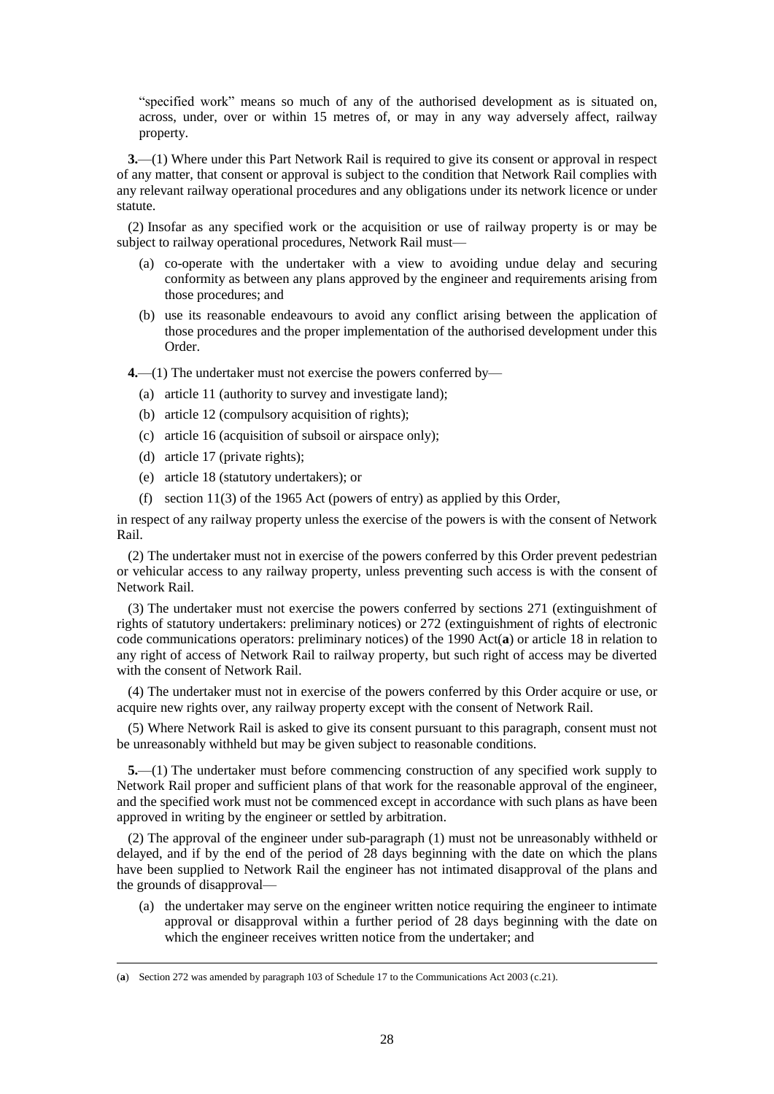"specified work" means so much of any of the authorised development as is situated on, across, under, over or within 15 metres of, or may in any way adversely affect, railway property.

**3.**—(1) Where under this Part Network Rail is required to give its consent or approval in respect of any matter, that consent or approval is subject to the condition that Network Rail complies with any relevant railway operational procedures and any obligations under its network licence or under statute.

(2) Insofar as any specified work or the acquisition or use of railway property is or may be subject to railway operational procedures, Network Rail must—

- (a) co-operate with the undertaker with a view to avoiding undue delay and securing conformity as between any plans approved by the engineer and requirements arising from those procedures; and
- (b) use its reasonable endeavours to avoid any conflict arising between the application of those procedures and the proper implementation of the authorised development under this Order.

**4.**—(1) The undertaker must not exercise the powers conferred by—

- (a) article 11 (authority to survey and investigate land);
- (b) article 12 (compulsory acquisition of rights);
- (c) article 16 (acquisition of subsoil or airspace only);
- (d) article 17 (private rights);

 $\overline{a}$ 

- (e) article 18 (statutory undertakers); or
- (f) section 11(3) of the 1965 Act (powers of entry) as applied by this Order,

in respect of any railway property unless the exercise of the powers is with the consent of Network Rail.

(2) The undertaker must not in exercise of the powers conferred by this Order prevent pedestrian or vehicular access to any railway property, unless preventing such access is with the consent of Network Rail.

(3) The undertaker must not exercise the powers conferred by sections 271 (extinguishment of rights of statutory undertakers: preliminary notices) or 272 (extinguishment of rights of electronic code communications operators: preliminary notices) of the 1990 Act(**a**) or article 18 in relation to any right of access of Network Rail to railway property, but such right of access may be diverted with the consent of Network Rail.

(4) The undertaker must not in exercise of the powers conferred by this Order acquire or use, or acquire new rights over, any railway property except with the consent of Network Rail.

(5) Where Network Rail is asked to give its consent pursuant to this paragraph, consent must not be unreasonably withheld but may be given subject to reasonable conditions.

**5.**—(1) The undertaker must before commencing construction of any specified work supply to Network Rail proper and sufficient plans of that work for the reasonable approval of the engineer, and the specified work must not be commenced except in accordance with such plans as have been approved in writing by the engineer or settled by arbitration.

(2) The approval of the engineer under sub-paragraph (1) must not be unreasonably withheld or delayed, and if by the end of the period of 28 days beginning with the date on which the plans have been supplied to Network Rail the engineer has not intimated disapproval of the plans and the grounds of disapproval—

(a) the undertaker may serve on the engineer written notice requiring the engineer to intimate approval or disapproval within a further period of 28 days beginning with the date on which the engineer receives written notice from the undertaker; and

<sup>(</sup>**a**) Section 272 was amended by paragraph 103 of Schedule 17 to the Communications Act 2003 (c.21).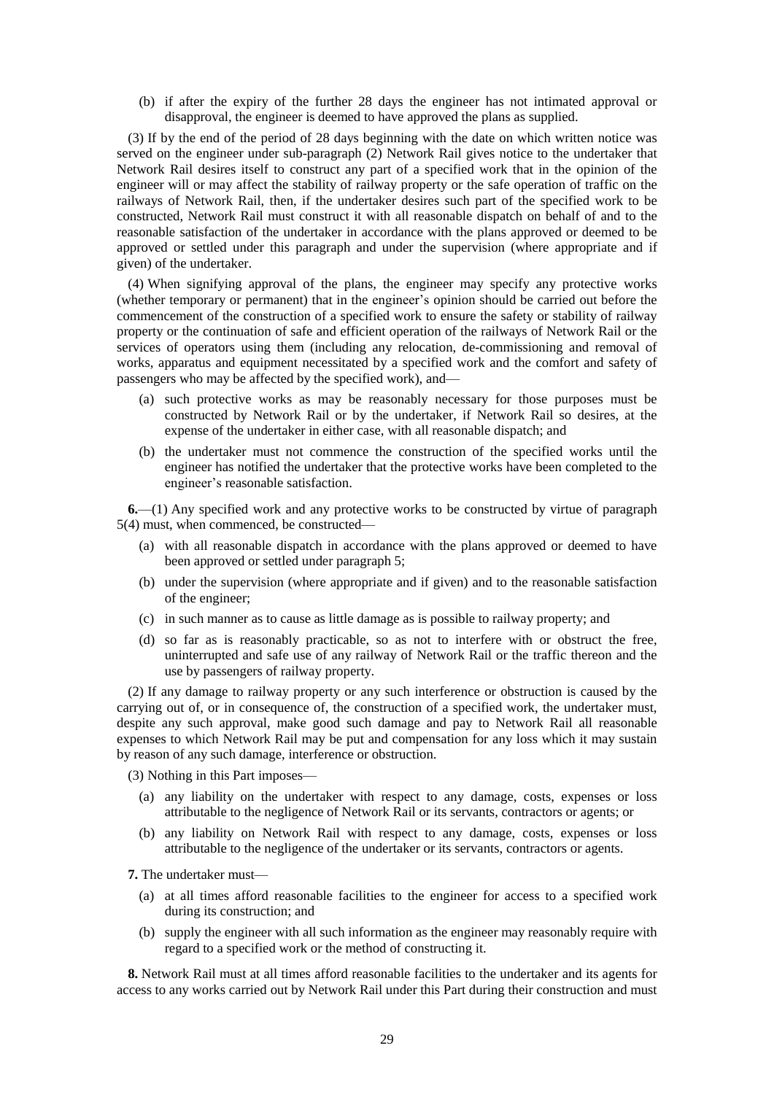(b) if after the expiry of the further 28 days the engineer has not intimated approval or disapproval, the engineer is deemed to have approved the plans as supplied.

(3) If by the end of the period of 28 days beginning with the date on which written notice was served on the engineer under sub-paragraph (2) Network Rail gives notice to the undertaker that Network Rail desires itself to construct any part of a specified work that in the opinion of the engineer will or may affect the stability of railway property or the safe operation of traffic on the railways of Network Rail, then, if the undertaker desires such part of the specified work to be constructed, Network Rail must construct it with all reasonable dispatch on behalf of and to the reasonable satisfaction of the undertaker in accordance with the plans approved or deemed to be approved or settled under this paragraph and under the supervision (where appropriate and if given) of the undertaker.

(4) When signifying approval of the plans, the engineer may specify any protective works (whether temporary or permanent) that in the engineer's opinion should be carried out before the commencement of the construction of a specified work to ensure the safety or stability of railway property or the continuation of safe and efficient operation of the railways of Network Rail or the services of operators using them (including any relocation, de-commissioning and removal of works, apparatus and equipment necessitated by a specified work and the comfort and safety of passengers who may be affected by the specified work), and—

- (a) such protective works as may be reasonably necessary for those purposes must be constructed by Network Rail or by the undertaker, if Network Rail so desires, at the expense of the undertaker in either case, with all reasonable dispatch; and
- (b) the undertaker must not commence the construction of the specified works until the engineer has notified the undertaker that the protective works have been completed to the engineer's reasonable satisfaction.

**6.**—(1) Any specified work and any protective works to be constructed by virtue of paragraph 5(4) must, when commenced, be constructed—

- (a) with all reasonable dispatch in accordance with the plans approved or deemed to have been approved or settled under paragraph 5;
- (b) under the supervision (where appropriate and if given) and to the reasonable satisfaction of the engineer;
- (c) in such manner as to cause as little damage as is possible to railway property; and
- (d) so far as is reasonably practicable, so as not to interfere with or obstruct the free, uninterrupted and safe use of any railway of Network Rail or the traffic thereon and the use by passengers of railway property.

(2) If any damage to railway property or any such interference or obstruction is caused by the carrying out of, or in consequence of, the construction of a specified work, the undertaker must, despite any such approval, make good such damage and pay to Network Rail all reasonable expenses to which Network Rail may be put and compensation for any loss which it may sustain by reason of any such damage, interference or obstruction.

(3) Nothing in this Part imposes—

- (a) any liability on the undertaker with respect to any damage, costs, expenses or loss attributable to the negligence of Network Rail or its servants, contractors or agents; or
- (b) any liability on Network Rail with respect to any damage, costs, expenses or loss attributable to the negligence of the undertaker or its servants, contractors or agents.

**7.** The undertaker must—

- (a) at all times afford reasonable facilities to the engineer for access to a specified work during its construction; and
- (b) supply the engineer with all such information as the engineer may reasonably require with regard to a specified work or the method of constructing it.

**8.** Network Rail must at all times afford reasonable facilities to the undertaker and its agents for access to any works carried out by Network Rail under this Part during their construction and must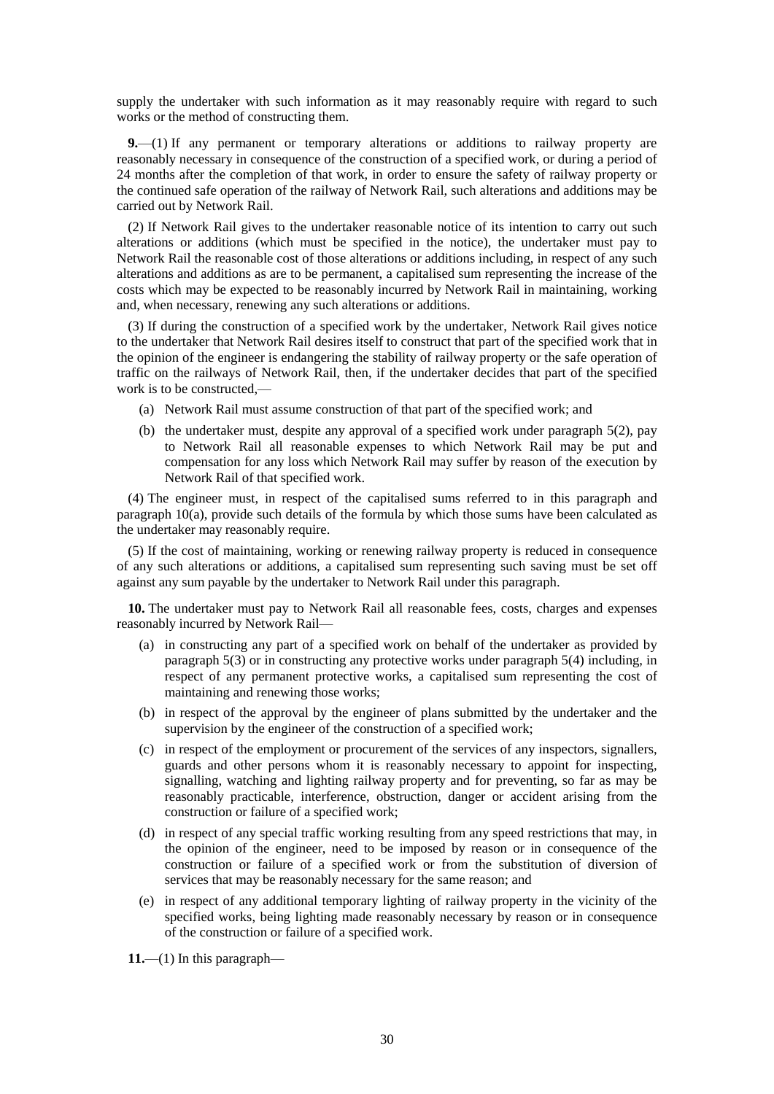supply the undertaker with such information as it may reasonably require with regard to such works or the method of constructing them.

**9.**—(1) If any permanent or temporary alterations or additions to railway property are reasonably necessary in consequence of the construction of a specified work, or during a period of 24 months after the completion of that work, in order to ensure the safety of railway property or the continued safe operation of the railway of Network Rail, such alterations and additions may be carried out by Network Rail.

(2) If Network Rail gives to the undertaker reasonable notice of its intention to carry out such alterations or additions (which must be specified in the notice), the undertaker must pay to Network Rail the reasonable cost of those alterations or additions including, in respect of any such alterations and additions as are to be permanent, a capitalised sum representing the increase of the costs which may be expected to be reasonably incurred by Network Rail in maintaining, working and, when necessary, renewing any such alterations or additions.

(3) If during the construction of a specified work by the undertaker, Network Rail gives notice to the undertaker that Network Rail desires itself to construct that part of the specified work that in the opinion of the engineer is endangering the stability of railway property or the safe operation of traffic on the railways of Network Rail, then, if the undertaker decides that part of the specified work is to be constructed,—

- (a) Network Rail must assume construction of that part of the specified work; and
- (b) the undertaker must, despite any approval of a specified work under paragraph 5(2), pay to Network Rail all reasonable expenses to which Network Rail may be put and compensation for any loss which Network Rail may suffer by reason of the execution by Network Rail of that specified work.

(4) The engineer must, in respect of the capitalised sums referred to in this paragraph and paragraph 10(a), provide such details of the formula by which those sums have been calculated as the undertaker may reasonably require.

(5) If the cost of maintaining, working or renewing railway property is reduced in consequence of any such alterations or additions, a capitalised sum representing such saving must be set off against any sum payable by the undertaker to Network Rail under this paragraph.

**10.** The undertaker must pay to Network Rail all reasonable fees, costs, charges and expenses reasonably incurred by Network Rail—

- (a) in constructing any part of a specified work on behalf of the undertaker as provided by paragraph 5(3) or in constructing any protective works under paragraph 5(4) including, in respect of any permanent protective works, a capitalised sum representing the cost of maintaining and renewing those works;
- (b) in respect of the approval by the engineer of plans submitted by the undertaker and the supervision by the engineer of the construction of a specified work;
- (c) in respect of the employment or procurement of the services of any inspectors, signallers, guards and other persons whom it is reasonably necessary to appoint for inspecting, signalling, watching and lighting railway property and for preventing, so far as may be reasonably practicable, interference, obstruction, danger or accident arising from the construction or failure of a specified work;
- (d) in respect of any special traffic working resulting from any speed restrictions that may, in the opinion of the engineer, need to be imposed by reason or in consequence of the construction or failure of a specified work or from the substitution of diversion of services that may be reasonably necessary for the same reason; and
- (e) in respect of any additional temporary lighting of railway property in the vicinity of the specified works, being lighting made reasonably necessary by reason or in consequence of the construction or failure of a specified work.

**11.**—(1) In this paragraph—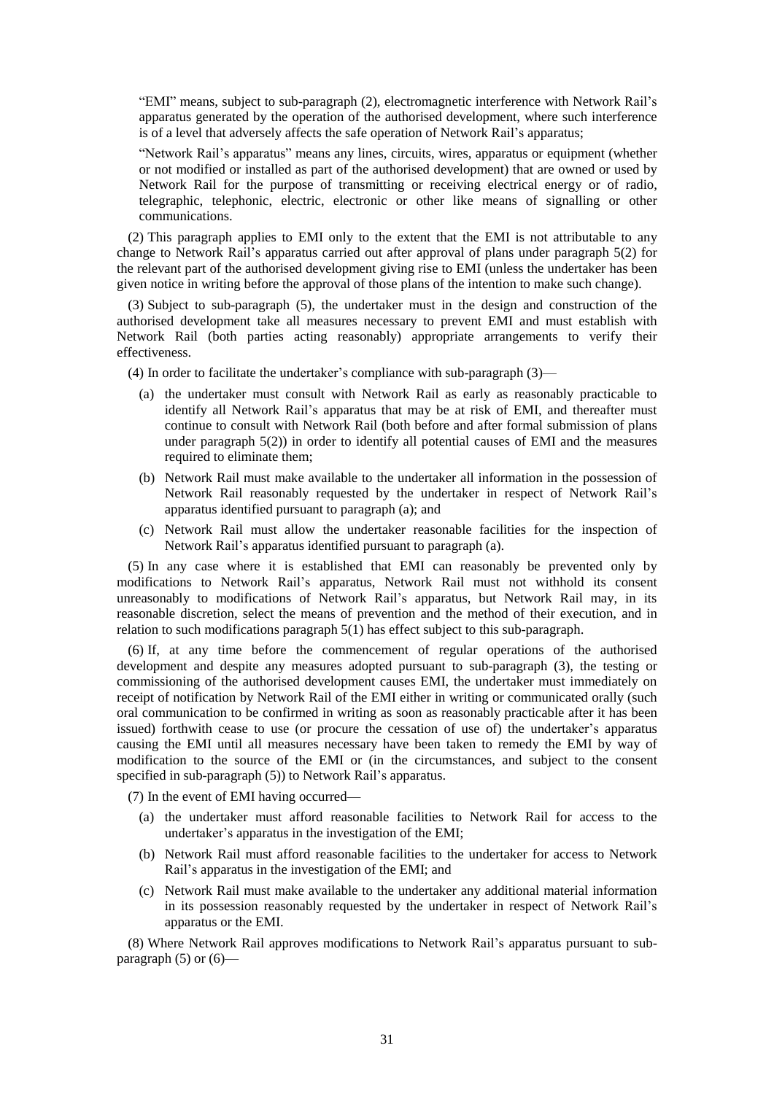"EMI" means, subject to sub-paragraph (2), electromagnetic interference with Network Rail's apparatus generated by the operation of the authorised development, where such interference is of a level that adversely affects the safe operation of Network Rail's apparatus;

"Network Rail's apparatus" means any lines, circuits, wires, apparatus or equipment (whether or not modified or installed as part of the authorised development) that are owned or used by Network Rail for the purpose of transmitting or receiving electrical energy or of radio, telegraphic, telephonic, electric, electronic or other like means of signalling or other communications.

(2) This paragraph applies to EMI only to the extent that the EMI is not attributable to any change to Network Rail's apparatus carried out after approval of plans under paragraph 5(2) for the relevant part of the authorised development giving rise to EMI (unless the undertaker has been given notice in writing before the approval of those plans of the intention to make such change).

(3) Subject to sub-paragraph (5), the undertaker must in the design and construction of the authorised development take all measures necessary to prevent EMI and must establish with Network Rail (both parties acting reasonably) appropriate arrangements to verify their effectiveness.

(4) In order to facilitate the undertaker's compliance with sub-paragraph (3)—

- (a) the undertaker must consult with Network Rail as early as reasonably practicable to identify all Network Rail's apparatus that may be at risk of EMI, and thereafter must continue to consult with Network Rail (both before and after formal submission of plans under paragraph 5(2)) in order to identify all potential causes of EMI and the measures required to eliminate them;
- (b) Network Rail must make available to the undertaker all information in the possession of Network Rail reasonably requested by the undertaker in respect of Network Rail's apparatus identified pursuant to paragraph (a); and
- (c) Network Rail must allow the undertaker reasonable facilities for the inspection of Network Rail's apparatus identified pursuant to paragraph (a).

(5) In any case where it is established that EMI can reasonably be prevented only by modifications to Network Rail's apparatus, Network Rail must not withhold its consent unreasonably to modifications of Network Rail's apparatus, but Network Rail may, in its reasonable discretion, select the means of prevention and the method of their execution, and in relation to such modifications paragraph 5(1) has effect subject to this sub-paragraph.

(6) If, at any time before the commencement of regular operations of the authorised development and despite any measures adopted pursuant to sub-paragraph (3), the testing or commissioning of the authorised development causes EMI, the undertaker must immediately on receipt of notification by Network Rail of the EMI either in writing or communicated orally (such oral communication to be confirmed in writing as soon as reasonably practicable after it has been issued) forthwith cease to use (or procure the cessation of use of) the undertaker's apparatus causing the EMI until all measures necessary have been taken to remedy the EMI by way of modification to the source of the EMI or (in the circumstances, and subject to the consent specified in sub-paragraph (5)) to Network Rail's apparatus.

(7) In the event of EMI having occurred—

- (a) the undertaker must afford reasonable facilities to Network Rail for access to the undertaker's apparatus in the investigation of the EMI;
- (b) Network Rail must afford reasonable facilities to the undertaker for access to Network Rail's apparatus in the investigation of the EMI; and
- (c) Network Rail must make available to the undertaker any additional material information in its possession reasonably requested by the undertaker in respect of Network Rail's apparatus or the EMI.

(8) Where Network Rail approves modifications to Network Rail's apparatus pursuant to subparagraph  $(5)$  or  $(6)$ —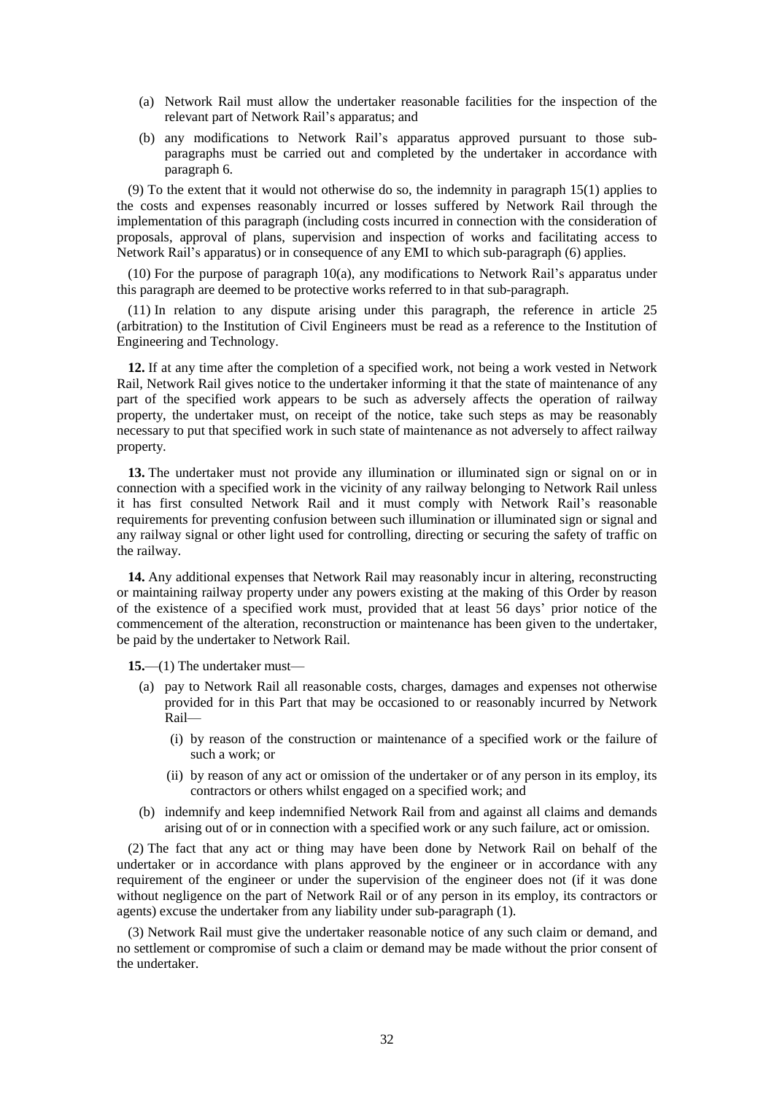- (a) Network Rail must allow the undertaker reasonable facilities for the inspection of the relevant part of Network Rail's apparatus; and
- (b) any modifications to Network Rail's apparatus approved pursuant to those subparagraphs must be carried out and completed by the undertaker in accordance with paragraph 6.

(9) To the extent that it would not otherwise do so, the indemnity in paragraph 15(1) applies to the costs and expenses reasonably incurred or losses suffered by Network Rail through the implementation of this paragraph (including costs incurred in connection with the consideration of proposals, approval of plans, supervision and inspection of works and facilitating access to Network Rail's apparatus) or in consequence of any EMI to which sub-paragraph (6) applies.

(10) For the purpose of paragraph 10(a), any modifications to Network Rail's apparatus under this paragraph are deemed to be protective works referred to in that sub-paragraph.

(11) In relation to any dispute arising under this paragraph, the reference in article 25 (arbitration) to the Institution of Civil Engineers must be read as a reference to the Institution of Engineering and Technology.

**12.** If at any time after the completion of a specified work, not being a work vested in Network Rail, Network Rail gives notice to the undertaker informing it that the state of maintenance of any part of the specified work appears to be such as adversely affects the operation of railway property, the undertaker must, on receipt of the notice, take such steps as may be reasonably necessary to put that specified work in such state of maintenance as not adversely to affect railway property.

**13.** The undertaker must not provide any illumination or illuminated sign or signal on or in connection with a specified work in the vicinity of any railway belonging to Network Rail unless it has first consulted Network Rail and it must comply with Network Rail's reasonable requirements for preventing confusion between such illumination or illuminated sign or signal and any railway signal or other light used for controlling, directing or securing the safety of traffic on the railway.

**14.** Any additional expenses that Network Rail may reasonably incur in altering, reconstructing or maintaining railway property under any powers existing at the making of this Order by reason of the existence of a specified work must, provided that at least 56 days' prior notice of the commencement of the alteration, reconstruction or maintenance has been given to the undertaker, be paid by the undertaker to Network Rail.

**15.**—(1) The undertaker must—

- (a) pay to Network Rail all reasonable costs, charges, damages and expenses not otherwise provided for in this Part that may be occasioned to or reasonably incurred by Network Rail—
	- (i) by reason of the construction or maintenance of a specified work or the failure of such a work; or
	- (ii) by reason of any act or omission of the undertaker or of any person in its employ, its contractors or others whilst engaged on a specified work; and
- (b) indemnify and keep indemnified Network Rail from and against all claims and demands arising out of or in connection with a specified work or any such failure, act or omission.

(2) The fact that any act or thing may have been done by Network Rail on behalf of the undertaker or in accordance with plans approved by the engineer or in accordance with any requirement of the engineer or under the supervision of the engineer does not (if it was done without negligence on the part of Network Rail or of any person in its employ, its contractors or agents) excuse the undertaker from any liability under sub-paragraph (1).

(3) Network Rail must give the undertaker reasonable notice of any such claim or demand, and no settlement or compromise of such a claim or demand may be made without the prior consent of the undertaker.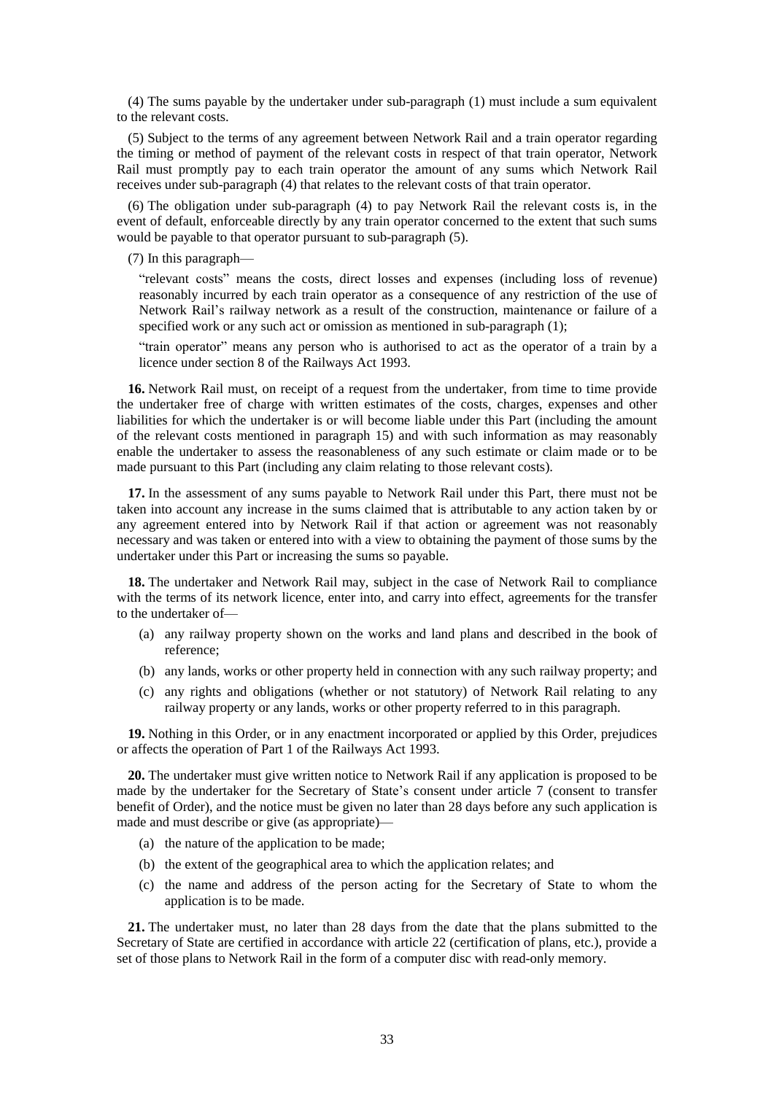(4) The sums payable by the undertaker under sub-paragraph (1) must include a sum equivalent to the relevant costs.

(5) Subject to the terms of any agreement between Network Rail and a train operator regarding the timing or method of payment of the relevant costs in respect of that train operator, Network Rail must promptly pay to each train operator the amount of any sums which Network Rail receives under sub-paragraph (4) that relates to the relevant costs of that train operator.

(6) The obligation under sub-paragraph (4) to pay Network Rail the relevant costs is, in the event of default, enforceable directly by any train operator concerned to the extent that such sums would be payable to that operator pursuant to sub-paragraph (5).

(7) In this paragraph—

"relevant costs" means the costs, direct losses and expenses (including loss of revenue) reasonably incurred by each train operator as a consequence of any restriction of the use of Network Rail's railway network as a result of the construction, maintenance or failure of a specified work or any such act or omission as mentioned in sub-paragraph (1);

"train operator" means any person who is authorised to act as the operator of a train by a licence under section 8 of the Railways Act 1993.

**16.** Network Rail must, on receipt of a request from the undertaker, from time to time provide the undertaker free of charge with written estimates of the costs, charges, expenses and other liabilities for which the undertaker is or will become liable under this Part (including the amount of the relevant costs mentioned in paragraph 15) and with such information as may reasonably enable the undertaker to assess the reasonableness of any such estimate or claim made or to be made pursuant to this Part (including any claim relating to those relevant costs).

**17.** In the assessment of any sums payable to Network Rail under this Part, there must not be taken into account any increase in the sums claimed that is attributable to any action taken by or any agreement entered into by Network Rail if that action or agreement was not reasonably necessary and was taken or entered into with a view to obtaining the payment of those sums by the undertaker under this Part or increasing the sums so payable.

**18.** The undertaker and Network Rail may, subject in the case of Network Rail to compliance with the terms of its network licence, enter into, and carry into effect, agreements for the transfer to the undertaker of—

- (a) any railway property shown on the works and land plans and described in the book of reference;
- (b) any lands, works or other property held in connection with any such railway property; and
- (c) any rights and obligations (whether or not statutory) of Network Rail relating to any railway property or any lands, works or other property referred to in this paragraph.

**19.** Nothing in this Order, or in any enactment incorporated or applied by this Order, prejudices or affects the operation of Part 1 of the Railways Act 1993.

**20.** The undertaker must give written notice to Network Rail if any application is proposed to be made by the undertaker for the Secretary of State's consent under article 7 (consent to transfer benefit of Order), and the notice must be given no later than 28 days before any such application is made and must describe or give (as appropriate)—

- (a) the nature of the application to be made;
- (b) the extent of the geographical area to which the application relates; and
- (c) the name and address of the person acting for the Secretary of State to whom the application is to be made.

**21.** The undertaker must, no later than 28 days from the date that the plans submitted to the Secretary of State are certified in accordance with article 22 (certification of plans, etc.), provide a set of those plans to Network Rail in the form of a computer disc with read-only memory.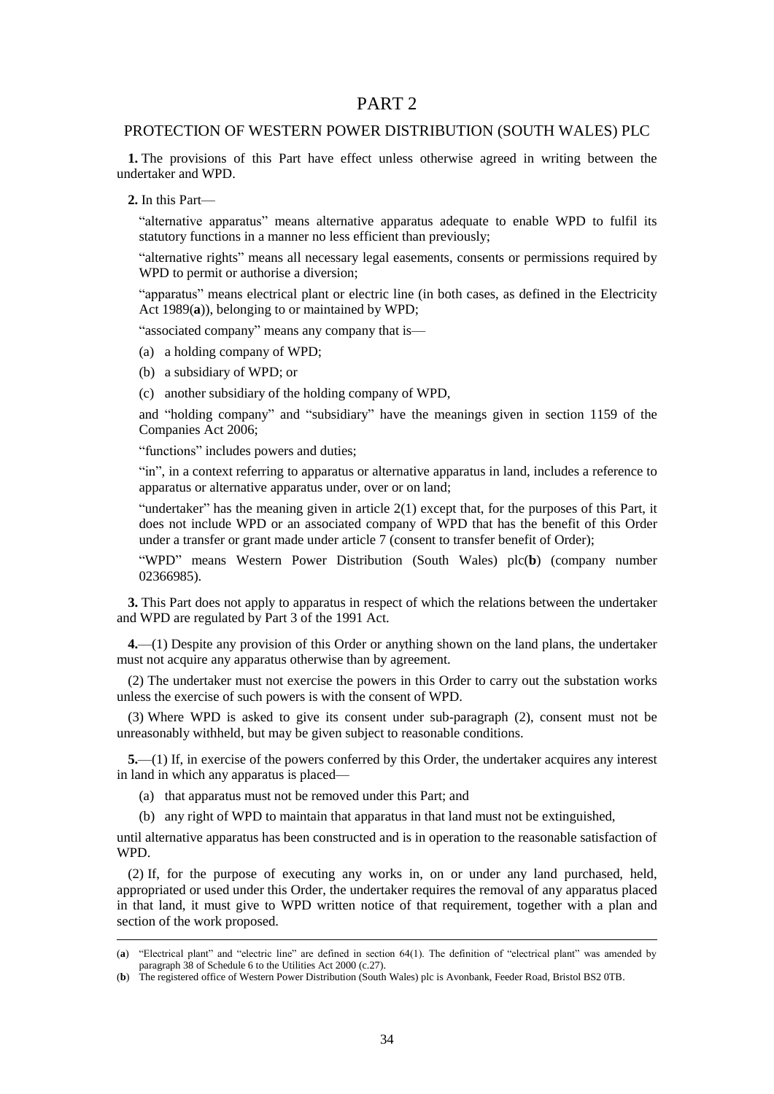### PART 2

#### PROTECTION OF WESTERN POWER DISTRIBUTION (SOUTH WALES) PLC

**1.** The provisions of this Part have effect unless otherwise agreed in writing between the undertaker and WPD.

**2.** In this Part—

"alternative apparatus" means alternative apparatus adequate to enable WPD to fulfil its statutory functions in a manner no less efficient than previously;

"alternative rights" means all necessary legal easements, consents or permissions required by WPD to permit or authorise a diversion;

"apparatus" means electrical plant or electric line (in both cases, as defined in the Electricity Act 1989(**a**)), belonging to or maintained by WPD;

"associated company" means any company that is—

(a) a holding company of WPD;

(b) a subsidiary of WPD; or

(c) another subsidiary of the holding company of WPD,

and "holding company" and "subsidiary" have the meanings given in section 1159 of the Companies Act 2006;

"functions" includes powers and duties;

"in", in a context referring to apparatus or alternative apparatus in land, includes a reference to apparatus or alternative apparatus under, over or on land;

"undertaker" has the meaning given in article  $2(1)$  except that, for the purposes of this Part, it does not include WPD or an associated company of WPD that has the benefit of this Order under a transfer or grant made under article 7 (consent to transfer benefit of Order);

"WPD" means Western Power Distribution (South Wales) plc(**b**) (company number 02366985).

**3.** This Part does not apply to apparatus in respect of which the relations between the undertaker and WPD are regulated by Part 3 of the 1991 Act.

**4.**—(1) Despite any provision of this Order or anything shown on the land plans, the undertaker must not acquire any apparatus otherwise than by agreement.

(2) The undertaker must not exercise the powers in this Order to carry out the substation works unless the exercise of such powers is with the consent of WPD.

(3) Where WPD is asked to give its consent under sub-paragraph (2), consent must not be unreasonably withheld, but may be given subject to reasonable conditions.

**5.**—(1) If, in exercise of the powers conferred by this Order, the undertaker acquires any interest in land in which any apparatus is placed—

- (a) that apparatus must not be removed under this Part; and
- (b) any right of WPD to maintain that apparatus in that land must not be extinguished,

until alternative apparatus has been constructed and is in operation to the reasonable satisfaction of WPD.

(2) If, for the purpose of executing any works in, on or under any land purchased, held, appropriated or used under this Order, the undertaker requires the removal of any apparatus placed in that land, it must give to WPD written notice of that requirement, together with a plan and section of the work proposed.

<sup>(</sup>**a**) "Electrical plant" and "electric line" are defined in section 64(1). The definition of "electrical plant" was amended by paragraph 38 of Schedule 6 to the Utilities Act 2000 (c.27).

<sup>(</sup>**b**) The registered office of Western Power Distribution (South Wales) plc is Avonbank, Feeder Road, Bristol BS2 0TB.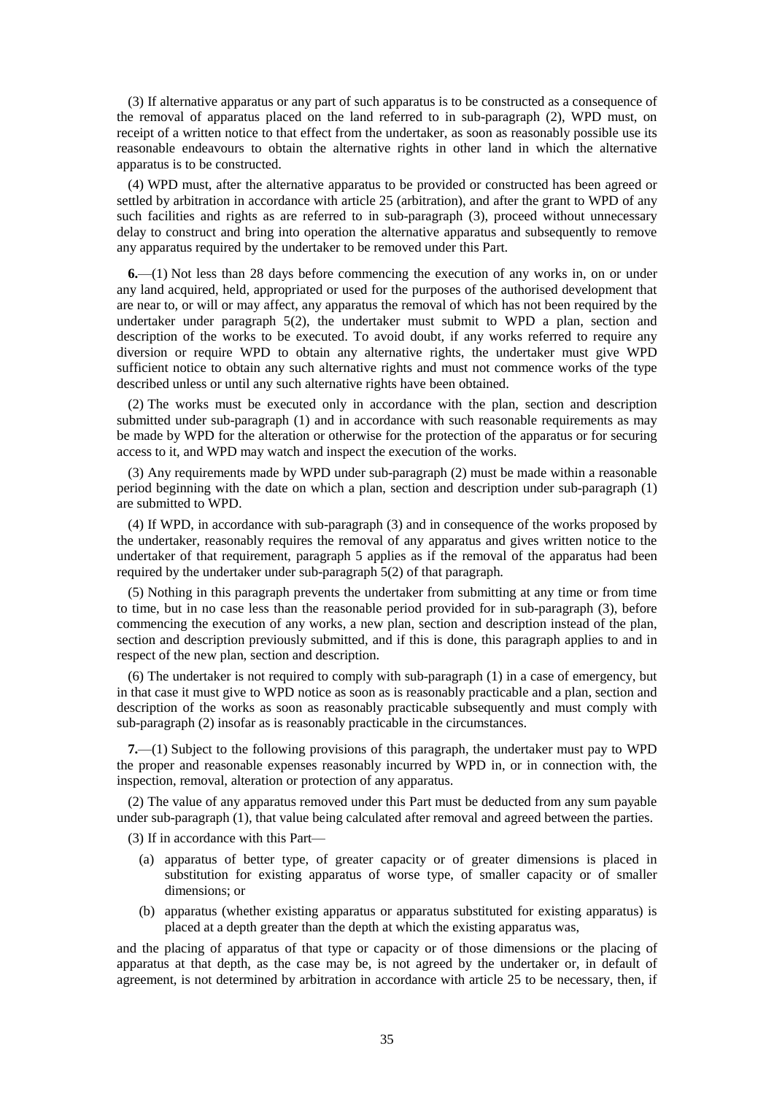(3) If alternative apparatus or any part of such apparatus is to be constructed as a consequence of the removal of apparatus placed on the land referred to in sub-paragraph (2), WPD must, on receipt of a written notice to that effect from the undertaker, as soon as reasonably possible use its reasonable endeavours to obtain the alternative rights in other land in which the alternative apparatus is to be constructed.

(4) WPD must, after the alternative apparatus to be provided or constructed has been agreed or settled by arbitration in accordance with article 25 (arbitration), and after the grant to WPD of any such facilities and rights as are referred to in sub-paragraph (3), proceed without unnecessary delay to construct and bring into operation the alternative apparatus and subsequently to remove any apparatus required by the undertaker to be removed under this Part.

**6.**—(1) Not less than 28 days before commencing the execution of any works in, on or under any land acquired, held, appropriated or used for the purposes of the authorised development that are near to, or will or may affect, any apparatus the removal of which has not been required by the undertaker under paragraph 5(2), the undertaker must submit to WPD a plan, section and description of the works to be executed. To avoid doubt, if any works referred to require any diversion or require WPD to obtain any alternative rights, the undertaker must give WPD sufficient notice to obtain any such alternative rights and must not commence works of the type described unless or until any such alternative rights have been obtained.

(2) The works must be executed only in accordance with the plan, section and description submitted under sub-paragraph (1) and in accordance with such reasonable requirements as may be made by WPD for the alteration or otherwise for the protection of the apparatus or for securing access to it, and WPD may watch and inspect the execution of the works.

(3) Any requirements made by WPD under sub-paragraph (2) must be made within a reasonable period beginning with the date on which a plan, section and description under sub-paragraph (1) are submitted to WPD.

(4) If WPD, in accordance with sub-paragraph (3) and in consequence of the works proposed by the undertaker, reasonably requires the removal of any apparatus and gives written notice to the undertaker of that requirement, paragraph 5 applies as if the removal of the apparatus had been required by the undertaker under sub-paragraph 5(2) of that paragraph.

(5) Nothing in this paragraph prevents the undertaker from submitting at any time or from time to time, but in no case less than the reasonable period provided for in sub-paragraph (3), before commencing the execution of any works, a new plan, section and description instead of the plan, section and description previously submitted, and if this is done, this paragraph applies to and in respect of the new plan, section and description.

(6) The undertaker is not required to comply with sub-paragraph (1) in a case of emergency, but in that case it must give to WPD notice as soon as is reasonably practicable and a plan, section and description of the works as soon as reasonably practicable subsequently and must comply with sub-paragraph (2) insofar as is reasonably practicable in the circumstances.

**7.**—(1) Subject to the following provisions of this paragraph, the undertaker must pay to WPD the proper and reasonable expenses reasonably incurred by WPD in, or in connection with, the inspection, removal, alteration or protection of any apparatus.

(2) The value of any apparatus removed under this Part must be deducted from any sum payable under sub-paragraph (1), that value being calculated after removal and agreed between the parties.

(3) If in accordance with this Part—

- (a) apparatus of better type, of greater capacity or of greater dimensions is placed in substitution for existing apparatus of worse type, of smaller capacity or of smaller dimensions; or
- (b) apparatus (whether existing apparatus or apparatus substituted for existing apparatus) is placed at a depth greater than the depth at which the existing apparatus was,

and the placing of apparatus of that type or capacity or of those dimensions or the placing of apparatus at that depth, as the case may be, is not agreed by the undertaker or, in default of agreement, is not determined by arbitration in accordance with article 25 to be necessary, then, if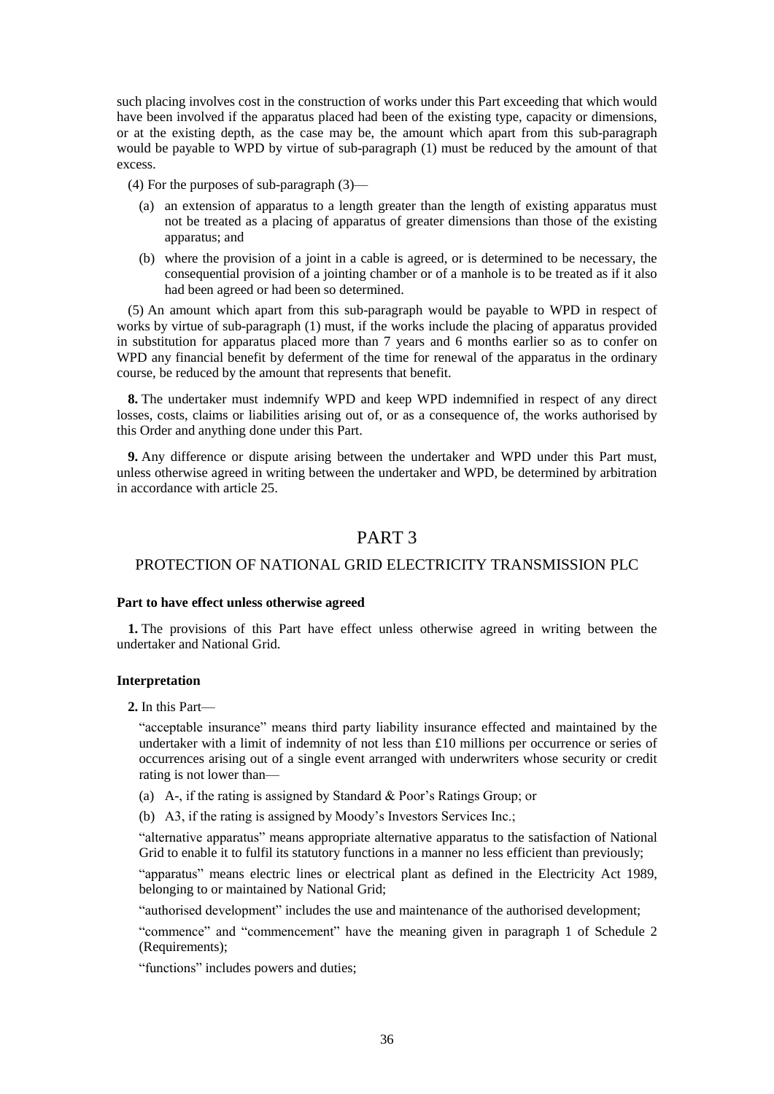such placing involves cost in the construction of works under this Part exceeding that which would have been involved if the apparatus placed had been of the existing type, capacity or dimensions, or at the existing depth, as the case may be, the amount which apart from this sub-paragraph would be payable to WPD by virtue of sub-paragraph (1) must be reduced by the amount of that excess.

(4) For the purposes of sub-paragraph (3)—

- (a) an extension of apparatus to a length greater than the length of existing apparatus must not be treated as a placing of apparatus of greater dimensions than those of the existing apparatus; and
- (b) where the provision of a joint in a cable is agreed, or is determined to be necessary, the consequential provision of a jointing chamber or of a manhole is to be treated as if it also had been agreed or had been so determined.

(5) An amount which apart from this sub-paragraph would be payable to WPD in respect of works by virtue of sub-paragraph (1) must, if the works include the placing of apparatus provided in substitution for apparatus placed more than 7 years and 6 months earlier so as to confer on WPD any financial benefit by deferment of the time for renewal of the apparatus in the ordinary course, be reduced by the amount that represents that benefit.

**8.** The undertaker must indemnify WPD and keep WPD indemnified in respect of any direct losses, costs, claims or liabilities arising out of, or as a consequence of, the works authorised by this Order and anything done under this Part.

**9.** Any difference or dispute arising between the undertaker and WPD under this Part must, unless otherwise agreed in writing between the undertaker and WPD, be determined by arbitration in accordance with article 25.

### PART 3

### PROTECTION OF NATIONAL GRID ELECTRICITY TRANSMISSION PLC

#### **Part to have effect unless otherwise agreed**

**1.** The provisions of this Part have effect unless otherwise agreed in writing between the undertaker and National Grid.

#### **Interpretation**

**2.** In this Part—

"acceptable insurance" means third party liability insurance effected and maintained by the undertaker with a limit of indemnity of not less than £10 millions per occurrence or series of occurrences arising out of a single event arranged with underwriters whose security or credit rating is not lower than—

- (a) A-, if the rating is assigned by Standard & Poor's Ratings Group; or
- (b) A3, if the rating is assigned by Moody's Investors Services Inc.;

"alternative apparatus" means appropriate alternative apparatus to the satisfaction of National Grid to enable it to fulfil its statutory functions in a manner no less efficient than previously;

"apparatus" means electric lines or electrical plant as defined in the Electricity Act 1989, belonging to or maintained by National Grid;

"authorised development" includes the use and maintenance of the authorised development;

"commence" and "commencement" have the meaning given in paragraph 1 of Schedule 2 (Requirements);

"functions" includes powers and duties;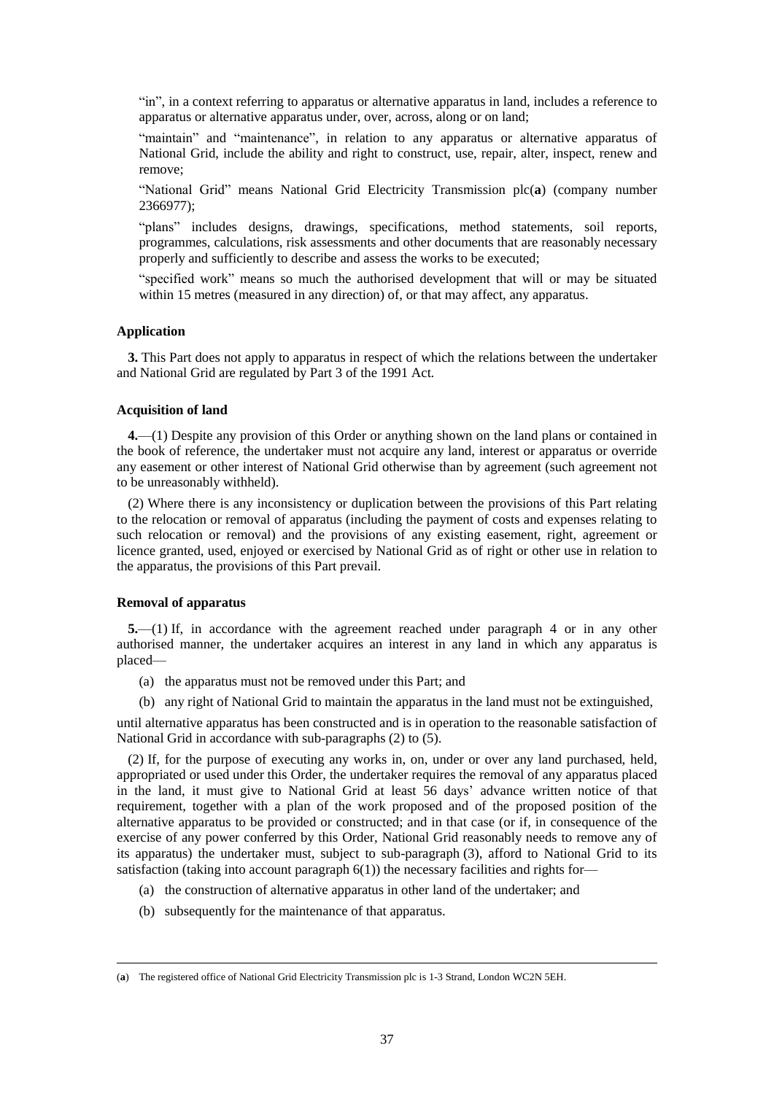"in", in a context referring to apparatus or alternative apparatus in land, includes a reference to apparatus or alternative apparatus under, over, across, along or on land;

"maintain" and "maintenance", in relation to any apparatus or alternative apparatus of National Grid, include the ability and right to construct, use, repair, alter, inspect, renew and remove;

"National Grid" means National Grid Electricity Transmission plc(**a**) (company number 2366977);

"plans" includes designs, drawings, specifications, method statements, soil reports, programmes, calculations, risk assessments and other documents that are reasonably necessary properly and sufficiently to describe and assess the works to be executed;

"specified work" means so much the authorised development that will or may be situated within 15 metres (measured in any direction) of, or that may affect, any apparatus.

#### **Application**

**3.** This Part does not apply to apparatus in respect of which the relations between the undertaker and National Grid are regulated by Part 3 of the 1991 Act.

#### **Acquisition of land**

**4.**—(1) Despite any provision of this Order or anything shown on the land plans or contained in the book of reference, the undertaker must not acquire any land, interest or apparatus or override any easement or other interest of National Grid otherwise than by agreement (such agreement not to be unreasonably withheld).

(2) Where there is any inconsistency or duplication between the provisions of this Part relating to the relocation or removal of apparatus (including the payment of costs and expenses relating to such relocation or removal) and the provisions of any existing easement, right, agreement or licence granted, used, enjoyed or exercised by National Grid as of right or other use in relation to the apparatus, the provisions of this Part prevail.

#### **Removal of apparatus**

 $\overline{a}$ 

**5.**—(1) If, in accordance with the agreement reached under paragraph 4 or in any other authorised manner, the undertaker acquires an interest in any land in which any apparatus is placed—

- (a) the apparatus must not be removed under this Part; and
- (b) any right of National Grid to maintain the apparatus in the land must not be extinguished,

until alternative apparatus has been constructed and is in operation to the reasonable satisfaction of National Grid in accordance with sub-paragraphs (2) to (5).

(2) If, for the purpose of executing any works in, on, under or over any land purchased, held, appropriated or used under this Order, the undertaker requires the removal of any apparatus placed in the land, it must give to National Grid at least 56 days' advance written notice of that requirement, together with a plan of the work proposed and of the proposed position of the alternative apparatus to be provided or constructed; and in that case (or if, in consequence of the exercise of any power conferred by this Order, National Grid reasonably needs to remove any of its apparatus) the undertaker must, subject to sub-paragraph (3), afford to National Grid to its satisfaction (taking into account paragraph 6(1)) the necessary facilities and rights for—

- (a) the construction of alternative apparatus in other land of the undertaker; and
- (b) subsequently for the maintenance of that apparatus.

<sup>(</sup>**a**) The registered office of National Grid Electricity Transmission plc is 1-3 Strand, London WC2N 5EH.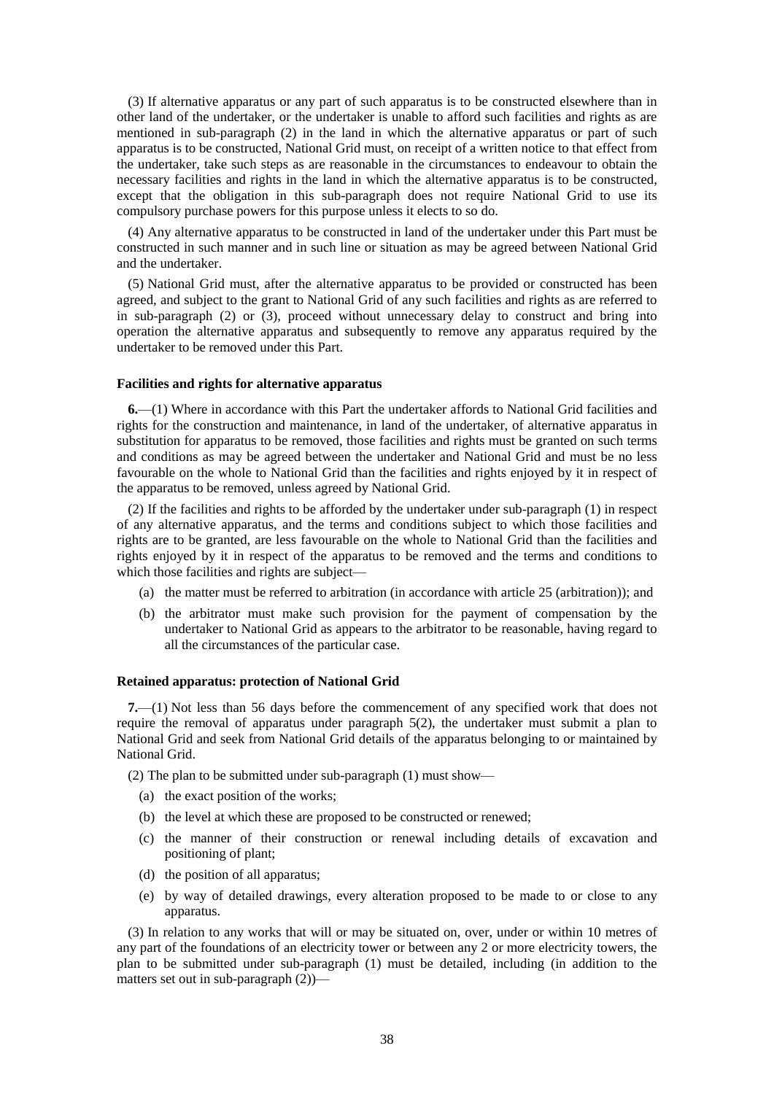(3) If alternative apparatus or any part of such apparatus is to be constructed elsewhere than in other land of the undertaker, or the undertaker is unable to afford such facilities and rights as are mentioned in sub-paragraph (2) in the land in which the alternative apparatus or part of such apparatus is to be constructed, National Grid must, on receipt of a written notice to that effect from the undertaker, take such steps as are reasonable in the circumstances to endeavour to obtain the necessary facilities and rights in the land in which the alternative apparatus is to be constructed, except that the obligation in this sub-paragraph does not require National Grid to use its compulsory purchase powers for this purpose unless it elects to so do.

(4) Any alternative apparatus to be constructed in land of the undertaker under this Part must be constructed in such manner and in such line or situation as may be agreed between National Grid and the undertaker.

(5) National Grid must, after the alternative apparatus to be provided or constructed has been agreed, and subject to the grant to National Grid of any such facilities and rights as are referred to in sub-paragraph (2) or (3), proceed without unnecessary delay to construct and bring into operation the alternative apparatus and subsequently to remove any apparatus required by the undertaker to be removed under this Part.

#### **Facilities and rights for alternative apparatus**

**6.**—(1) Where in accordance with this Part the undertaker affords to National Grid facilities and rights for the construction and maintenance, in land of the undertaker, of alternative apparatus in substitution for apparatus to be removed, those facilities and rights must be granted on such terms and conditions as may be agreed between the undertaker and National Grid and must be no less favourable on the whole to National Grid than the facilities and rights enjoyed by it in respect of the apparatus to be removed, unless agreed by National Grid.

(2) If the facilities and rights to be afforded by the undertaker under sub-paragraph (1) in respect of any alternative apparatus, and the terms and conditions subject to which those facilities and rights are to be granted, are less favourable on the whole to National Grid than the facilities and rights enjoyed by it in respect of the apparatus to be removed and the terms and conditions to which those facilities and rights are subject—

- (a) the matter must be referred to arbitration (in accordance with article 25 (arbitration)); and
- (b) the arbitrator must make such provision for the payment of compensation by the undertaker to National Grid as appears to the arbitrator to be reasonable, having regard to all the circumstances of the particular case.

#### **Retained apparatus: protection of National Grid**

**7.**—(1) Not less than 56 days before the commencement of any specified work that does not require the removal of apparatus under paragraph 5(2), the undertaker must submit a plan to National Grid and seek from National Grid details of the apparatus belonging to or maintained by National Grid.

(2) The plan to be submitted under sub-paragraph (1) must show—

- (a) the exact position of the works;
- (b) the level at which these are proposed to be constructed or renewed;
- (c) the manner of their construction or renewal including details of excavation and positioning of plant;
- (d) the position of all apparatus;
- (e) by way of detailed drawings, every alteration proposed to be made to or close to any apparatus.

(3) In relation to any works that will or may be situated on, over, under or within 10 metres of any part of the foundations of an electricity tower or between any 2 or more electricity towers, the plan to be submitted under sub-paragraph (1) must be detailed, including (in addition to the matters set out in sub-paragraph (2))—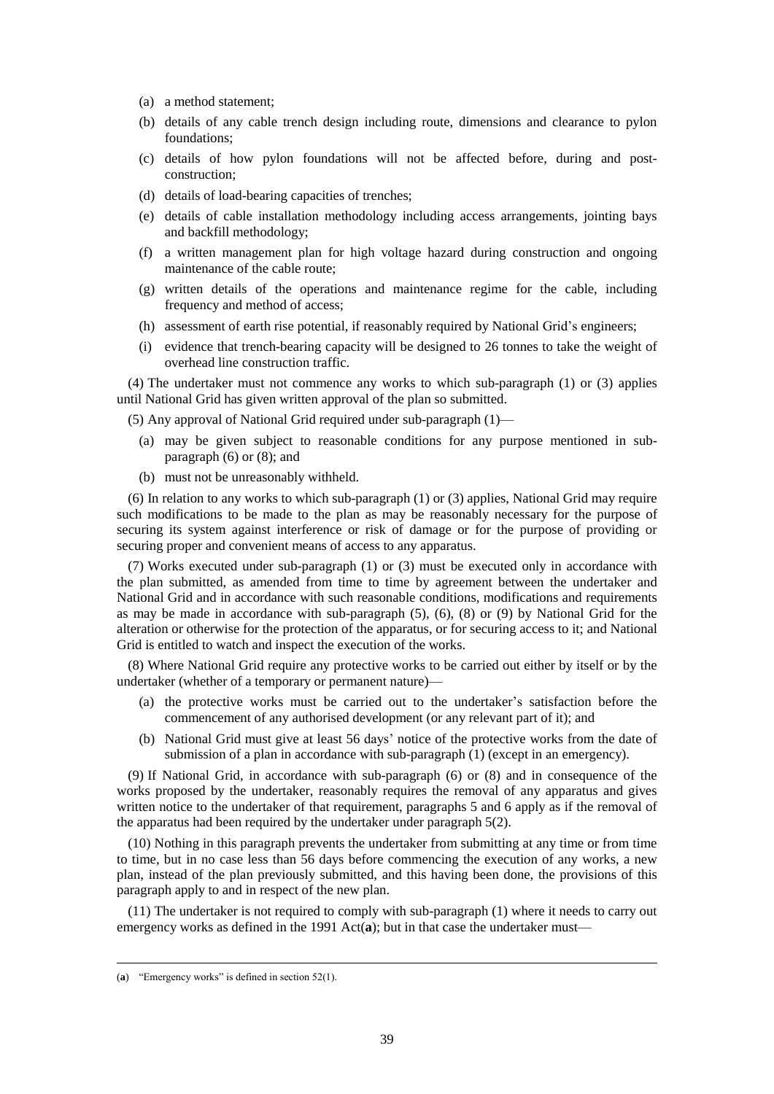- (a) a method statement;
- (b) details of any cable trench design including route, dimensions and clearance to pylon foundations;
- (c) details of how pylon foundations will not be affected before, during and postconstruction;
- (d) details of load-bearing capacities of trenches;
- (e) details of cable installation methodology including access arrangements, jointing bays and backfill methodology;
- (f) a written management plan for high voltage hazard during construction and ongoing maintenance of the cable route;
- (g) written details of the operations and maintenance regime for the cable, including frequency and method of access;
- (h) assessment of earth rise potential, if reasonably required by National Grid's engineers;
- (i) evidence that trench-bearing capacity will be designed to 26 tonnes to take the weight of overhead line construction traffic.

(4) The undertaker must not commence any works to which sub-paragraph (1) or (3) applies until National Grid has given written approval of the plan so submitted.

(5) Any approval of National Grid required under sub-paragraph (1)—

- (a) may be given subject to reasonable conditions for any purpose mentioned in subparagraph (6) or (8); and
- (b) must not be unreasonably withheld.

(6) In relation to any works to which sub-paragraph (1) or (3) applies, National Grid may require such modifications to be made to the plan as may be reasonably necessary for the purpose of securing its system against interference or risk of damage or for the purpose of providing or securing proper and convenient means of access to any apparatus.

(7) Works executed under sub-paragraph (1) or (3) must be executed only in accordance with the plan submitted, as amended from time to time by agreement between the undertaker and National Grid and in accordance with such reasonable conditions, modifications and requirements as may be made in accordance with sub-paragraph (5), (6), (8) or (9) by National Grid for the alteration or otherwise for the protection of the apparatus, or for securing access to it; and National Grid is entitled to watch and inspect the execution of the works.

(8) Where National Grid require any protective works to be carried out either by itself or by the undertaker (whether of a temporary or permanent nature)—

- (a) the protective works must be carried out to the undertaker's satisfaction before the commencement of any authorised development (or any relevant part of it); and
- (b) National Grid must give at least 56 days' notice of the protective works from the date of submission of a plan in accordance with sub-paragraph (1) (except in an emergency).

(9) If National Grid, in accordance with sub-paragraph (6) or (8) and in consequence of the works proposed by the undertaker, reasonably requires the removal of any apparatus and gives written notice to the undertaker of that requirement, paragraphs 5 and 6 apply as if the removal of the apparatus had been required by the undertaker under paragraph 5(2).

(10) Nothing in this paragraph prevents the undertaker from submitting at any time or from time to time, but in no case less than 56 days before commencing the execution of any works, a new plan, instead of the plan previously submitted, and this having been done, the provisions of this paragraph apply to and in respect of the new plan.

(11) The undertaker is not required to comply with sub-paragraph (1) where it needs to carry out emergency works as defined in the 1991 Act(a); but in that case the undertaker must—

<sup>(</sup>**a**) "Emergency works" is defined in section 52(1).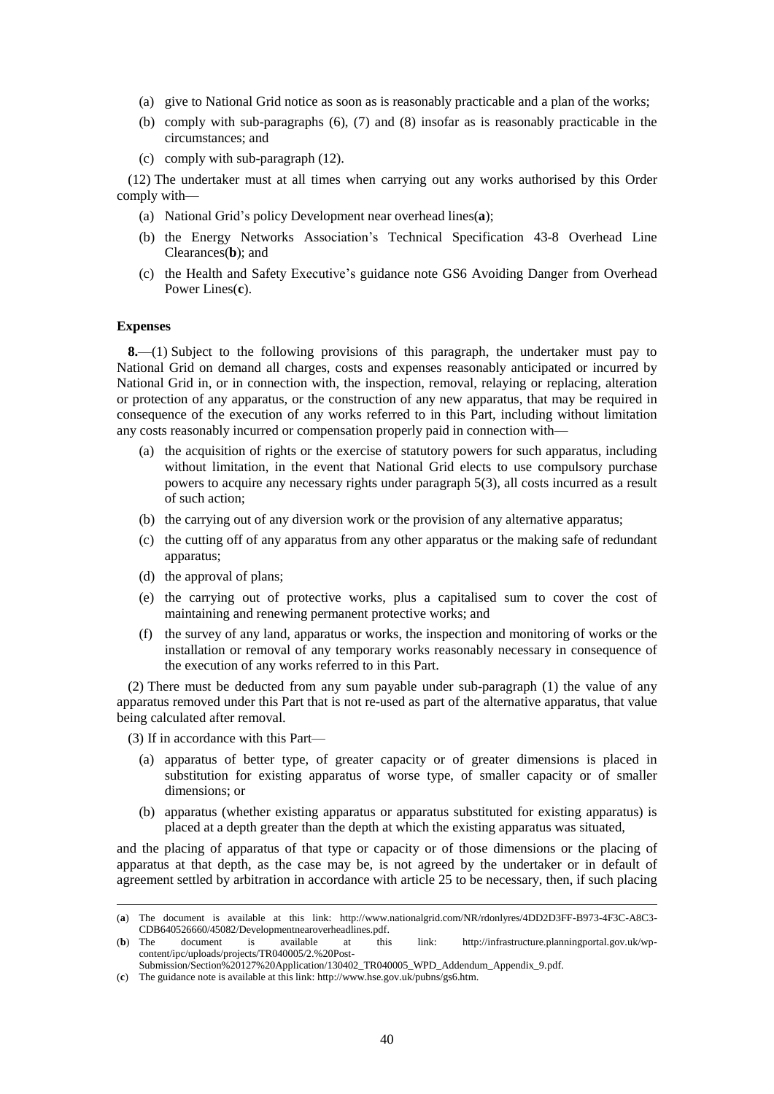- (a) give to National Grid notice as soon as is reasonably practicable and a plan of the works;
- (b) comply with sub-paragraphs (6), (7) and (8) insofar as is reasonably practicable in the circumstances; and
- (c) comply with sub-paragraph (12).

(12) The undertaker must at all times when carrying out any works authorised by this Order comply with—

- (a) National Grid's policy Development near overhead lines(**a**);
- (b) the Energy Networks Association's Technical Specification 43-8 Overhead Line Clearances(**b**); and
- (c) the Health and Safety Executive's guidance note GS6 Avoiding Danger from Overhead Power Lines(**c**).

#### **Expenses**

**8.**—(1) Subject to the following provisions of this paragraph, the undertaker must pay to National Grid on demand all charges, costs and expenses reasonably anticipated or incurred by National Grid in, or in connection with, the inspection, removal, relaying or replacing, alteration or protection of any apparatus, or the construction of any new apparatus, that may be required in consequence of the execution of any works referred to in this Part, including without limitation any costs reasonably incurred or compensation properly paid in connection with—

- (a) the acquisition of rights or the exercise of statutory powers for such apparatus, including without limitation, in the event that National Grid elects to use compulsory purchase powers to acquire any necessary rights under paragraph 5(3), all costs incurred as a result of such action;
- (b) the carrying out of any diversion work or the provision of any alternative apparatus;
- (c) the cutting off of any apparatus from any other apparatus or the making safe of redundant apparatus;
- (d) the approval of plans;
- (e) the carrying out of protective works, plus a capitalised sum to cover the cost of maintaining and renewing permanent protective works; and
- (f) the survey of any land, apparatus or works, the inspection and monitoring of works or the installation or removal of any temporary works reasonably necessary in consequence of the execution of any works referred to in this Part.

(2) There must be deducted from any sum payable under sub-paragraph (1) the value of any apparatus removed under this Part that is not re-used as part of the alternative apparatus, that value being calculated after removal.

(3) If in accordance with this Part—

 $\overline{a}$ 

- (a) apparatus of better type, of greater capacity or of greater dimensions is placed in substitution for existing apparatus of worse type, of smaller capacity or of smaller dimensions; or
- (b) apparatus (whether existing apparatus or apparatus substituted for existing apparatus) is placed at a depth greater than the depth at which the existing apparatus was situated,

and the placing of apparatus of that type or capacity or of those dimensions or the placing of apparatus at that depth, as the case may be, is not agreed by the undertaker or in default of agreement settled by arbitration in accordance with article 25 to be necessary, then, if such placing

<sup>(</sup>**a**) The document is available at this link: http://www.nationalgrid.com/NR/rdonlyres/4DD2D3FF-B973-4F3C-A8C3- CDB640526660/45082/Developmentnearoverheadlines.pdf.<br>
(b) The document is available at this

is available at this link: http://infrastructure.planningportal.gov.uk/wpcontent/ipc/uploads/projects/TR040005/2.%20Post-Submission/Section%20127%20Application/130402\_TR040005\_WPD\_Addendum\_Appendix\_9.pdf.

<sup>(</sup>**c**) The guidance note is available at this link: http://www.hse.gov.uk/pubns/gs6.htm.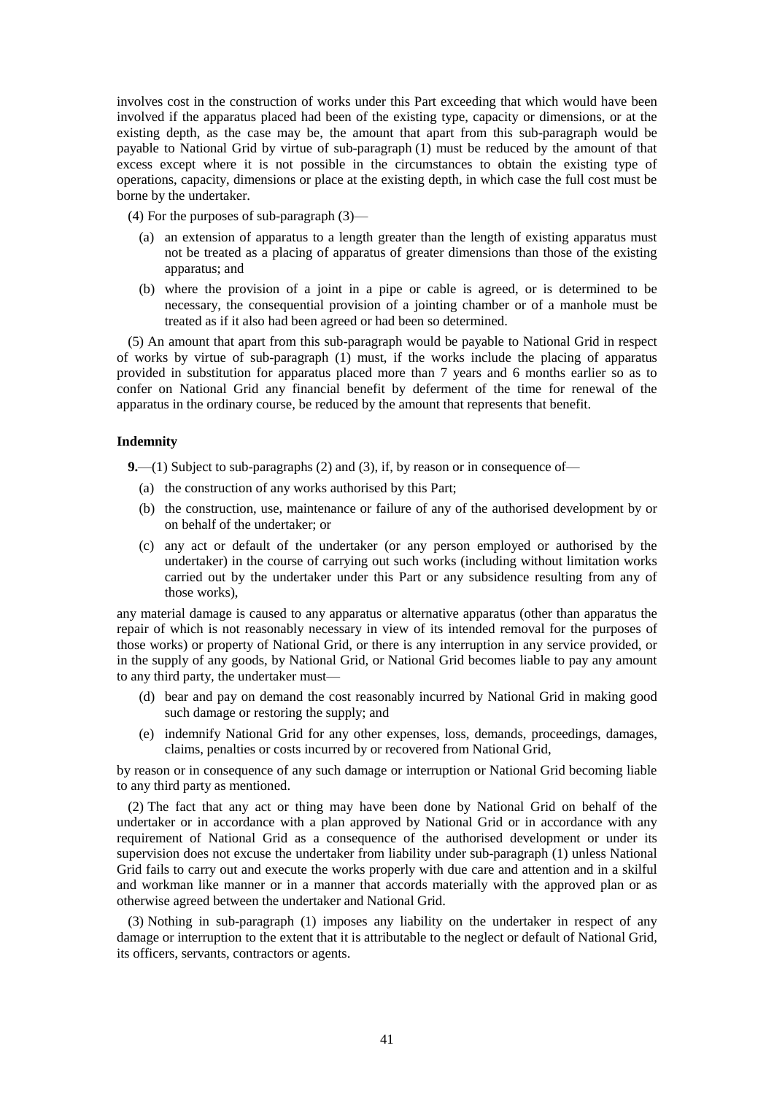involves cost in the construction of works under this Part exceeding that which would have been involved if the apparatus placed had been of the existing type, capacity or dimensions, or at the existing depth, as the case may be, the amount that apart from this sub-paragraph would be payable to National Grid by virtue of sub-paragraph (1) must be reduced by the amount of that excess except where it is not possible in the circumstances to obtain the existing type of operations, capacity, dimensions or place at the existing depth, in which case the full cost must be borne by the undertaker.

(4) For the purposes of sub-paragraph (3)—

- (a) an extension of apparatus to a length greater than the length of existing apparatus must not be treated as a placing of apparatus of greater dimensions than those of the existing apparatus; and
- (b) where the provision of a joint in a pipe or cable is agreed, or is determined to be necessary, the consequential provision of a jointing chamber or of a manhole must be treated as if it also had been agreed or had been so determined.

(5) An amount that apart from this sub-paragraph would be payable to National Grid in respect of works by virtue of sub-paragraph (1) must, if the works include the placing of apparatus provided in substitution for apparatus placed more than 7 years and 6 months earlier so as to confer on National Grid any financial benefit by deferment of the time for renewal of the apparatus in the ordinary course, be reduced by the amount that represents that benefit.

#### **Indemnity**

**9.**—(1) Subject to sub-paragraphs (2) and (3), if, by reason or in consequence of—

- (a) the construction of any works authorised by this Part;
- (b) the construction, use, maintenance or failure of any of the authorised development by or on behalf of the undertaker; or
- (c) any act or default of the undertaker (or any person employed or authorised by the undertaker) in the course of carrying out such works (including without limitation works carried out by the undertaker under this Part or any subsidence resulting from any of those works),

any material damage is caused to any apparatus or alternative apparatus (other than apparatus the repair of which is not reasonably necessary in view of its intended removal for the purposes of those works) or property of National Grid, or there is any interruption in any service provided, or in the supply of any goods, by National Grid, or National Grid becomes liable to pay any amount to any third party, the undertaker must—

- (d) bear and pay on demand the cost reasonably incurred by National Grid in making good such damage or restoring the supply; and
- (e) indemnify National Grid for any other expenses, loss, demands, proceedings, damages, claims, penalties or costs incurred by or recovered from National Grid,

by reason or in consequence of any such damage or interruption or National Grid becoming liable to any third party as mentioned.

(2) The fact that any act or thing may have been done by National Grid on behalf of the undertaker or in accordance with a plan approved by National Grid or in accordance with any requirement of National Grid as a consequence of the authorised development or under its supervision does not excuse the undertaker from liability under sub-paragraph (1) unless National Grid fails to carry out and execute the works properly with due care and attention and in a skilful and workman like manner or in a manner that accords materially with the approved plan or as otherwise agreed between the undertaker and National Grid.

(3) Nothing in sub-paragraph (1) imposes any liability on the undertaker in respect of any damage or interruption to the extent that it is attributable to the neglect or default of National Grid, its officers, servants, contractors or agents.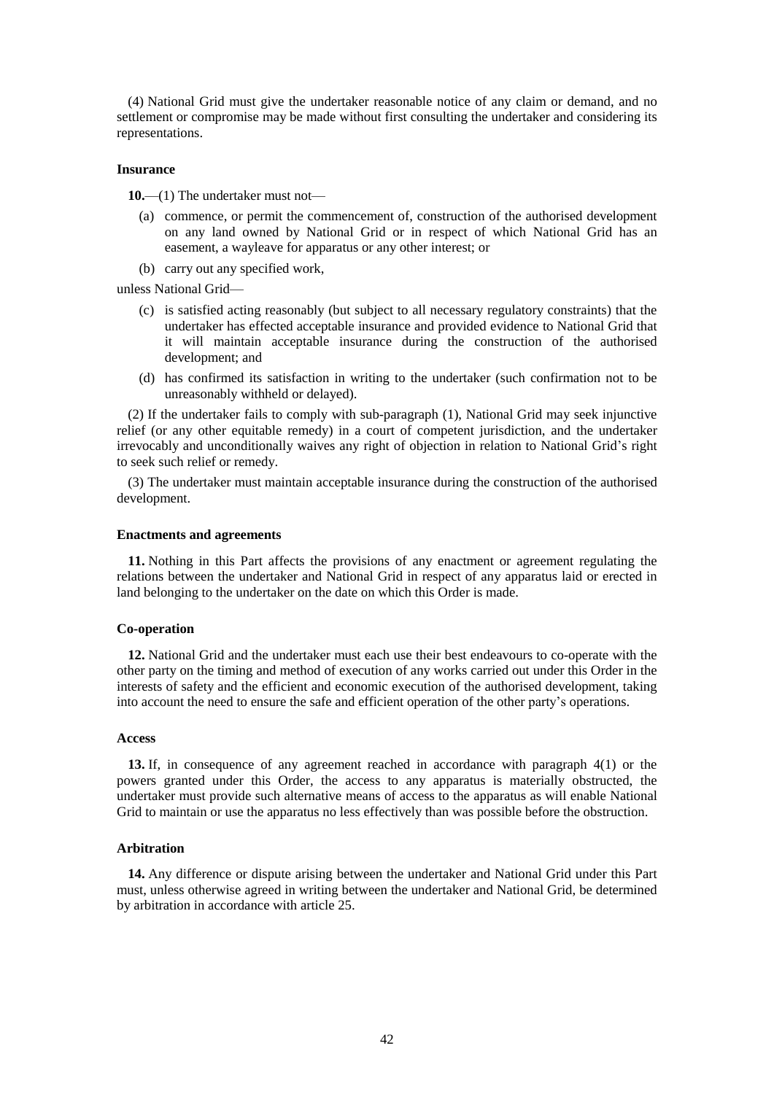(4) National Grid must give the undertaker reasonable notice of any claim or demand, and no settlement or compromise may be made without first consulting the undertaker and considering its representations.

#### **Insurance**

**10.**—(1) The undertaker must not—

- (a) commence, or permit the commencement of, construction of the authorised development on any land owned by National Grid or in respect of which National Grid has an easement, a wayleave for apparatus or any other interest; or
- (b) carry out any specified work,

unless National Grid—

- (c) is satisfied acting reasonably (but subject to all necessary regulatory constraints) that the undertaker has effected acceptable insurance and provided evidence to National Grid that it will maintain acceptable insurance during the construction of the authorised development; and
- (d) has confirmed its satisfaction in writing to the undertaker (such confirmation not to be unreasonably withheld or delayed).

(2) If the undertaker fails to comply with sub-paragraph (1), National Grid may seek injunctive relief (or any other equitable remedy) in a court of competent jurisdiction, and the undertaker irrevocably and unconditionally waives any right of objection in relation to National Grid's right to seek such relief or remedy.

(3) The undertaker must maintain acceptable insurance during the construction of the authorised development.

#### **Enactments and agreements**

**11.** Nothing in this Part affects the provisions of any enactment or agreement regulating the relations between the undertaker and National Grid in respect of any apparatus laid or erected in land belonging to the undertaker on the date on which this Order is made.

#### **Co-operation**

**12.** National Grid and the undertaker must each use their best endeavours to co-operate with the other party on the timing and method of execution of any works carried out under this Order in the interests of safety and the efficient and economic execution of the authorised development, taking into account the need to ensure the safe and efficient operation of the other party's operations.

#### **Access**

**13.** If, in consequence of any agreement reached in accordance with paragraph 4(1) or the powers granted under this Order, the access to any apparatus is materially obstructed, the undertaker must provide such alternative means of access to the apparatus as will enable National Grid to maintain or use the apparatus no less effectively than was possible before the obstruction.

#### **Arbitration**

**14.** Any difference or dispute arising between the undertaker and National Grid under this Part must, unless otherwise agreed in writing between the undertaker and National Grid, be determined by arbitration in accordance with article 25.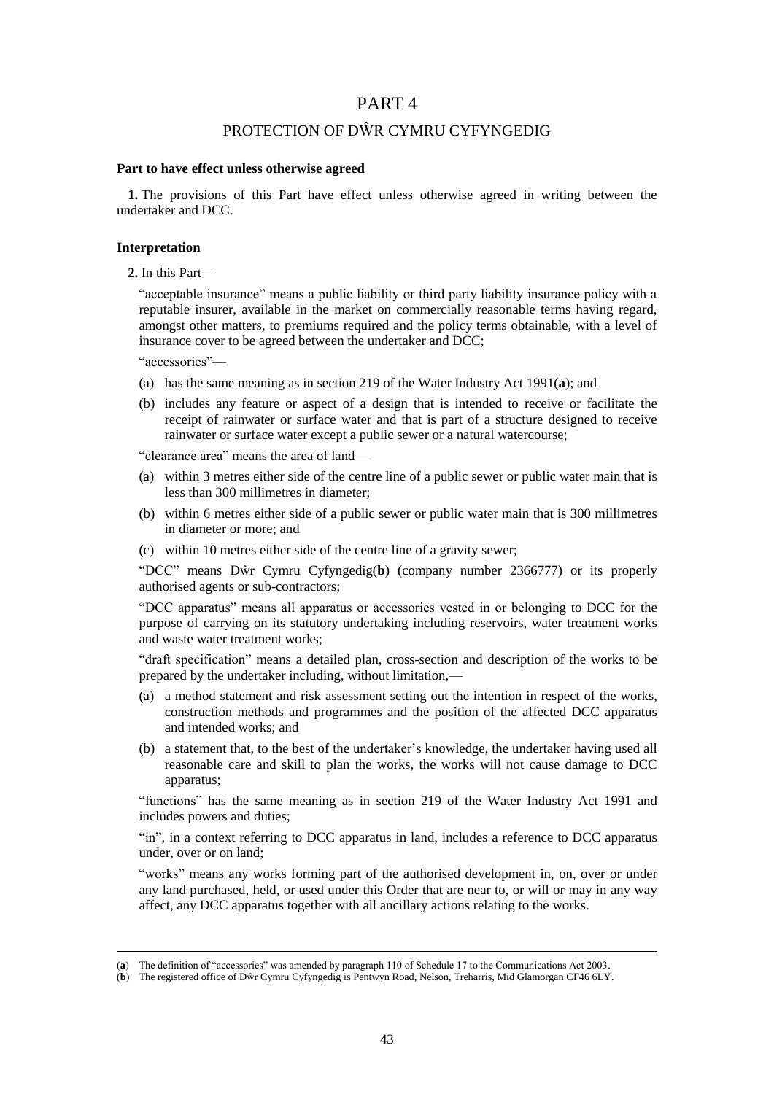### PART 4

### PROTECTION OF DŴR CYMRU CYFYNGEDIG

#### **Part to have effect unless otherwise agreed**

**1.** The provisions of this Part have effect unless otherwise agreed in writing between the undertaker and DCC.

#### **Interpretation**

#### **2.** In this Part—

"acceptable insurance" means a public liability or third party liability insurance policy with a reputable insurer, available in the market on commercially reasonable terms having regard, amongst other matters, to premiums required and the policy terms obtainable, with a level of insurance cover to be agreed between the undertaker and DCC;

"accessories"—

 $\overline{a}$ 

- (a) has the same meaning as in section 219 of the Water Industry Act 1991(**a**); and
- (b) includes any feature or aspect of a design that is intended to receive or facilitate the receipt of rainwater or surface water and that is part of a structure designed to receive rainwater or surface water except a public sewer or a natural watercourse;

"clearance area" means the area of land—

- (a) within 3 metres either side of the centre line of a public sewer or public water main that is less than 300 millimetres in diameter;
- (b) within 6 metres either side of a public sewer or public water main that is 300 millimetres in diameter or more; and
- (c) within 10 metres either side of the centre line of a gravity sewer;

"DCC" means Dŵr Cymru Cyfyngedig(**b**) (company number 2366777) or its properly authorised agents or sub-contractors;

"DCC apparatus" means all apparatus or accessories vested in or belonging to DCC for the purpose of carrying on its statutory undertaking including reservoirs, water treatment works and waste water treatment works;

"draft specification" means a detailed plan, cross-section and description of the works to be prepared by the undertaker including, without limitation,—

- (a) a method statement and risk assessment setting out the intention in respect of the works, construction methods and programmes and the position of the affected DCC apparatus and intended works; and
- (b) a statement that, to the best of the undertaker's knowledge, the undertaker having used all reasonable care and skill to plan the works, the works will not cause damage to DCC apparatus;

"functions" has the same meaning as in section 219 of the Water Industry Act 1991 and includes powers and duties;

"in", in a context referring to DCC apparatus in land, includes a reference to DCC apparatus under, over or on land;

"works" means any works forming part of the authorised development in, on, over or under any land purchased, held, or used under this Order that are near to, or will or may in any way affect, any DCC apparatus together with all ancillary actions relating to the works.

<sup>(</sup>**a**) The definition of "accessories" was amended by paragraph 110 of Schedule 17 to the Communications Act 2003.

<sup>(</sup>**b**) The registered office of Dŵr Cymru Cyfyngedig is Pentwyn Road, Nelson, Treharris, Mid Glamorgan CF46 6LY.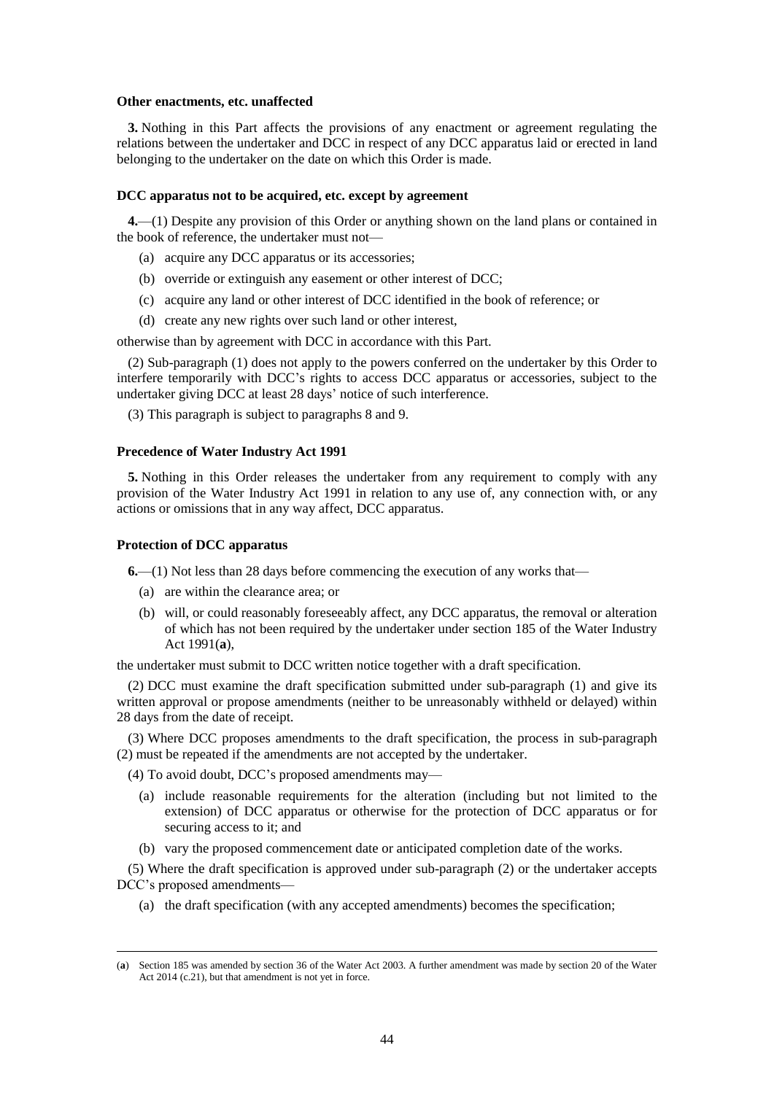#### **Other enactments, etc. unaffected**

**3.** Nothing in this Part affects the provisions of any enactment or agreement regulating the relations between the undertaker and DCC in respect of any DCC apparatus laid or erected in land belonging to the undertaker on the date on which this Order is made.

#### **DCC apparatus not to be acquired, etc. except by agreement**

<span id="page-43-0"></span>**4.**—(1) Despite any provision of this Order or anything shown on the land plans or contained in the book of reference, the undertaker must not—

- (a) acquire any DCC apparatus or its accessories;
- (b) override or extinguish any easement or other interest of DCC;
- (c) acquire any land or other interest of DCC identified in the book of reference; or
- (d) create any new rights over such land or other interest,

otherwise than by agreement with DCC in accordance with this Part.

(2) Sub-paragraph [\(1\)](#page-43-0) does not apply to the powers conferred on the undertaker by this Order to interfere temporarily with DCC's rights to access DCC apparatus or accessories, subject to the undertaker giving DCC at least 28 days' notice of such interference.

(3) This paragraph is subject to paragraphs 8 and 9.

#### **Precedence of Water Industry Act 1991**

**5.** Nothing in this Order releases the undertaker from any requirement to comply with any provision of the Water Industry Act 1991 in relation to any use of, any connection with, or any actions or omissions that in any way affect, DCC apparatus.

#### **Protection of DCC apparatus**

 $\overline{a}$ 

**6.**—(1) Not less than 28 days before commencing the execution of any works that—

- (a) are within the clearance area; or
- (b) will, or could reasonably foreseeably affect, any DCC apparatus, the removal or alteration of which has not been required by the undertaker under section 185 of the Water Industry Act 1991(**a**),

the undertaker must submit to DCC written notice together with a draft specification.

(2) DCC must examine the draft specification submitted under sub-paragraph (1) and give its written approval or propose amendments (neither to be unreasonably withheld or delayed) within 28 days from the date of receipt.

(3) Where DCC proposes amendments to the draft specification, the process in sub-paragraph (2) must be repeated if the amendments are not accepted by the undertaker.

(4) To avoid doubt, DCC's proposed amendments may—

- (a) include reasonable requirements for the alteration (including but not limited to the extension) of DCC apparatus or otherwise for the protection of DCC apparatus or for securing access to it; and
- (b) vary the proposed commencement date or anticipated completion date of the works.

(5) Where the draft specification is approved under sub-paragraph (2) or the undertaker accepts DCC's proposed amendments—

(a) the draft specification (with any accepted amendments) becomes the specification;

<sup>(</sup>**a**) Section 185 was amended by section 36 of the Water Act 2003. A further amendment was made by section 20 of the Water Act 2014 (c.21), but that amendment is not yet in force.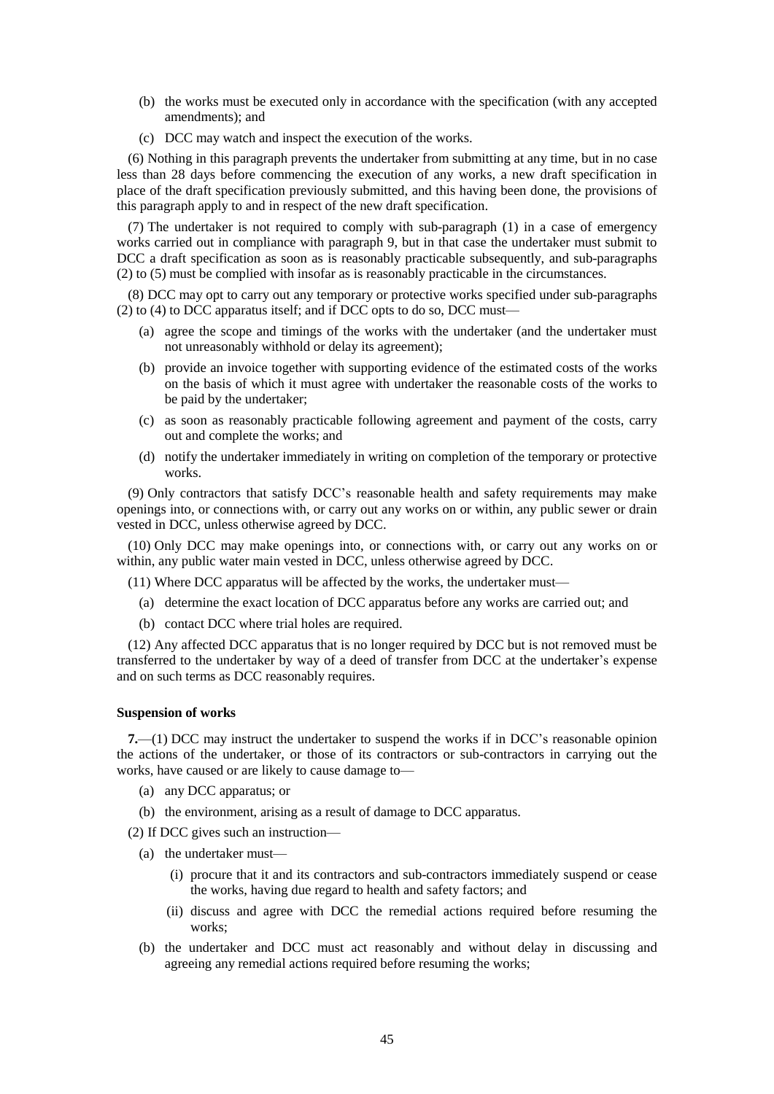- (b) the works must be executed only in accordance with the specification (with any accepted amendments); and
- (c) DCC may watch and inspect the execution of the works.

(6) Nothing in this paragraph prevents the undertaker from submitting at any time, but in no case less than 28 days before commencing the execution of any works, a new draft specification in place of the draft specification previously submitted, and this having been done, the provisions of this paragraph apply to and in respect of the new draft specification.

(7) The undertaker is not required to comply with sub-paragraph (1) in a case of emergency works carried out in compliance with paragraph 9, but in that case the undertaker must submit to DCC a draft specification as soon as is reasonably practicable subsequently, and sub-paragraphs (2) to (5) must be complied with insofar as is reasonably practicable in the circumstances.

(8) DCC may opt to carry out any temporary or protective works specified under sub-paragraphs (2) to (4) to DCC apparatus itself; and if DCC opts to do so, DCC must—

- (a) agree the scope and timings of the works with the undertaker (and the undertaker must not unreasonably withhold or delay its agreement);
- (b) provide an invoice together with supporting evidence of the estimated costs of the works on the basis of which it must agree with undertaker the reasonable costs of the works to be paid by the undertaker;
- (c) as soon as reasonably practicable following agreement and payment of the costs, carry out and complete the works; and
- (d) notify the undertaker immediately in writing on completion of the temporary or protective works.

(9) Only contractors that satisfy DCC's reasonable health and safety requirements may make openings into, or connections with, or carry out any works on or within, any public sewer or drain vested in DCC, unless otherwise agreed by DCC.

(10) Only DCC may make openings into, or connections with, or carry out any works on or within, any public water main vested in DCC, unless otherwise agreed by DCC.

(11) Where DCC apparatus will be affected by the works, the undertaker must—

- (a) determine the exact location of DCC apparatus before any works are carried out; and
- (b) contact DCC where trial holes are required.

(12) Any affected DCC apparatus that is no longer required by DCC but is not removed must be transferred to the undertaker by way of a deed of transfer from DCC at the undertaker's expense and on such terms as DCC reasonably requires.

#### **Suspension of works**

**7.**—(1) DCC may instruct the undertaker to suspend the works if in DCC's reasonable opinion the actions of the undertaker, or those of its contractors or sub-contractors in carrying out the works, have caused or are likely to cause damage to—

- (a) any DCC apparatus; or
- (b) the environment, arising as a result of damage to DCC apparatus.

(2) If DCC gives such an instruction—

- (a) the undertaker must—
	- (i) procure that it and its contractors and sub-contractors immediately suspend or cease the works, having due regard to health and safety factors; and
	- (ii) discuss and agree with DCC the remedial actions required before resuming the works;
- (b) the undertaker and DCC must act reasonably and without delay in discussing and agreeing any remedial actions required before resuming the works;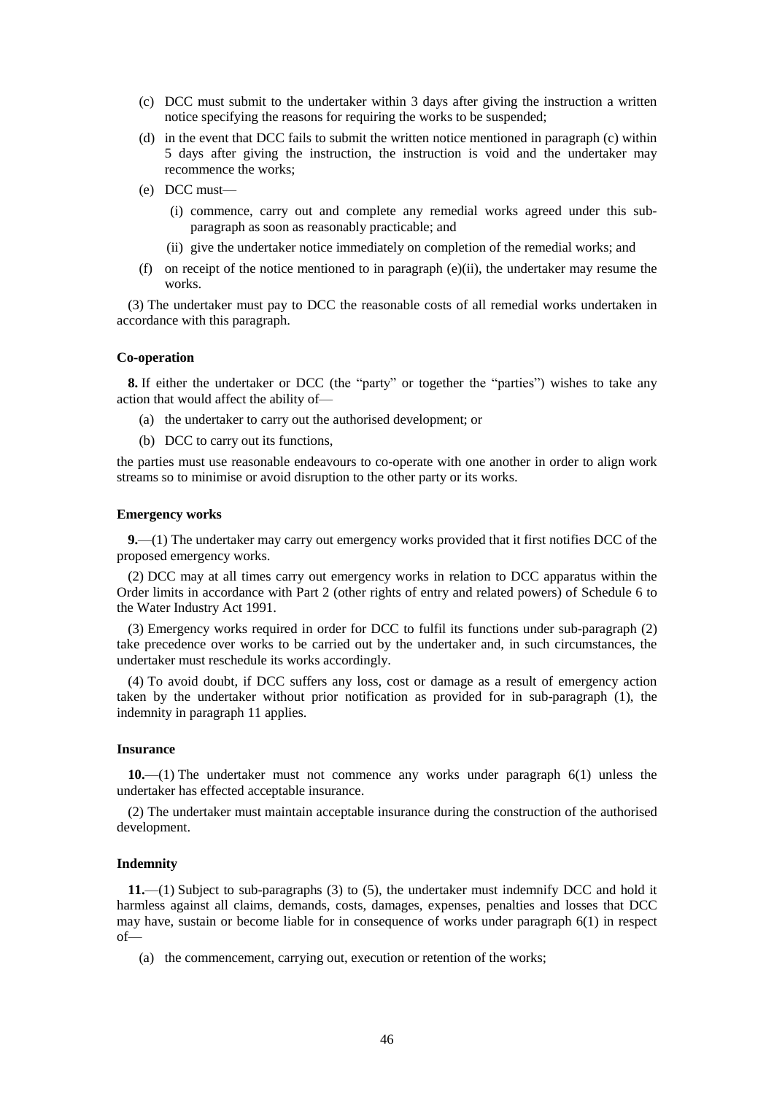- (c) DCC must submit to the undertaker within 3 days after giving the instruction a written notice specifying the reasons for requiring the works to be suspended;
- (d) in the event that DCC fails to submit the written notice mentioned in paragraph (c) within 5 days after giving the instruction, the instruction is void and the undertaker may recommence the works;
- (e) DCC must—
	- (i) commence, carry out and complete any remedial works agreed under this subparagraph as soon as reasonably practicable; and
	- (ii) give the undertaker notice immediately on completion of the remedial works; and
- (f) on receipt of the notice mentioned to in paragraph (e)(ii), the undertaker may resume the works.

(3) The undertaker must pay to DCC the reasonable costs of all remedial works undertaken in accordance with this paragraph.

#### **Co-operation**

**8.** If either the undertaker or DCC (the "party" or together the "parties") wishes to take any action that would affect the ability of—

- (a) the undertaker to carry out the authorised development; or
- (b) DCC to carry out its functions,

the parties must use reasonable endeavours to co-operate with one another in order to align work streams so to minimise or avoid disruption to the other party or its works.

#### **Emergency works**

**9.**—(1) The undertaker may carry out emergency works provided that it first notifies DCC of the proposed emergency works.

(2) DCC may at all times carry out emergency works in relation to DCC apparatus within the Order limits in accordance with Part 2 (other rights of entry and related powers) of Schedule 6 to the Water Industry Act 1991.

(3) Emergency works required in order for DCC to fulfil its functions under sub-paragraph (2) take precedence over works to be carried out by the undertaker and, in such circumstances, the undertaker must reschedule its works accordingly.

(4) To avoid doubt, if DCC suffers any loss, cost or damage as a result of emergency action taken by the undertaker without prior notification as provided for in sub-paragraph (1), the indemnity in paragraph 11 applies.

#### **Insurance**

**10.**—(1) The undertaker must not commence any works under paragraph 6(1) unless the undertaker has effected acceptable insurance.

(2) The undertaker must maintain acceptable insurance during the construction of the authorised development.

#### **Indemnity**

**11.**—(1) Subject to sub-paragraphs (3) to (5), the undertaker must indemnify DCC and hold it harmless against all claims, demands, costs, damages, expenses, penalties and losses that DCC may have, sustain or become liable for in consequence of works under paragraph 6(1) in respect of—

(a) the commencement, carrying out, execution or retention of the works;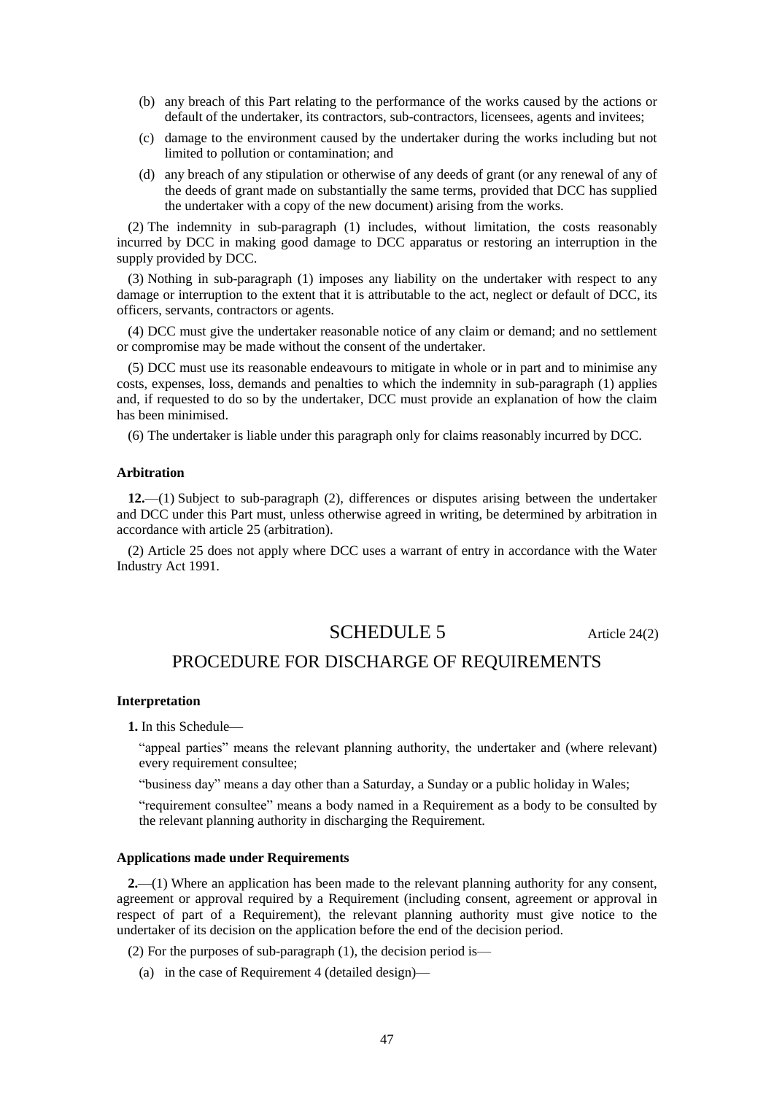- (b) any breach of this Part relating to the performance of the works caused by the actions or default of the undertaker, its contractors, sub-contractors, licensees, agents and invitees;
- (c) damage to the environment caused by the undertaker during the works including but not limited to pollution or contamination; and
- (d) any breach of any stipulation or otherwise of any deeds of grant (or any renewal of any of the deeds of grant made on substantially the same terms, provided that DCC has supplied the undertaker with a copy of the new document) arising from the works.

(2) The indemnity in sub-paragraph (1) includes, without limitation, the costs reasonably incurred by DCC in making good damage to DCC apparatus or restoring an interruption in the supply provided by DCC.

(3) Nothing in sub-paragraph (1) imposes any liability on the undertaker with respect to any damage or interruption to the extent that it is attributable to the act, neglect or default of DCC, its officers, servants, contractors or agents.

(4) DCC must give the undertaker reasonable notice of any claim or demand; and no settlement or compromise may be made without the consent of the undertaker.

(5) DCC must use its reasonable endeavours to mitigate in whole or in part and to minimise any costs, expenses, loss, demands and penalties to which the indemnity in sub-paragraph (1) applies and, if requested to do so by the undertaker, DCC must provide an explanation of how the claim has been minimised.

(6) The undertaker is liable under this paragraph only for claims reasonably incurred by DCC.

#### **Arbitration**

**12.**—(1) Subject to sub-paragraph (2), differences or disputes arising between the undertaker and DCC under this Part must, unless otherwise agreed in writing, be determined by arbitration in accordance with article 25 (arbitration).

(2) Article 25 does not apply where DCC uses a warrant of entry in accordance with the Water Industry Act 1991.

### SCHEDULE 5 Article 24(2)

### PROCEDURE FOR DISCHARGE OF REQUIREMENTS

#### **Interpretation**

**1.** In this Schedule—

"appeal parties" means the relevant planning authority, the undertaker and (where relevant) every requirement consultee;

"business day" means a day other than a Saturday, a Sunday or a public holiday in Wales;

"requirement consultee" means a body named in a Requirement as a body to be consulted by the relevant planning authority in discharging the Requirement.

#### **Applications made under Requirements**

**2.**—(1) Where an application has been made to the relevant planning authority for any consent, agreement or approval required by a Requirement (including consent, agreement or approval in respect of part of a Requirement), the relevant planning authority must give notice to the undertaker of its decision on the application before the end of the decision period.

(2) For the purposes of sub-paragraph (1), the decision period is—

(a) in the case of Requirement 4 (detailed design)—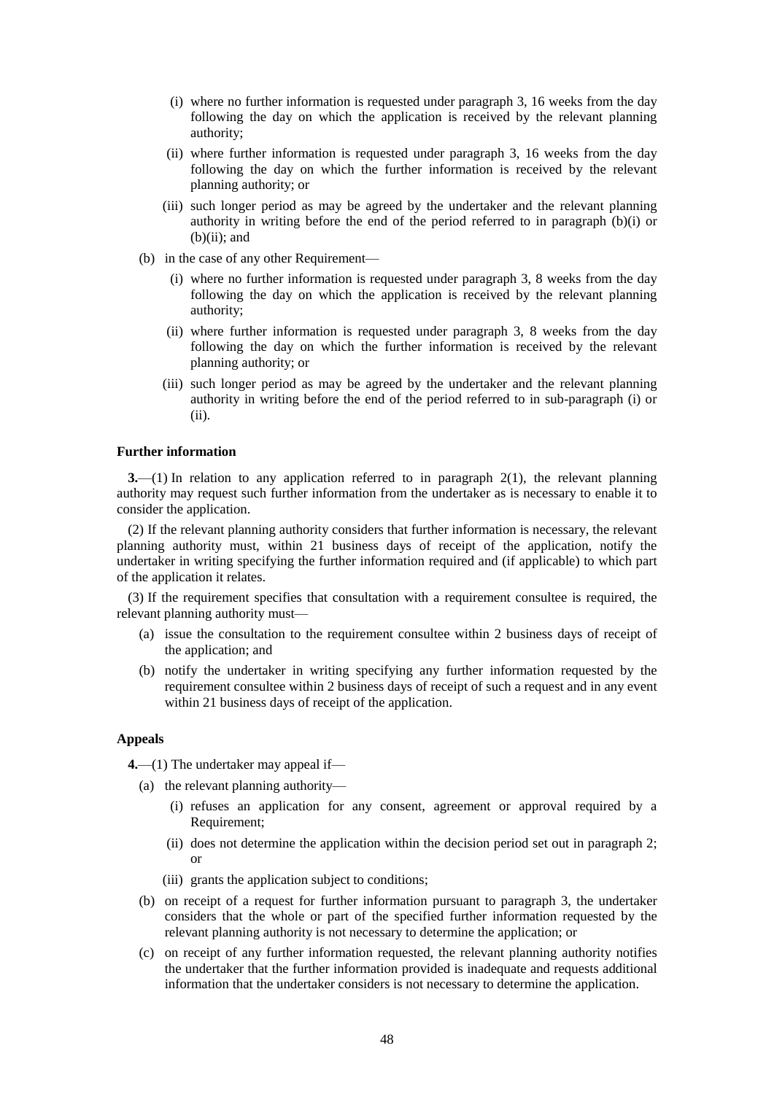- (i) where no further information is requested under paragraph 3, 16 weeks from the day following the day on which the application is received by the relevant planning authority;
- (ii) where further information is requested under paragraph 3, 16 weeks from the day following the day on which the further information is received by the relevant planning authority; or
- (iii) such longer period as may be agreed by the undertaker and the relevant planning authority in writing before the end of the period referred to in paragraph (b)(i) or  $(b)(ii)$ ; and
- (b) in the case of any other Requirement—
	- (i) where no further information is requested under paragraph 3, 8 weeks from the day following the day on which the application is received by the relevant planning authority;
	- (ii) where further information is requested under paragraph 3, 8 weeks from the day following the day on which the further information is received by the relevant planning authority; or
	- (iii) such longer period as may be agreed by the undertaker and the relevant planning authority in writing before the end of the period referred to in sub-paragraph (i) or (ii).

#### **Further information**

**3.**—(1) In relation to any application referred to in paragraph 2(1), the relevant planning authority may request such further information from the undertaker as is necessary to enable it to consider the application.

(2) If the relevant planning authority considers that further information is necessary, the relevant planning authority must, within 21 business days of receipt of the application, notify the undertaker in writing specifying the further information required and (if applicable) to which part of the application it relates.

(3) If the requirement specifies that consultation with a requirement consultee is required, the relevant planning authority must—

- (a) issue the consultation to the requirement consultee within 2 business days of receipt of the application; and
- (b) notify the undertaker in writing specifying any further information requested by the requirement consultee within 2 business days of receipt of such a request and in any event within 21 business days of receipt of the application.

#### **Appeals**

**4.**—(1) The undertaker may appeal if—

- (a) the relevant planning authority—
	- (i) refuses an application for any consent, agreement or approval required by a Requirement;
	- (ii) does not determine the application within the decision period set out in paragraph 2; or
	- (iii) grants the application subject to conditions;
- (b) on receipt of a request for further information pursuant to paragraph 3, the undertaker considers that the whole or part of the specified further information requested by the relevant planning authority is not necessary to determine the application; or
- (c) on receipt of any further information requested, the relevant planning authority notifies the undertaker that the further information provided is inadequate and requests additional information that the undertaker considers is not necessary to determine the application.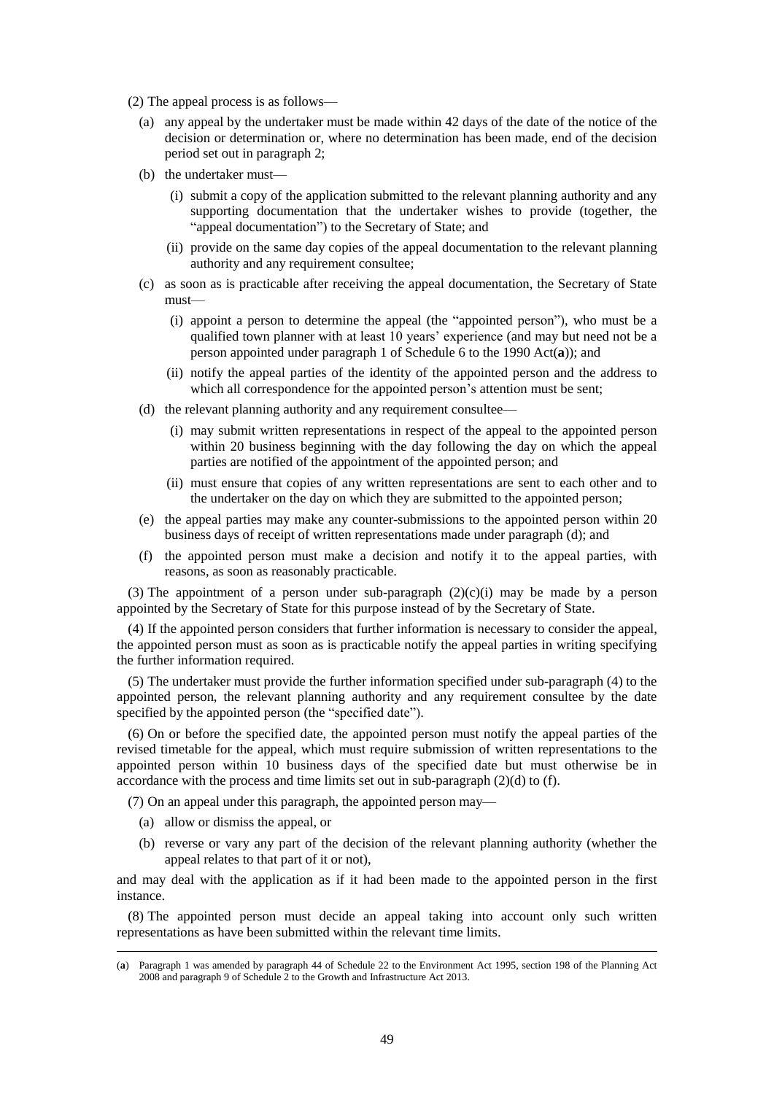- (2) The appeal process is as follows—
	- (a) any appeal by the undertaker must be made within 42 days of the date of the notice of the decision or determination or, where no determination has been made, end of the decision period set out in paragraph 2;
	- (b) the undertaker must-
		- (i) submit a copy of the application submitted to the relevant planning authority and any supporting documentation that the undertaker wishes to provide (together, the "appeal documentation") to the Secretary of State; and
		- (ii) provide on the same day copies of the appeal documentation to the relevant planning authority and any requirement consultee;
	- (c) as soon as is practicable after receiving the appeal documentation, the Secretary of State must—
		- (i) appoint a person to determine the appeal (the "appointed person"), who must be a qualified town planner with at least 10 years' experience (and may but need not be a person appointed under paragraph 1 of Schedule 6 to the 1990 Act(**a**)); and
		- (ii) notify the appeal parties of the identity of the appointed person and the address to which all correspondence for the appointed person's attention must be sent;
	- (d) the relevant planning authority and any requirement consultee—
		- (i) may submit written representations in respect of the appeal to the appointed person within 20 business beginning with the day following the day on which the appeal parties are notified of the appointment of the appointed person; and
		- (ii) must ensure that copies of any written representations are sent to each other and to the undertaker on the day on which they are submitted to the appointed person;
	- (e) the appeal parties may make any counter-submissions to the appointed person within 20 business days of receipt of written representations made under paragraph (d); and
	- (f) the appointed person must make a decision and notify it to the appeal parties, with reasons, as soon as reasonably practicable.

(3) The appointment of a person under sub-paragraph  $(2)(c)(i)$  may be made by a person appointed by the Secretary of State for this purpose instead of by the Secretary of State.

(4) If the appointed person considers that further information is necessary to consider the appeal, the appointed person must as soon as is practicable notify the appeal parties in writing specifying the further information required.

(5) The undertaker must provide the further information specified under sub-paragraph (4) to the appointed person, the relevant planning authority and any requirement consultee by the date specified by the appointed person (the "specified date").

(6) On or before the specified date, the appointed person must notify the appeal parties of the revised timetable for the appeal, which must require submission of written representations to the appointed person within 10 business days of the specified date but must otherwise be in accordance with the process and time limits set out in sub-paragraph (2)(d) to (f).

(7) On an appeal under this paragraph, the appointed person may—

(a) allow or dismiss the appeal, or

 $\overline{a}$ 

(b) reverse or vary any part of the decision of the relevant planning authority (whether the appeal relates to that part of it or not),

and may deal with the application as if it had been made to the appointed person in the first instance.

(8) The appointed person must decide an appeal taking into account only such written representations as have been submitted within the relevant time limits.

<sup>(</sup>**a**) Paragraph 1 was amended by paragraph 44 of Schedule 22 to the Environment Act 1995, section 198 of the Planning Act 2008 and paragraph 9 of Schedule 2 to the Growth and Infrastructure Act 2013.